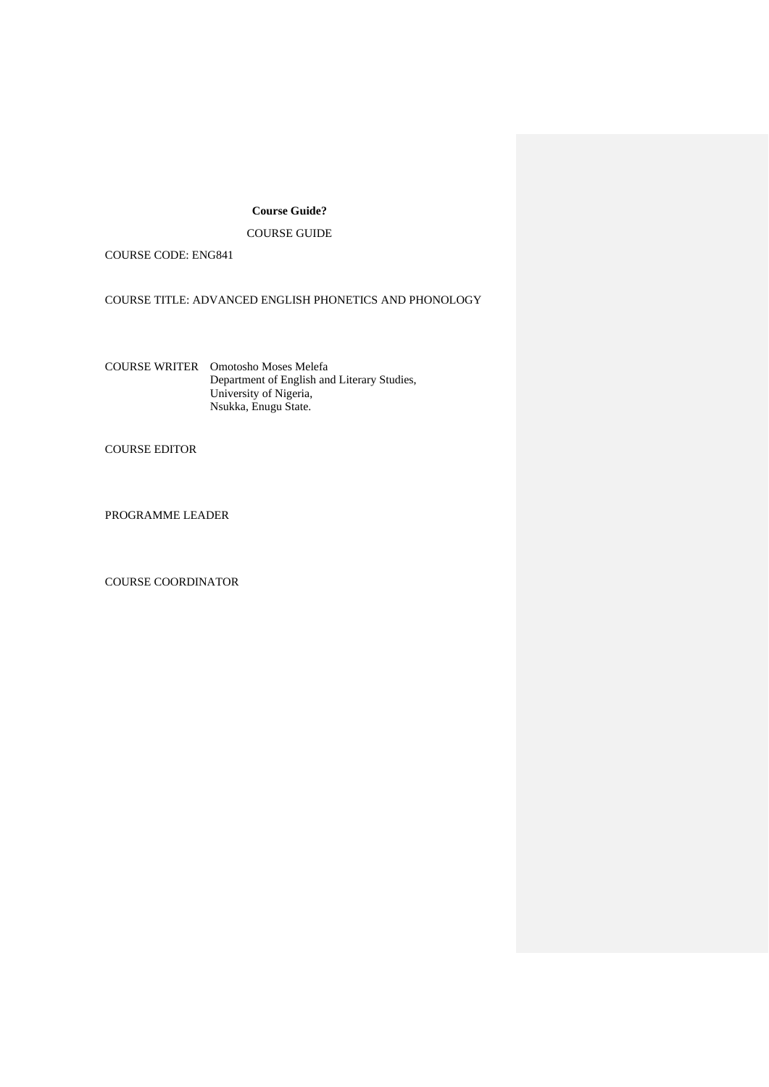# **Course Guide?**

# COURSE GUIDE

COURSE CODE: ENG841

COURSE TITLE: ADVANCED ENGLISH PHONETICS AND PHONOLOGY

COURSE WRITER Omotosho Moses Melefa Department of English and Literary Studies, University of Nigeria, Nsukka, Enugu State.

COURSE EDITOR

PROGRAMME LEADER

COURSE COORDINATOR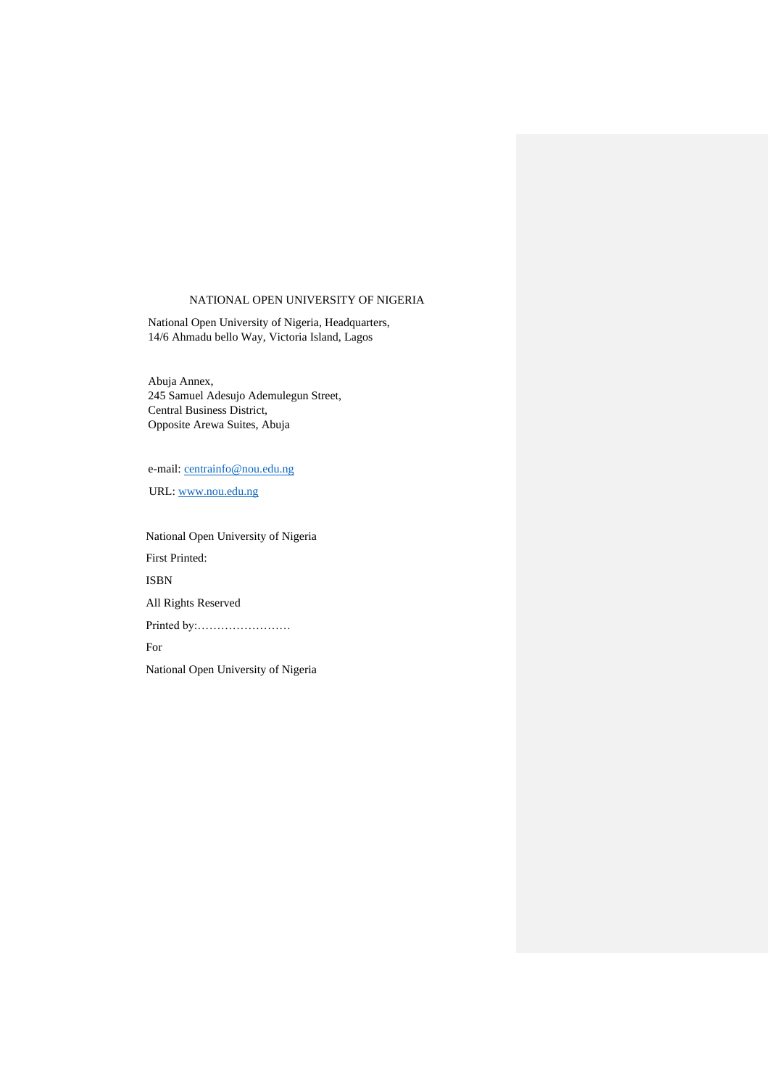# NATIONAL OPEN UNIVERSITY OF NIGERIA

National Open University of Nigeria, Headquarters, 14/6 Ahmadu bello Way, Victoria Island, Lagos

Abuja Annex, 245 Samuel Adesujo Ademulegun Street, Central Business District, Opposite Arewa Suites, Abuja

e-mail: [centrainfo@nou.edu.ng](mailto:centrainfo@nou.edu.ng)

URL: [www.nou.edu.ng](http://www.nou.edu.ng/)

 National Open University of Nigeria First Printed: ISBN All Rights Reserved Printed by:…………………… For National Open University of Nigeria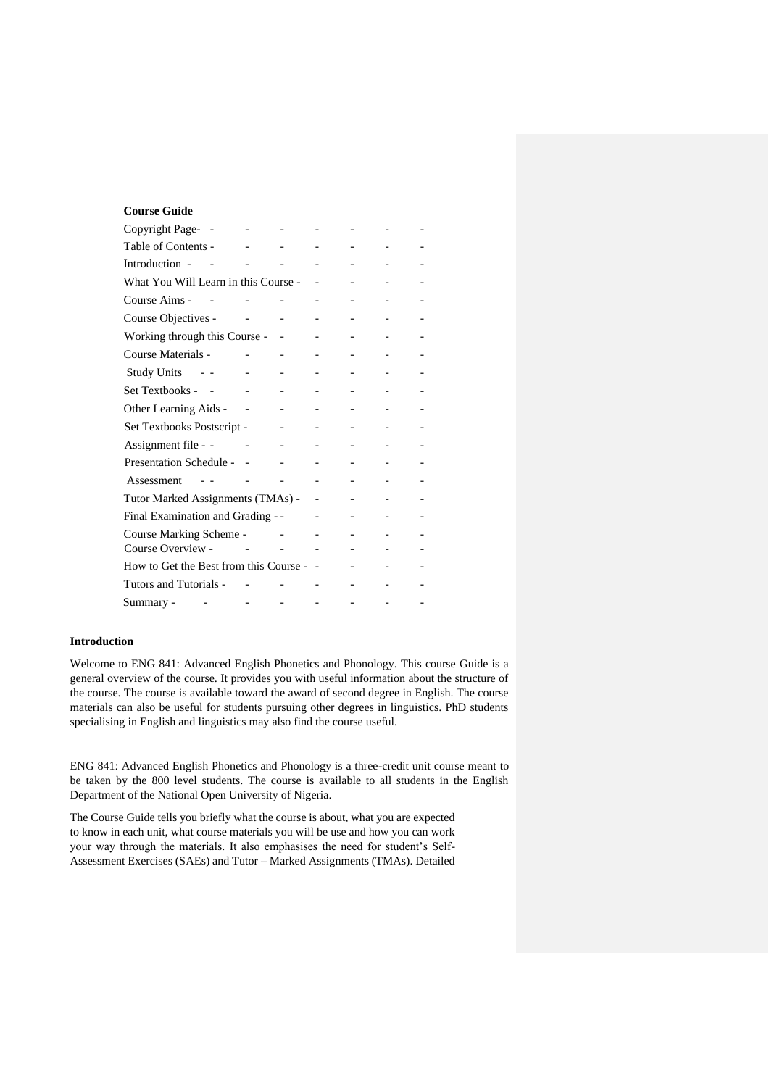# **Course Guide**

| Copyright Page-                        |  |  |  |
|----------------------------------------|--|--|--|
| Table of Contents -                    |  |  |  |
| Introduction -                         |  |  |  |
| What You Will Learn in this Course -   |  |  |  |
| Course Aims -                          |  |  |  |
| Course Objectives -                    |  |  |  |
| Working through this Course -          |  |  |  |
| Course Materials -                     |  |  |  |
| <b>Study Units</b>                     |  |  |  |
| Set Textbooks -                        |  |  |  |
| Other Learning Aids -                  |  |  |  |
| Set Textbooks Postscript -             |  |  |  |
| Assignment file - -                    |  |  |  |
| Presentation Schedule -                |  |  |  |
| Assessment                             |  |  |  |
| Tutor Marked Assignments (TMAs) -      |  |  |  |
| Final Examination and Grading - -      |  |  |  |
| Course Marking Scheme -                |  |  |  |
| Course Overview -                      |  |  |  |
| How to Get the Best from this Course - |  |  |  |
| Tutors and Tutorials -                 |  |  |  |
| Summary -                              |  |  |  |

# **Introduction**

Welcome to ENG 841: Advanced English Phonetics and Phonology. This course Guide is a general overview of the course. It provides you with useful information about the structure of the course. The course is available toward the award of second degree in English. The course materials can also be useful for students pursuing other degrees in linguistics. PhD students specialising in English and linguistics may also find the course useful.

ENG 841: Advanced English Phonetics and Phonology is a three-credit unit course meant to be taken by the 800 level students. The course is available to all students in the English Department of the National Open University of Nigeria.

The Course Guide tells you briefly what the course is about, what you are expected to know in each unit, what course materials you will be use and how you can work your way through the materials. It also emphasises the need for student's Self-Assessment Exercises (SAEs) and Tutor – Marked Assignments (TMAs). Detailed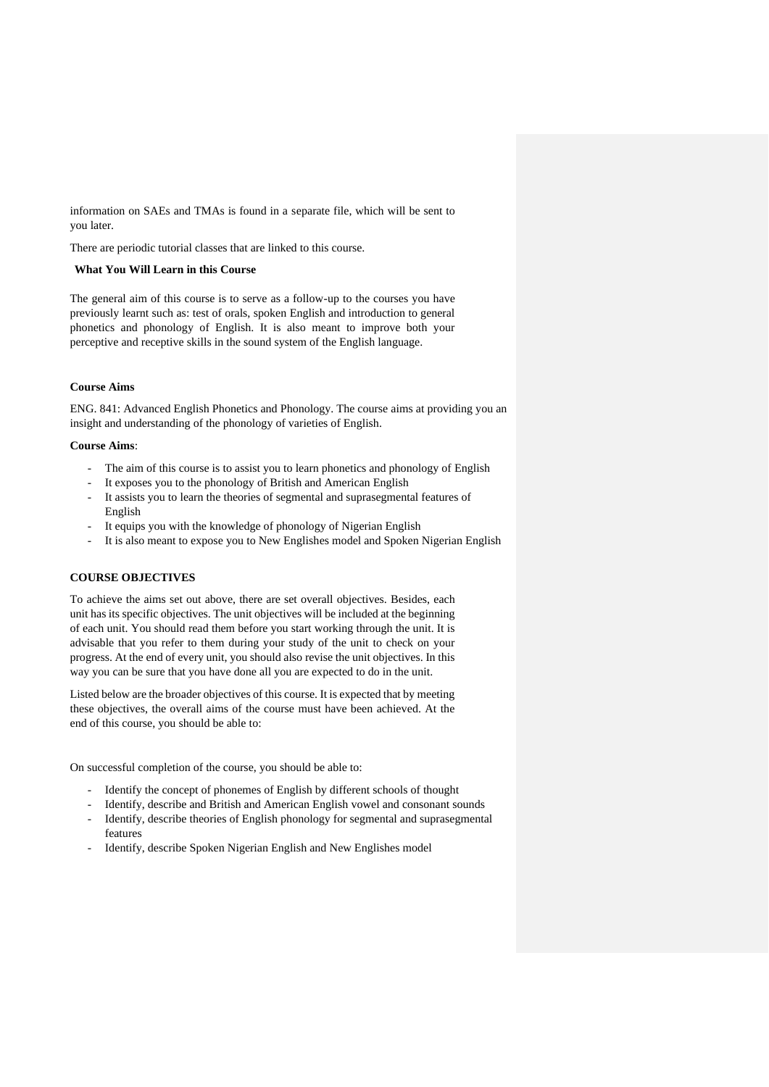information on SAEs and TMAs is found in a separate file, which will be sent to you later.

There are periodic tutorial classes that are linked to this course.

#### **What You Will Learn in this Course**

The general aim of this course is to serve as a follow-up to the courses you have previously learnt such as: test of orals, spoken English and introduction to general phonetics and phonology of English. It is also meant to improve both your perceptive and receptive skills in the sound system of the English language.

# **Course Aims**

ENG. 841: Advanced English Phonetics and Phonology. The course aims at providing you an insight and understanding of the phonology of varieties of English.

# **Course Aims**:

- The aim of this course is to assist you to learn phonetics and phonology of English
- It exposes you to the phonology of British and American English
- It assists you to learn the theories of segmental and suprasegmental features of English
- It equips you with the knowledge of phonology of Nigerian English
- It is also meant to expose you to New Englishes model and Spoken Nigerian English

# **COURSE OBJECTIVES**

To achieve the aims set out above, there are set overall objectives. Besides, each unit has its specific objectives. The unit objectives will be included at the beginning of each unit. You should read them before you start working through the unit. It is advisable that you refer to them during your study of the unit to check on your progress. At the end of every unit, you should also revise the unit objectives. In this way you can be sure that you have done all you are expected to do in the unit.

Listed below are the broader objectives of this course. It is expected that by meeting these objectives, the overall aims of the course must have been achieved. At the end of this course, you should be able to:

On successful completion of the course, you should be able to:

- Identify the concept of phonemes of English by different schools of thought
- Identify, describe and British and American English vowel and consonant sounds
- Identify, describe theories of English phonology for segmental and suprasegmental features
- Identify, describe Spoken Nigerian English and New Englishes model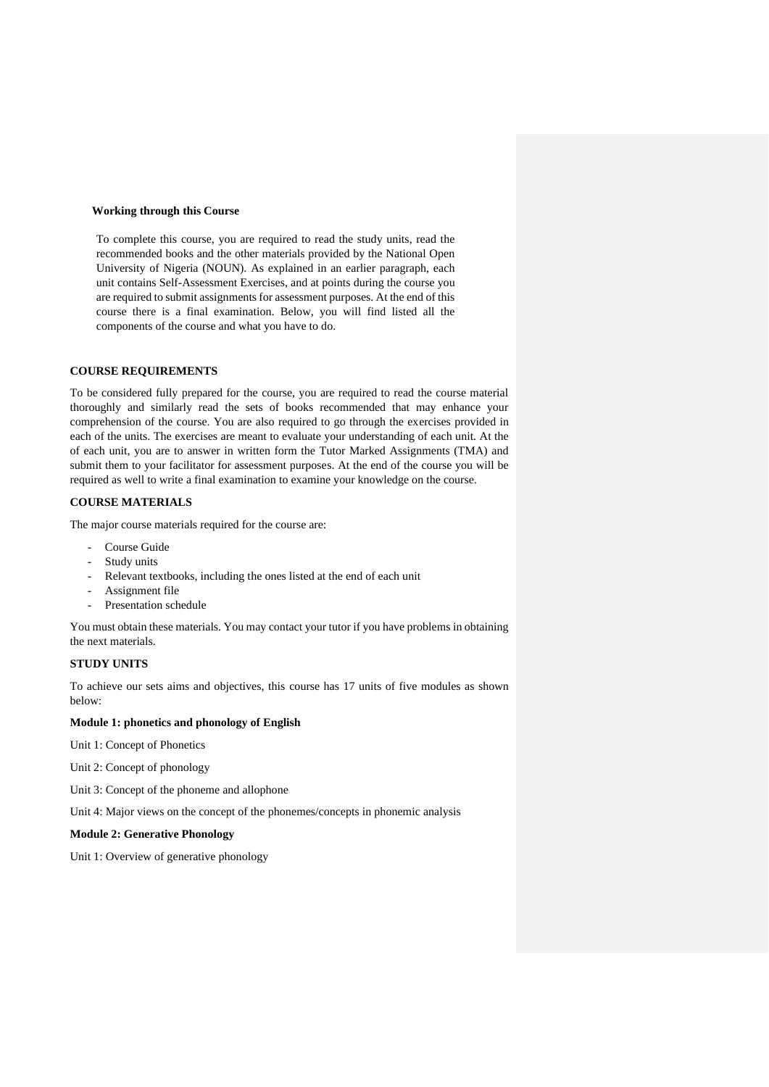### **Working through this Course**

To complete this course, you are required to read the study units, read the recommended books and the other materials provided by the National Open University of Nigeria (NOUN). As explained in an earlier paragraph, each unit contains Self-Assessment Exercises, and at points during the course you are required to submit assignments for assessment purposes. At the end of this course there is a final examination. Below, you will find listed all the components of the course and what you have to do.

# **COURSE REQUIREMENTS**

To be considered fully prepared for the course, you are required to read the course material thoroughly and similarly read the sets of books recommended that may enhance your comprehension of the course. You are also required to go through the exercises provided in each of the units. The exercises are meant to evaluate your understanding of each unit. At the of each unit, you are to answer in written form the Tutor Marked Assignments (TMA) and submit them to your facilitator for assessment purposes. At the end of the course you will be required as well to write a final examination to examine your knowledge on the course.

# **COURSE MATERIALS**

The major course materials required for the course are:

- Course Guide
- Study units
- Relevant textbooks, including the ones listed at the end of each unit
- Assignment file
- Presentation schedule

You must obtain these materials. You may contact your tutor if you have problems in obtaining the next materials.

# **STUDY UNITS**

To achieve our sets aims and objectives, this course has 17 units of five modules as shown below:

# **Module 1: phonetics and phonology of English**

Unit 1: Concept of Phonetics

- Unit 2: Concept of phonology
- Unit 3: Concept of the phoneme and allophone

Unit 4: Major views on the concept of the phonemes/concepts in phonemic analysis

# **Module 2: Generative Phonology**

Unit 1: Overview of generative phonology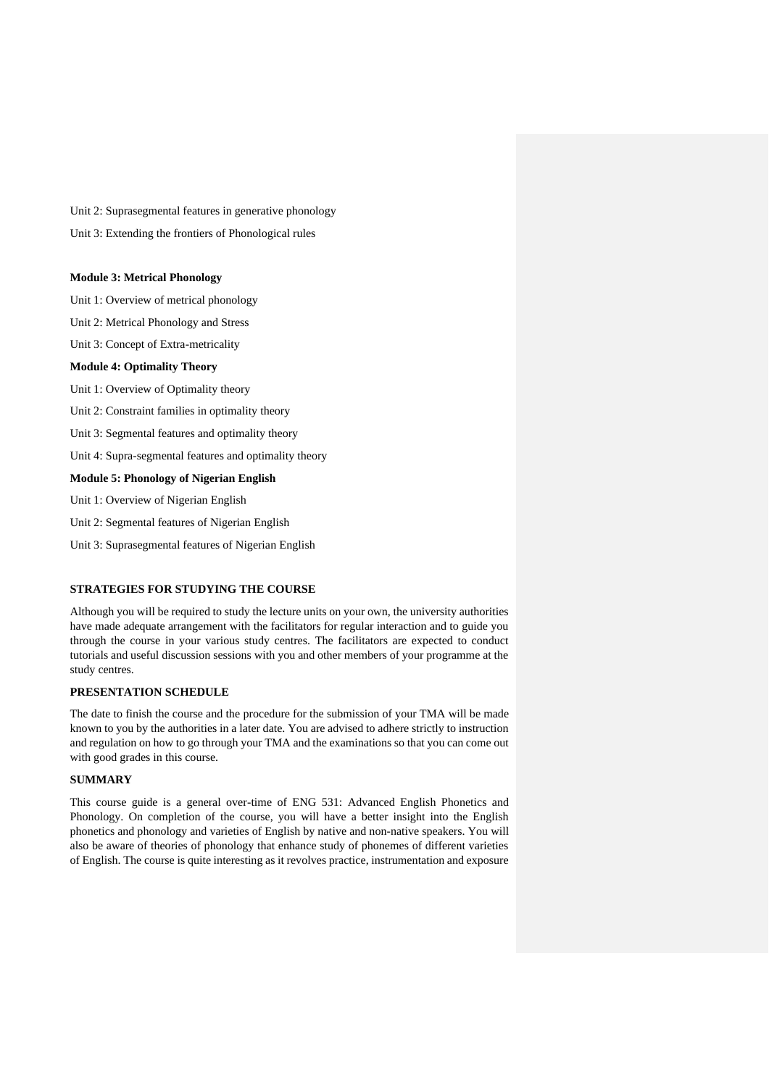Unit 2: Suprasegmental features in generative phonology

Unit 3: Extending the frontiers of Phonological rules

### **Module 3: Metrical Phonology**

Unit 1: Overview of metrical phonology

Unit 2: Metrical Phonology and Stress

Unit 3: Concept of Extra-metricality

# **Module 4: Optimality Theory**

Unit 1: Overview of Optimality theory

Unit 2: Constraint families in optimality theory

Unit 3: Segmental features and optimality theory

Unit 4: Supra-segmental features and optimality theory

# **Module 5: Phonology of Nigerian English**

Unit 1: Overview of Nigerian English

Unit 2: Segmental features of Nigerian English

Unit 3: Suprasegmental features of Nigerian English

# **STRATEGIES FOR STUDYING THE COURSE**

Although you will be required to study the lecture units on your own, the university authorities have made adequate arrangement with the facilitators for regular interaction and to guide you through the course in your various study centres. The facilitators are expected to conduct tutorials and useful discussion sessions with you and other members of your programme at the study centres.

# **PRESENTATION SCHEDULE**

The date to finish the course and the procedure for the submission of your TMA will be made known to you by the authorities in a later date. You are advised to adhere strictly to instruction and regulation on how to go through your TMA and the examinations so that you can come out with good grades in this course.

### **SUMMARY**

This course guide is a general over-time of ENG 531: Advanced English Phonetics and Phonology. On completion of the course, you will have a better insight into the English phonetics and phonology and varieties of English by native and non-native speakers. You will also be aware of theories of phonology that enhance study of phonemes of different varieties of English. The course is quite interesting as it revolves practice, instrumentation and exposure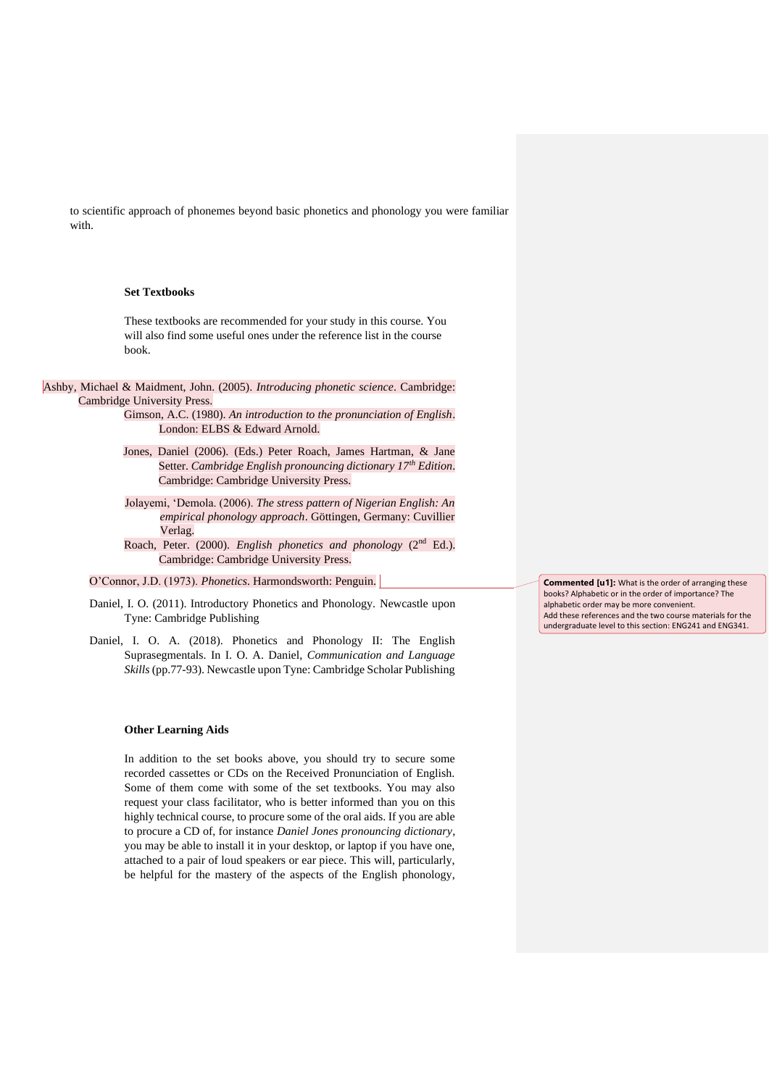to scientific approach of phonemes beyond basic phonetics and phonology you were familiar with.

### **Set Textbooks**

These textbooks are recommended for your study in this course. You will also find some useful ones under the reference list in the course book.

Ashby, Michael & Maidment, John. (2005). *Introducing phonetic science*. Cambridge: Cambridge University Press.

> Gimson, A.C. (1980). *An introduction to the pronunciation of English*. London: ELBS & Edward Arnold.

- Jones, Daniel (2006). (Eds.) Peter Roach, James Hartman, & Jane Setter. *Cambridge English pronouncing dictionary 17th Edition*. Cambridge: Cambridge University Press.
- Jolayemi, 'Demola. (2006). *The stress pattern of Nigerian English: An empirical phonology approach*. Göttingen, Germany: Cuvillier Verlag.

Roach, Peter. (2000). *English phonetics and phonology* (2nd Ed.). Cambridge: Cambridge University Press.

O'Connor, J.D. (1973). *Phonetics*. Harmondsworth: Penguin.

- Daniel, I. O. (2011). Introductory Phonetics and Phonology. Newcastle upon Tyne: Cambridge Publishing
- Daniel, I. O. A. (2018). Phonetics and Phonology II: The English Suprasegmentals. In I. O. A. Daniel, *Communication and Language Skills* (pp.77-93). Newcastle upon Tyne: Cambridge Scholar Publishing

#### **Other Learning Aids**

In addition to the set books above, you should try to secure some recorded cassettes or CDs on the Received Pronunciation of English. Some of them come with some of the set textbooks. You may also request your class facilitator, who is better informed than you on this highly technical course, to procure some of the oral aids. If you are able to procure a CD of, for instance *Daniel Jones pronouncing dictionary*, you may be able to install it in your desktop, or laptop if you have one, attached to a pair of loud speakers or ear piece. This will, particularly, be helpful for the mastery of the aspects of the English phonology, **Commented [u1]:** What is the order of arranging these books? Alphabetic or in the order of importance? The alphabetic order may be more convenient. Add these references and the two course materials for the undergraduate level to this section: ENG241 and ENG341.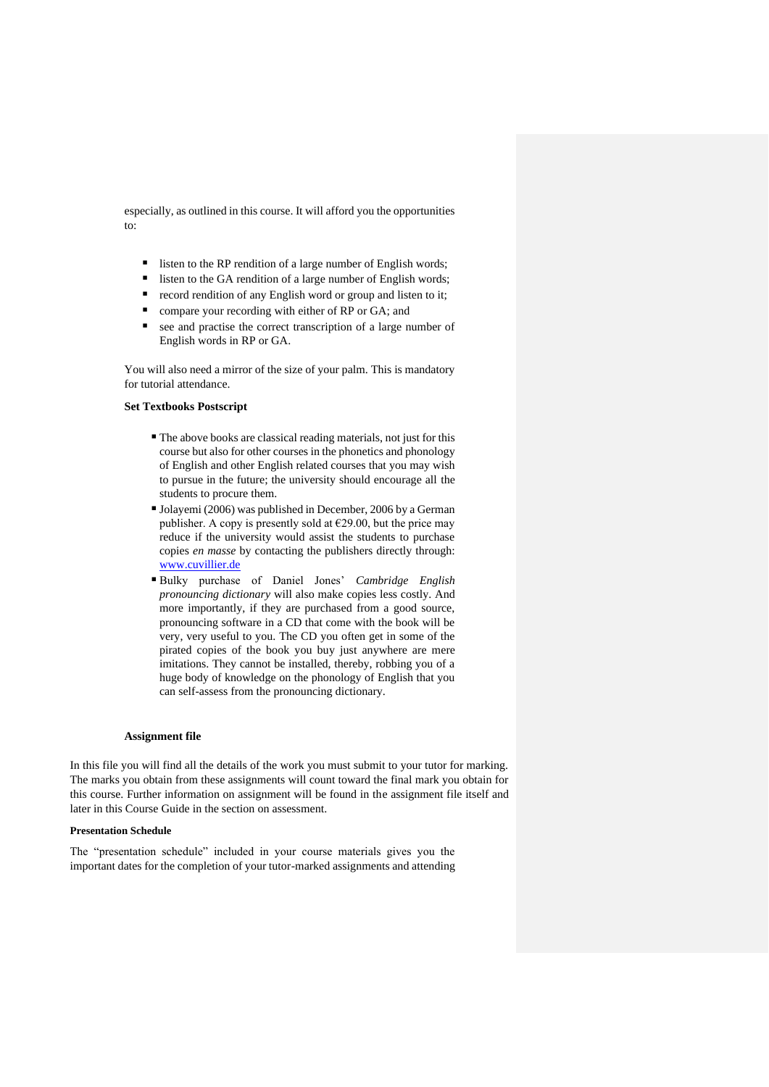especially, as outlined in this course. It will afford you the opportunities to:

- listen to the RP rendition of a large number of English words;
- listen to the GA rendition of a large number of English words;
- record rendition of any English word or group and listen to it;
- compare your recording with either of RP or GA; and
- see and practise the correct transcription of a large number of English words in RP or GA.

You will also need a mirror of the size of your palm. This is mandatory for tutorial attendance.

## **Set Textbooks Postscript**

- The above books are classical reading materials, not just for this course but also for other courses in the phonetics and phonology of English and other English related courses that you may wish to pursue in the future; the university should encourage all the students to procure them.
- Jolayemi (2006) was published in December, 2006 by a German publisher. A copy is presently sold at  $E$ 29.00, but the price may reduce if the university would assist the students to purchase copies *en masse* by contacting the publishers directly through: [www.cuvillier.de](http://www.cuvillier.de/)
- Bulky purchase of Daniel Jones' *Cambridge English pronouncing dictionary* will also make copies less costly. And more importantly, if they are purchased from a good source, pronouncing software in a CD that come with the book will be very, very useful to you. The CD you often get in some of the pirated copies of the book you buy just anywhere are mere imitations. They cannot be installed, thereby, robbing you of a huge body of knowledge on the phonology of English that you can self-assess from the pronouncing dictionary.

#### **Assignment file**

In this file you will find all the details of the work you must submit to your tutor for marking. The marks you obtain from these assignments will count toward the final mark you obtain for this course. Further information on assignment will be found in the assignment file itself and later in this Course Guide in the section on assessment.

#### **Presentation Schedule**

The "presentation schedule" included in your course materials gives you the important dates for the completion of your tutor-marked assignments and attending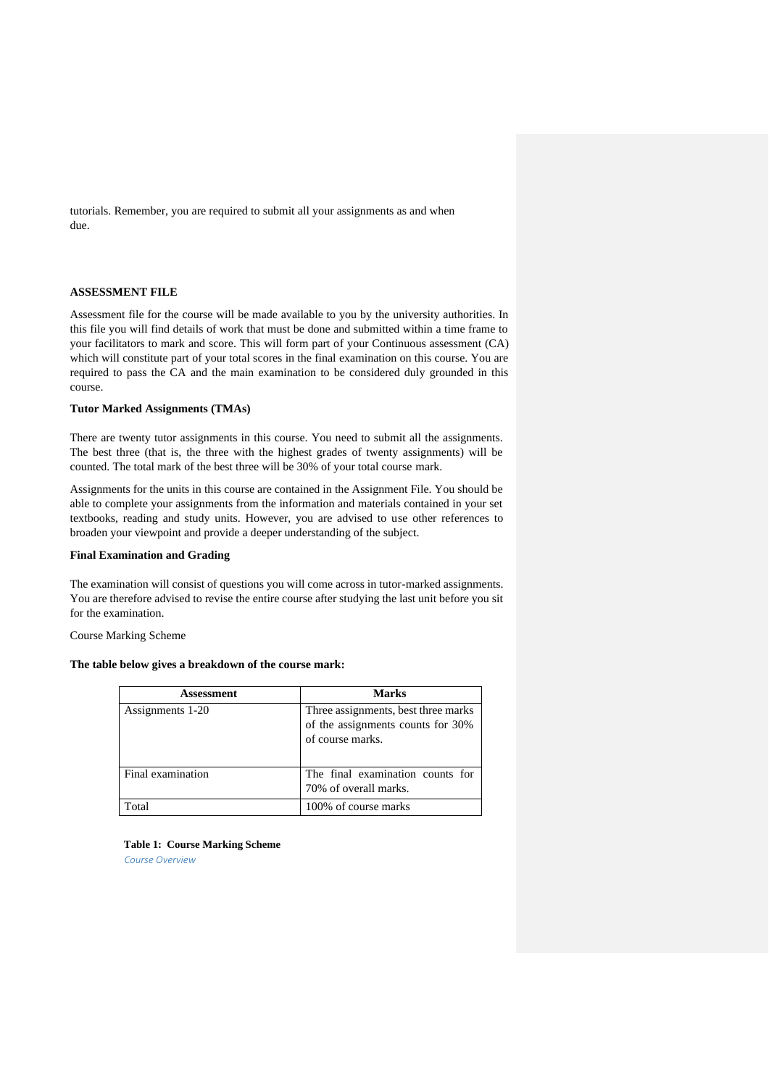tutorials. Remember, you are required to submit all your assignments as and when due.

#### **ASSESSMENT FILE**

Assessment file for the course will be made available to you by the university authorities. In this file you will find details of work that must be done and submitted within a time frame to your facilitators to mark and score. This will form part of your Continuous assessment (CA) which will constitute part of your total scores in the final examination on this course. You are required to pass the CA and the main examination to be considered duly grounded in this course.

### **Tutor Marked Assignments (TMAs)**

There are twenty tutor assignments in this course. You need to submit all the assignments. The best three (that is, the three with the highest grades of twenty assignments) will be counted. The total mark of the best three will be 30% of your total course mark.

Assignments for the units in this course are contained in the Assignment File. You should be able to complete your assignments from the information and materials contained in your set textbooks, reading and study units. However, you are advised to use other references to broaden your viewpoint and provide a deeper understanding of the subject.

# **Final Examination and Grading**

The examination will consist of questions you will come across in tutor-marked assignments. You are therefore advised to revise the entire course after studying the last unit before you sit for the examination.

Course Marking Scheme

# **The table below gives a breakdown of the course mark:**

| Assessment        | <b>Marks</b>                                                                                 |  |
|-------------------|----------------------------------------------------------------------------------------------|--|
| Assignments 1-20  | Three assignments, best three marks<br>of the assignments counts for 30%<br>of course marks. |  |
| Final examination | The final examination counts for<br>70% of overall marks.                                    |  |
| Total             | 100% of course marks                                                                         |  |

**Table 1: Course Marking Scheme** 

*Course Overview*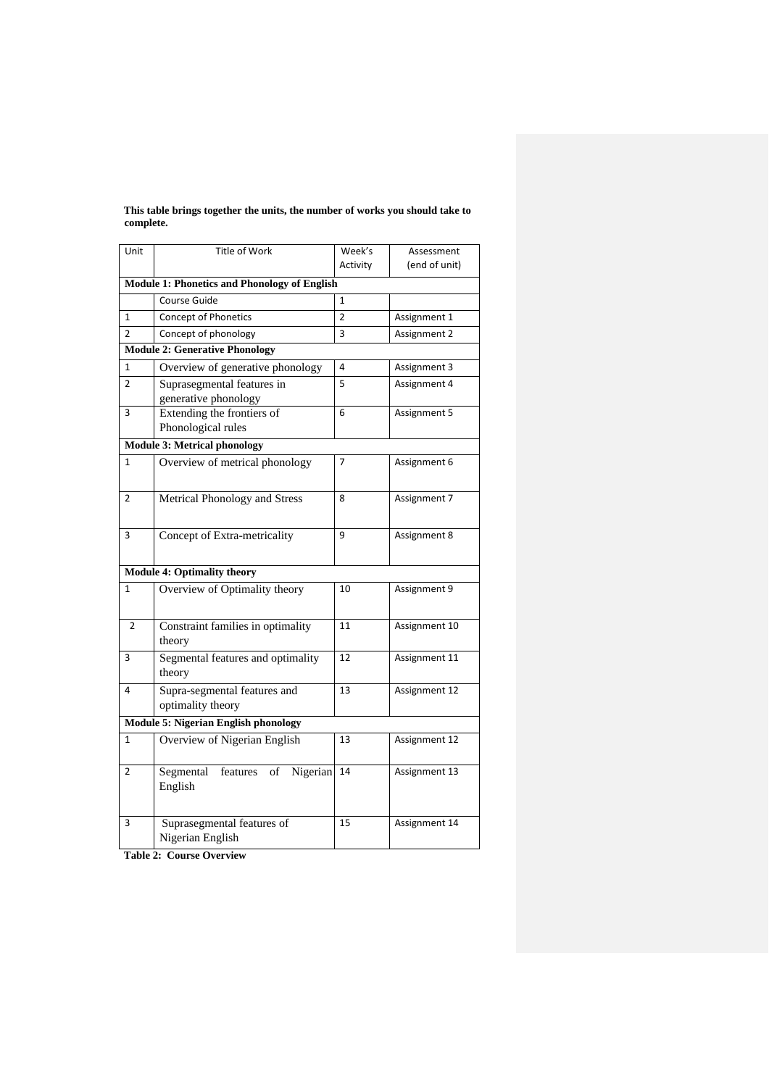| Unit                                        | Title of Work                                                                               | Week's         | Assessment                                    |
|---------------------------------------------|---------------------------------------------------------------------------------------------|----------------|-----------------------------------------------|
|                                             |                                                                                             | Activity       | (end of unit)                                 |
|                                             | <b>Module 1: Phonetics and Phonology of English</b>                                         |                |                                               |
|                                             | Course Guide                                                                                | $\mathbf{1}$   |                                               |
| $\mathbf{1}$                                | <b>Concept of Phonetics</b>                                                                 | $\overline{2}$ | Assignment 1                                  |
| $\overline{2}$                              | Concept of phonology                                                                        | 3              | Assignment 2                                  |
|                                             | <b>Module 2: Generative Phonology</b>                                                       |                |                                               |
| 1                                           | Overview of generative phonology                                                            | 4              | Assignment 3                                  |
| 2                                           | Suprasegmental features in                                                                  | 5              | Assignment 4                                  |
|                                             | generative phonology                                                                        |                |                                               |
| 3                                           | Extending the frontiers of                                                                  | 6              | Assignment 5                                  |
|                                             | Phonological rules                                                                          |                |                                               |
|                                             | <b>Module 3: Metrical phonology</b>                                                         |                |                                               |
| $\mathbf{1}$                                | Overview of metrical phonology                                                              | 7              | Assignment 6                                  |
|                                             |                                                                                             |                |                                               |
| 2                                           | Metrical Phonology and Stress                                                               | 8              | Assignment 7                                  |
|                                             |                                                                                             |                |                                               |
|                                             |                                                                                             |                |                                               |
|                                             |                                                                                             |                |                                               |
|                                             |                                                                                             |                |                                               |
| <b>Module 4: Optimality theory</b>          |                                                                                             |                |                                               |
|                                             |                                                                                             |                |                                               |
|                                             |                                                                                             |                |                                               |
| $\overline{2}$                              | Constraint families in optimality                                                           | 11             | Assignment 10                                 |
|                                             | theory                                                                                      |                |                                               |
| 3                                           | Segmental features and optimality                                                           | 12             | Assignment 11                                 |
|                                             | theory                                                                                      |                |                                               |
| 4                                           | Supra-segmental features and                                                                | 13             | Assignment 12                                 |
|                                             | optimality theory                                                                           |                |                                               |
| <b>Module 5: Nigerian English phonology</b> |                                                                                             |                |                                               |
| 1                                           | Overview of Nigerian English                                                                | 13             | Assignment 12                                 |
|                                             |                                                                                             |                |                                               |
| 2                                           | Segmental<br>features<br>of<br>Nigerian                                                     | 14             | Assignment 13                                 |
|                                             | English                                                                                     |                |                                               |
|                                             |                                                                                             |                |                                               |
| 3                                           |                                                                                             | 15             |                                               |
|                                             | Nigerian English                                                                            |                |                                               |
| 3<br>$\mathbf{1}$                           | Concept of Extra-metricality<br>Overview of Optimality theory<br>Suprasegmental features of | 9<br>10        | Assignment 8<br>Assignment 9<br>Assignment 14 |

**This table brings together the units, the number of works you should take to complete.** 

**Table 2: Course Overview**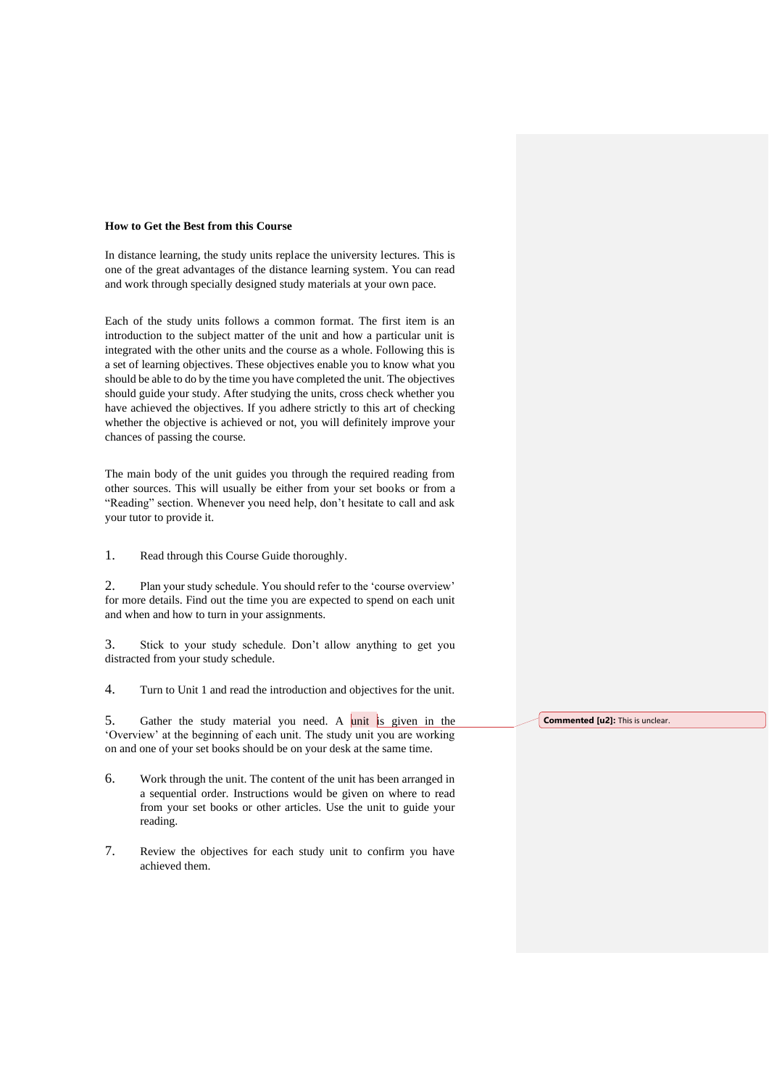#### **How to Get the Best from this Course**

In distance learning, the study units replace the university lectures. This is one of the great advantages of the distance learning system. You can read and work through specially designed study materials at your own pace.

Each of the study units follows a common format. The first item is an introduction to the subject matter of the unit and how a particular unit is integrated with the other units and the course as a whole. Following this is a set of learning objectives. These objectives enable you to know what you should be able to do by the time you have completed the unit. The objectives should guide your study. After studying the units, cross check whether you have achieved the objectives. If you adhere strictly to this art of checking whether the objective is achieved or not, you will definitely improve your chances of passing the course.

The main body of the unit guides you through the required reading from other sources. This will usually be either from your set books or from a "Reading" section. Whenever you need help, don't hesitate to call and ask your tutor to provide it.

1. Read through this Course Guide thoroughly.

2. Plan your study schedule. You should refer to the 'course overview' for more details. Find out the time you are expected to spend on each unit and when and how to turn in your assignments.

3. Stick to your study schedule. Don't allow anything to get you distracted from your study schedule.

4. Turn to Unit 1 and read the introduction and objectives for the unit.

5. Gather the study material you need. A unit is given in the 'Overview' at the beginning of each unit. The study unit you are working on and one of your set books should be on your desk at the same time.

- 6. Work through the unit. The content of the unit has been arranged in a sequential order. Instructions would be given on where to read from your set books or other articles. Use the unit to guide your reading.
- 7. Review the objectives for each study unit to confirm you have achieved them.

**Commented [u2]:** This is unclear.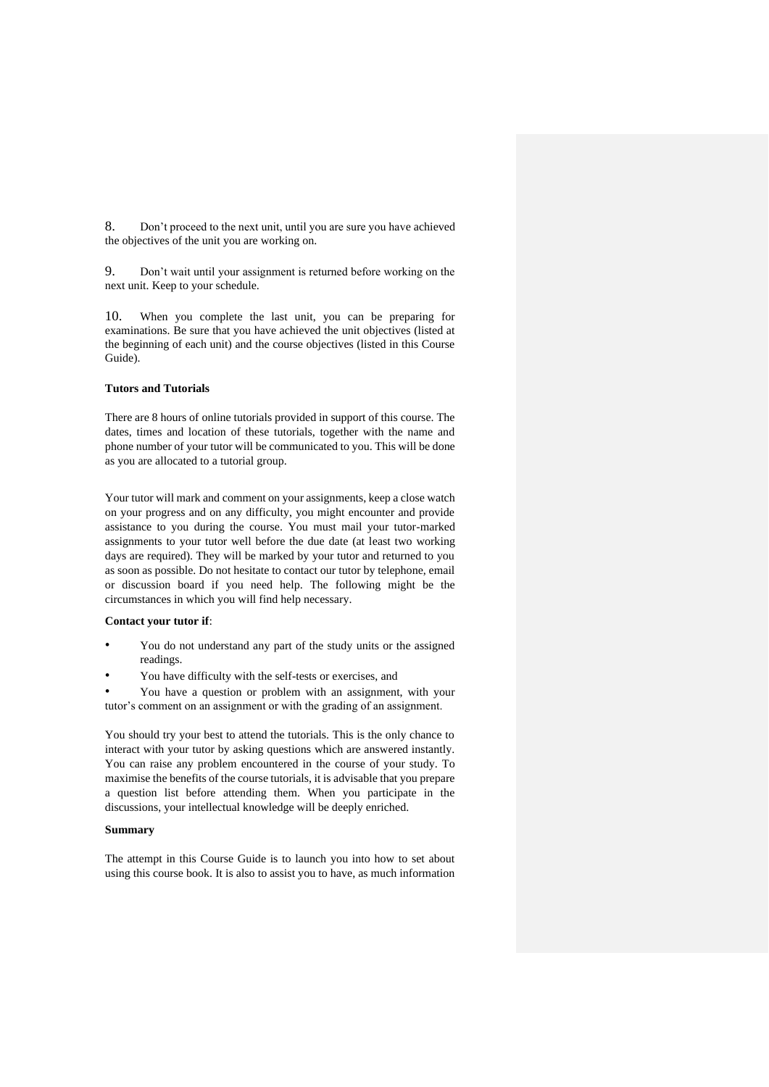8. Don't proceed to the next unit, until you are sure you have achieved the objectives of the unit you are working on.

9. Don't wait until your assignment is returned before working on the next unit. Keep to your schedule.

10. When you complete the last unit, you can be preparing for examinations. Be sure that you have achieved the unit objectives (listed at the beginning of each unit) and the course objectives (listed in this Course Guide).

# **Tutors and Tutorials**

There are 8 hours of online tutorials provided in support of this course. The dates, times and location of these tutorials, together with the name and phone number of your tutor will be communicated to you. This will be done as you are allocated to a tutorial group.

Your tutor will mark and comment on your assignments, keep a close watch on your progress and on any difficulty, you might encounter and provide assistance to you during the course. You must mail your tutor-marked assignments to your tutor well before the due date (at least two working days are required). They will be marked by your tutor and returned to you as soon as possible. Do not hesitate to contact our tutor by telephone, email or discussion board if you need help. The following might be the circumstances in which you will find help necessary.

### **Contact your tutor if**:

- You do not understand any part of the study units or the assigned readings.
- You have difficulty with the self-tests or exercises, and

• You have a question or problem with an assignment, with your tutor's comment on an assignment or with the grading of an assignment.

You should try your best to attend the tutorials. This is the only chance to interact with your tutor by asking questions which are answered instantly. You can raise any problem encountered in the course of your study. To maximise the benefits of the course tutorials, it is advisable that you prepare a question list before attending them. When you participate in the discussions, your intellectual knowledge will be deeply enriched.

### **Summary**

The attempt in this Course Guide is to launch you into how to set about using this course book. It is also to assist you to have, as much information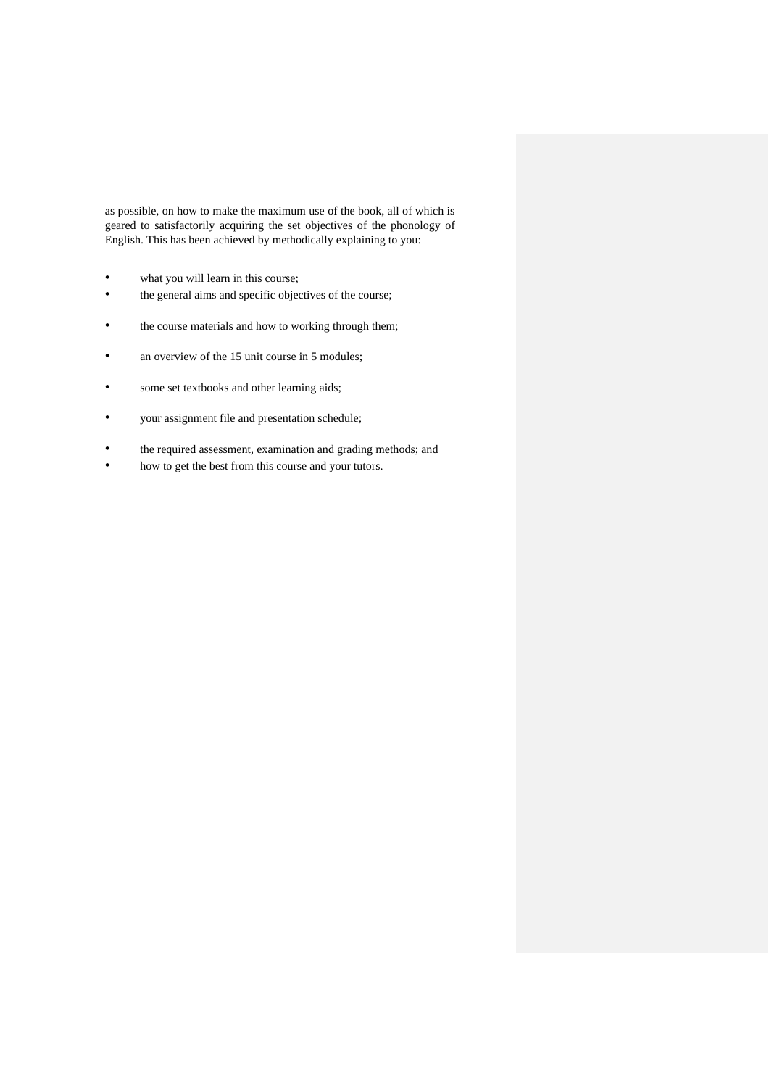as possible, on how to make the maximum use of the book, all of which is geared to satisfactorily acquiring the set objectives of the phonology of English. This has been achieved by methodically explaining to you:

- what you will learn in this course;
- the general aims and specific objectives of the course;
- the course materials and how to working through them;
- an overview of the 15 unit course in 5 modules;
- some set textbooks and other learning aids;
- your assignment file and presentation schedule;
- the required assessment, examination and grading methods; and
- how to get the best from this course and your tutors.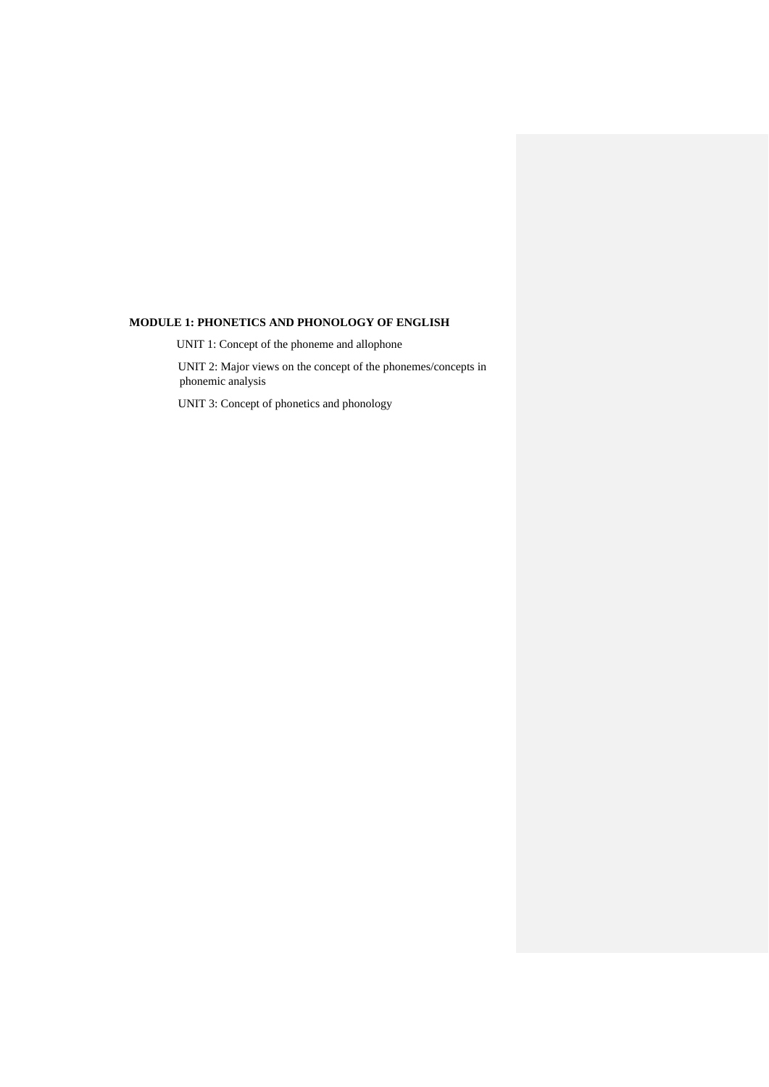# **MODULE 1: PHONETICS AND PHONOLOGY OF ENGLISH**

UNIT 1: Concept of the phoneme and allophone

UNIT 2: Major views on the concept of the phonemes/concepts in phonemic analysis

UNIT 3: Concept of phonetics and phonology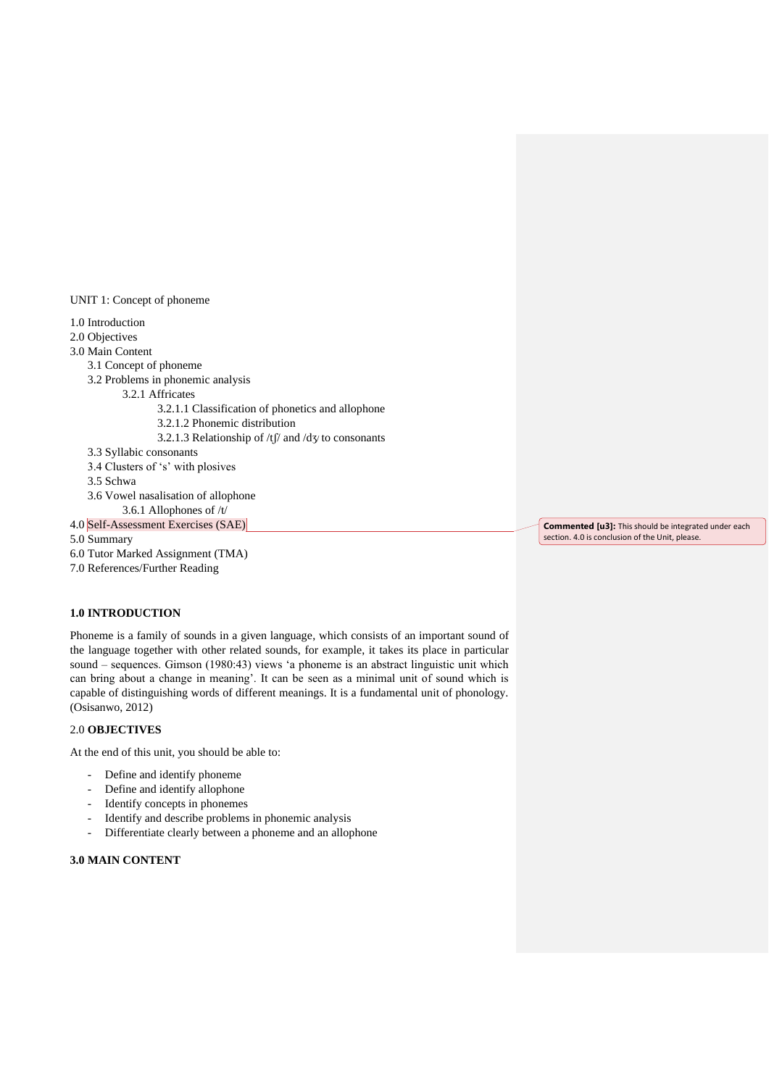UNIT 1: Concept of phoneme

1.0 Introduction

2.0 Objectives

3.0 Main Content

3.1 Concept of phoneme

3.2 Problems in phonemic analysis

3.2.1 Affricates

- 3.2.1.1 Classification of phonetics and allophone
- 3.2.1.2 Phonemic distribution
- 3.2.1.3 Relationship of /tf/ and /d $\frac{y}{x}$  to consonants
- 3.3 Syllabic consonants
- 3.4 Clusters of 's' with plosives
- 3.5 Schwa
- 3.6 Vowel nasalisation of allophone
- 3.6.1 Allophones of /t/
- 4.0 Self-Assessment Exercises (SAE)

5.0 Summary

- 6.0 Tutor Marked Assignment (TMA)
- 7.0 References/Further Reading

# **1.0 INTRODUCTION**

Phoneme is a family of sounds in a given language, which consists of an important sound of the language together with other related sounds, for example, it takes its place in particular sound – sequences. Gimson (1980:43) views 'a phoneme is an abstract linguistic unit which can bring about a change in meaning'. It can be seen as a minimal unit of sound which is capable of distinguishing words of different meanings. It is a fundamental unit of phonology. (Osisanwo, 2012)

# 2.0 **OBJECTIVES**

At the end of this unit, you should be able to:

- Define and identify phoneme
- Define and identify allophone
- Identify concepts in phonemes
- Identify and describe problems in phonemic analysis
- Differentiate clearly between a phoneme and an allophone

# **3.0 MAIN CONTENT**

**Commented [u3]:** This should be integrated under each section. 4.0 is conclusion of the Unit, please.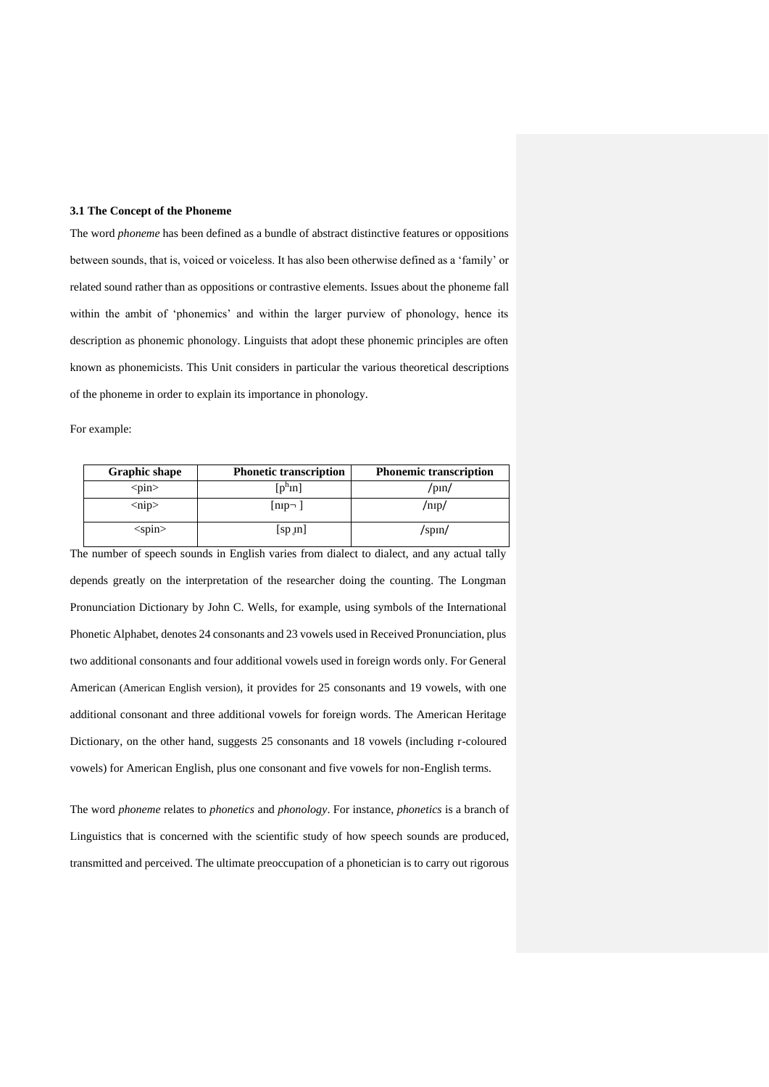# **3.1 The Concept of the Phoneme**

The word *phoneme* has been defined as a bundle of abstract distinctive features or oppositions between sounds, that is, voiced or voiceless. It has also been otherwise defined as a 'family' or related sound rather than as oppositions or contrastive elements. Issues about the phoneme fall within the ambit of 'phonemics' and within the larger purview of phonology, hence its description as phonemic phonology. Linguists that adopt these phonemic principles are often known as phonemicists. This Unit considers in particular the various theoretical descriptions of the phoneme in order to explain its importance in phonology.

For example:

| <b>Graphic shape</b>    | <b>Phonetic transcription</b> | <b>Phonemic transcription</b> |
|-------------------------|-------------------------------|-------------------------------|
| $<$ pin $>$             | $[p^h$ In]                    | /pin/                         |
| $\langle$ nip $\rangle$ | $\lfloor np - \rfloor$        | /nɪp/                         |
| $<$ spin $>$            | $\lceil sp \ln \rceil$        | /spin/                        |

The number of speech sounds in English varies from dialect to dialect, and any actual tally depends greatly on the interpretation of the researcher doing the counting. The Longman Pronunciation Dictionary by John C. Wells, for example, using symbols of the International Phonetic Alphabet, denotes 24 consonants and 23 vowels used in Received Pronunciation, plus two additional consonants and four additional vowels used in foreign words only. For General American (American English version), it provides for 25 consonants and 19 vowels, with one additional consonant and three additional vowels for foreign words. The American Heritage Dictionary, on the other hand, suggests 25 consonants and 18 vowels (including r-coloured vowels) for American English, plus one consonant and five vowels for non-English terms.

The word *phoneme* relates to *phonetics* and *phonology*. For instance, *phonetics* is a branch of Linguistics that is concerned with the scientific study of how speech sounds are produced, transmitted and perceived. The ultimate preoccupation of a phonetician is to carry out rigorous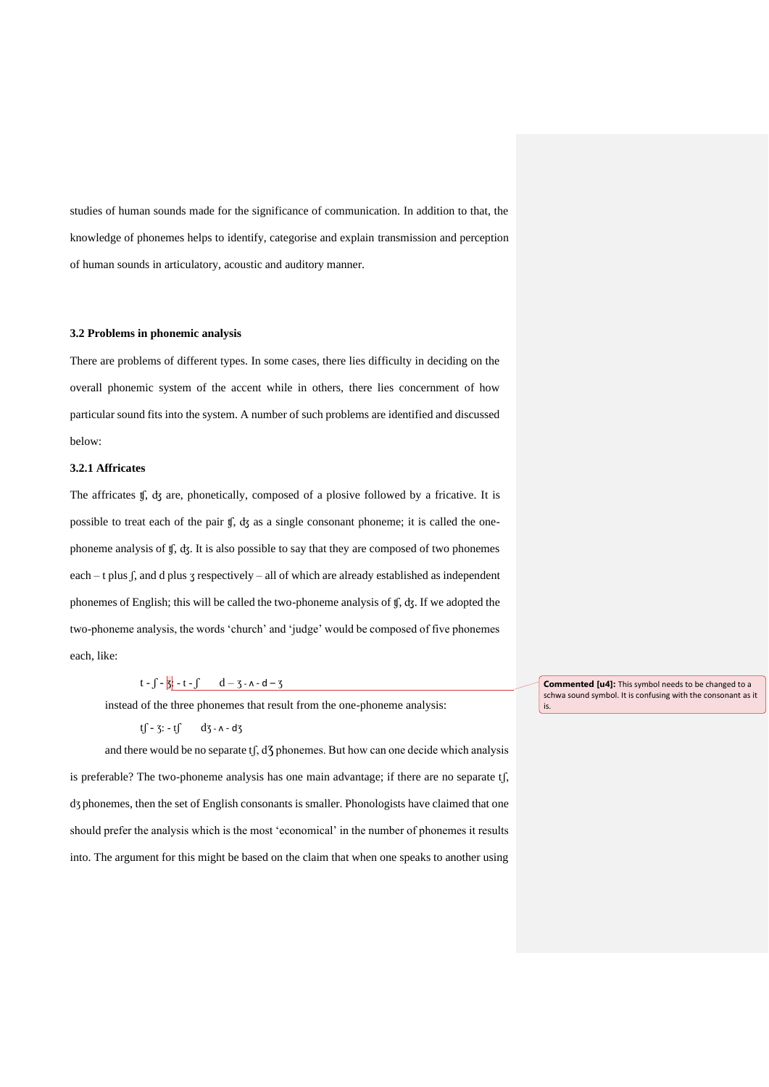studies of human sounds made for the significance of communication. In addition to that, the knowledge of phonemes helps to identify, categorise and explain transmission and perception of human sounds in articulatory, acoustic and auditory manner.

## **3.2 Problems in phonemic analysis**

There are problems of different types. In some cases, there lies difficulty in deciding on the overall phonemic system of the accent while in others, there lies concernment of how particular sound fits into the system. A number of such problems are identified and discussed below:

## **3.2.1 Affricates**

The affricates ʧ, ʤ are, phonetically, composed of a plosive followed by a fricative. It is possible to treat each of the pair ʧ, ʤ as a single consonant phoneme; it is called the onephoneme analysis of ʧ, ʤ. It is also possible to say that they are composed of two phonemes each – t plus  $\int$ , and d plus  $\tau$  respectively – all of which are already established as independent phonemes of English; this will be called the two-phoneme analysis of ʧ, ʤ. If we adopted the two-phoneme analysis, the words 'church' and 'judge' would be composed of five phonemes each, like:

# $t - \int -\frac{1}{3}t - t - \int d - 3 - \lambda - d - 3$

instead of the three phonemes that result from the one-phoneme analysis:

# $tf - 3: -tf - dg - g - d$

and there would be no separate  $t$   $\int$ ,  $d$ <sup>7</sup> phonemes. But how can one decide which analysis is preferable? The two-phoneme analysis has one main advantage; if there are no separate tʃ, dƷ phonemes, then the set of English consonants is smaller. Phonologists have claimed that one should prefer the analysis which is the most 'economical' in the number of phonemes it results into. The argument for this might be based on the claim that when one speaks to another using **Commented [u4]:** This symbol needs to be changed to a schwa sound symbol. It is confusing with the consonant as it is.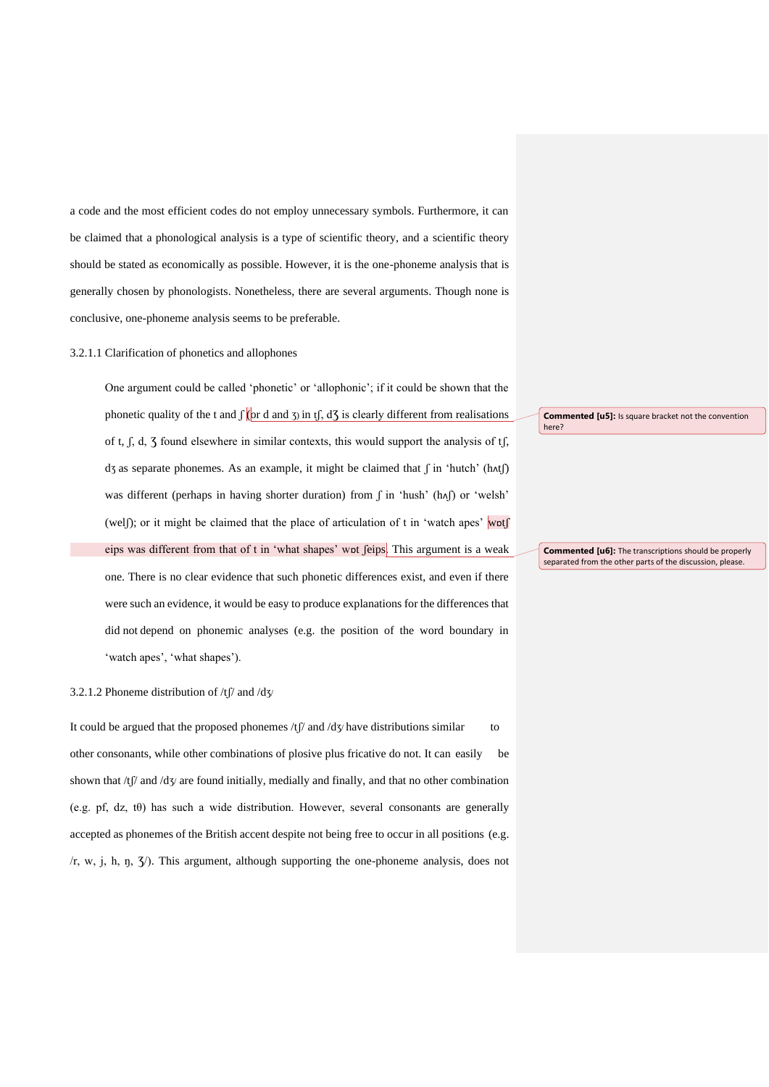a code and the most efficient codes do not employ unnecessary symbols. Furthermore, it can be claimed that a phonological analysis is a type of scientific theory, and a scientific theory should be stated as economically as possible. However, it is the one-phoneme analysis that is generally chosen by phonologists. Nonetheless, there are several arguments. Though none is conclusive, one-phoneme analysis seems to be preferable.

### 3.2.1.1 Clarification of phonetics and allophones

One argument could be called 'phonetic' or 'allophonic'; if it could be shown that the phonetic quality of the t and  $\int$  (or d and  $\bar{y}$ ) in t $\int$ , d $\bar{y}$  is clearly different from realisations of t, ʃ, d, Ʒ found elsewhere in similar contexts, this would support the analysis of tʃ, dʒ as separate phonemes. As an example, it might be claimed that  $\int$  in 'hutch' (hʌt $\int$ ) was different (perhaps in having shorter duration) from  $\int$  in 'hush' (h^I) or 'welsh' (wel); or it might be claimed that the place of articulation of t in 'watch apes' wot eips was different from that of t in 'what shapes' wot feips. This argument is a weak one. There is no clear evidence that such phonetic differences exist, and even if there were such an evidence, it would be easy to produce explanations for the differences that did not depend on phonemic analyses (e.g. the position of the word boundary in 'watch apes', 'what shapes').

# 3.2.1.2 Phoneme distribution of  $/t$   $\beta$  and  $/d\gamma$

It could be argued that the proposed phonemes  $/t$   $\beta$  and  $/dy$  have distributions similar to other consonants, while other combinations of plosive plus fricative do not. It can easily be shown that  $/t$   $\beta$  and  $\gamma$  are found initially, medially and finally, and that no other combination (e.g. pf, dz, t $\theta$ ) has such a wide distribution. However, several consonants are generally accepted as phonemes of the British accent despite not being free to occur in all positions (e.g.  $(r, w, j, h, \eta, \zeta)$ . This argument, although supporting the one-phoneme analysis, does not

**Commented [u5]:** Is square bracket not the convention here?

**Commented [u6]:** The transcriptions should be properly separated from the other parts of the discussion, please.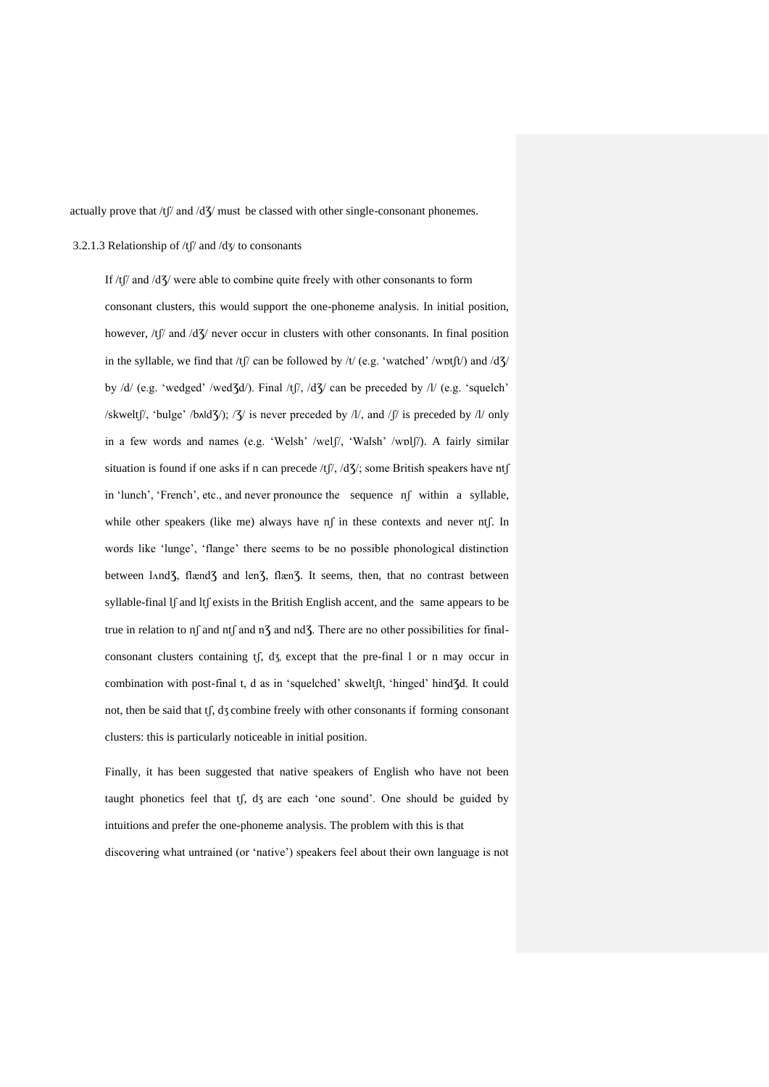actually prove that  $/t$   $/$  and  $/d$  $/$  must be classed with other single-consonant phonemes.

## 3.2.1.3 Relationship of /tʃ/ and /dʒ/ to consonants

If  $/t$  and  $/d$ <sup>7</sup>/ were able to combine quite freely with other consonants to form consonant clusters, this would support the one-phoneme analysis. In initial position, however,  $/t$  and  $/d\zeta$  never occur in clusters with other consonants. In final position in the syllable, we find that /tʃ/ can be followed by /t/ (e.g. 'watched' /wɒtʃt/) and /d3/ by /d/ (e.g. 'wedged' /wed3d/). Final /tf/, /d3/ can be preceded by /l/ (e.g. 'squelch' /skweltʃ/, 'bulge' /bʌldƷ/); /Ʒ/ is never preceded by /l/, and /ʃ/ is preceded by /l/ only in a few words and names (e.g. 'Welsh' /welʃ/, 'Walsh' /wɒlʃ/). A fairly similar situation is found if one asks if n can precede /tf/, /d3/; some British speakers have ntf in 'lunch', 'French', etc., and never pronounce the sequence nʃ within a syllable, while other speakers (like me) always have nf in these contexts and never ntf. In words like 'lunge', 'flange' there seems to be no possible phonological distinction between land<sup>7</sup>, flænd<sup>7</sup> and len<sup>7</sup>, flæn<sup>7</sup>. It seems, then, that no contrast between syllable-final lf and ltf exists in the British English accent, and the same appears to be true in relation to nf and ntf and n $\overline{3}$  and nd $\overline{3}$ . There are no other possibilities for finalconsonant clusters containing tʃ, dƷ, except that the pre-final l or n may occur in combination with post-final t, d as in 'squelched' skweltft, 'hinged' hind3d. It could not, then be said that tʃ, dƷ combine freely with other consonants if forming consonant clusters: this is particularly noticeable in initial position.

Finally, it has been suggested that native speakers of English who have not been taught phonetics feel that tf, d3 are each 'one sound'. One should be guided by intuitions and prefer the one-phoneme analysis. The problem with this is that discovering what untrained (or 'native') speakers feel about their own language is not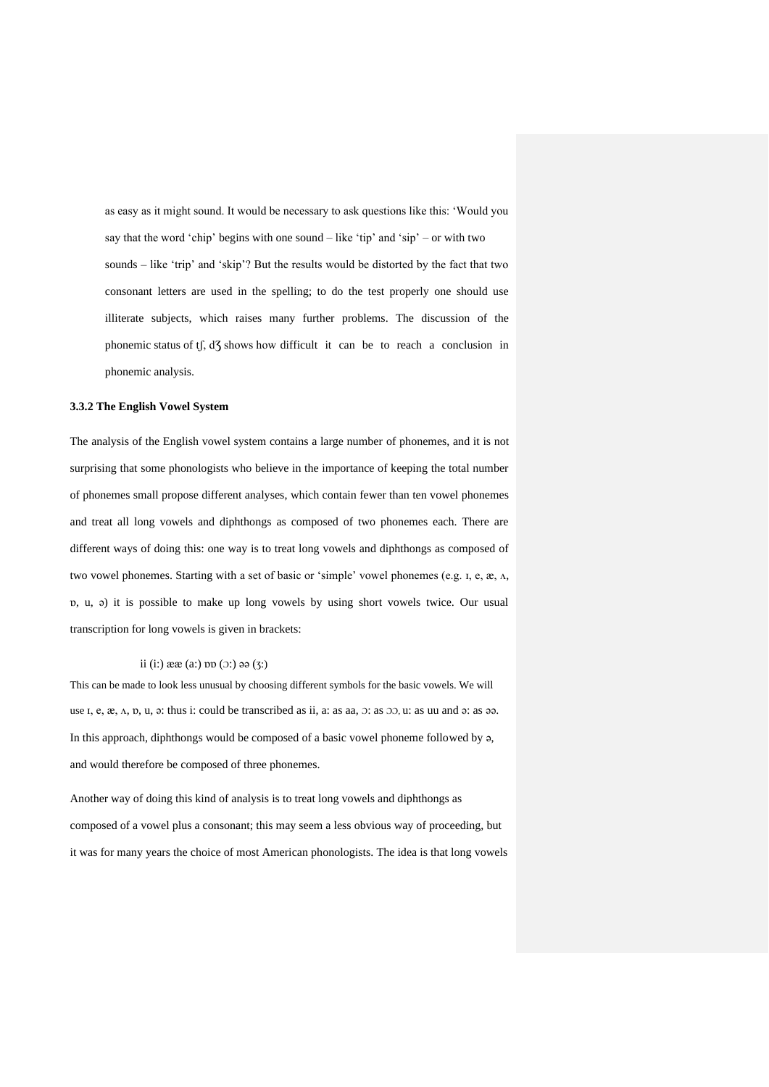as easy as it might sound. It would be necessary to ask questions like this: 'Would you say that the word 'chip' begins with one sound – like 'tip' and 'sip' – or with two sounds – like 'trip' and 'skip'? But the results would be distorted by the fact that two consonant letters are used in the spelling; to do the test properly one should use illiterate subjects, which raises many further problems. The discussion of the phonemic status of tf, d3 shows how difficult it can be to reach a conclusion in phonemic analysis.

# **3.3.2 The English Vowel System**

The analysis of the English vowel system contains a large number of phonemes, and it is not surprising that some phonologists who believe in the importance of keeping the total number of phonemes small propose different analyses, which contain fewer than ten vowel phonemes and treat all long vowels and diphthongs as composed of two phonemes each. There are different ways of doing this: one way is to treat long vowels and diphthongs as composed of two vowel phonemes. Starting with a set of basic or 'simple' vowel phonemes (e.g.  $I$ , e,  $\mathcal{R}$ ,  $\Lambda$ , ɒ, u, ə) it is possible to make up long vowels by using short vowels twice. Our usual transcription for long vowels is given in brackets:

# ii (i:)  $\text{deg}(a)$  pp ( $\text{O}$ :)  $\text{log}(3)$

This can be made to look less unusual by choosing different symbols for the basic vowels. We will use  $I, e, \mathcal{X}, \Lambda, \mathcal{D}, \mathbf{u}, \mathbf{v}$ : thus i: could be transcribed as ii, a: as aa,  $\Im$ : as  $\Im \Im$ , u: as uu and  $\Im$ : as  $\Im \Im$ . In this approach, diphthongs would be composed of a basic vowel phoneme followed by ə, and would therefore be composed of three phonemes.

Another way of doing this kind of analysis is to treat long vowels and diphthongs as composed of a vowel plus a consonant; this may seem a less obvious way of proceeding, but it was for many years the choice of most American phonologists. The idea is that long vowels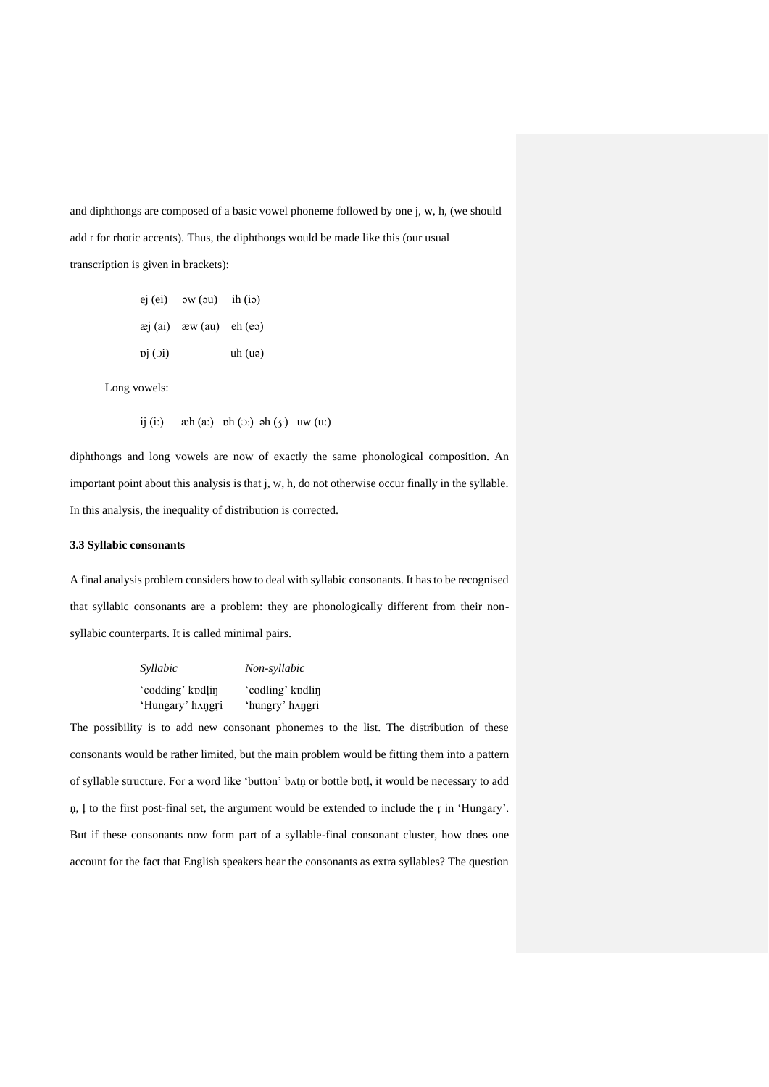and diphthongs are composed of a basic vowel phoneme followed by one j, w, h, (we should add r for rhotic accents). Thus, the diphthongs would be made like this (our usual transcription is given in brackets):

|             | $ej (ei)$ $\partial W (au)$ $ih (i\partial)$ |                     |
|-------------|----------------------------------------------|---------------------|
|             | $\pi$ (ai) $x = w$ (au) $\pi$ (ea)           |                     |
| $\pi$ $(i)$ |                                              | uh(u <sub>9</sub> ) |

Long vowels:

ij (i:)  $\operatorname{ah}(a)$   $\operatorname{bh}(O:)$   $\operatorname{ah}(3)$   $\operatorname{uw}(u)$ 

diphthongs and long vowels are now of exactly the same phonological composition. An important point about this analysis is that j, w, h, do not otherwise occur finally in the syllable. In this analysis, the inequality of distribution is corrected.

# **3.3 Syllabic consonants**

A final analysis problem considers how to deal with syllabic consonants. It has to be recognised that syllabic consonants are a problem: they are phonologically different from their nonsyllabic counterparts. It is called minimal pairs.

| Syllabic         | Non-syllabic     |  |  |
|------------------|------------------|--|--|
| 'codding' kodlin | 'codling' kodlin |  |  |
| 'Hungary' hangri | 'hungry' hangri  |  |  |

The possibility is to add new consonant phonemes to the list. The distribution of these consonants would be rather limited, but the main problem would be fitting them into a pattern of syllable structure. For a word like 'button' bʌtṇ or bottle bɒtḷ, it would be necessary to add ṇ, ḷ to the first post-final set, the argument would be extended to include the ṛ in 'Hungary'. But if these consonants now form part of a syllable-final consonant cluster, how does one account for the fact that English speakers hear the consonants as extra syllables? The question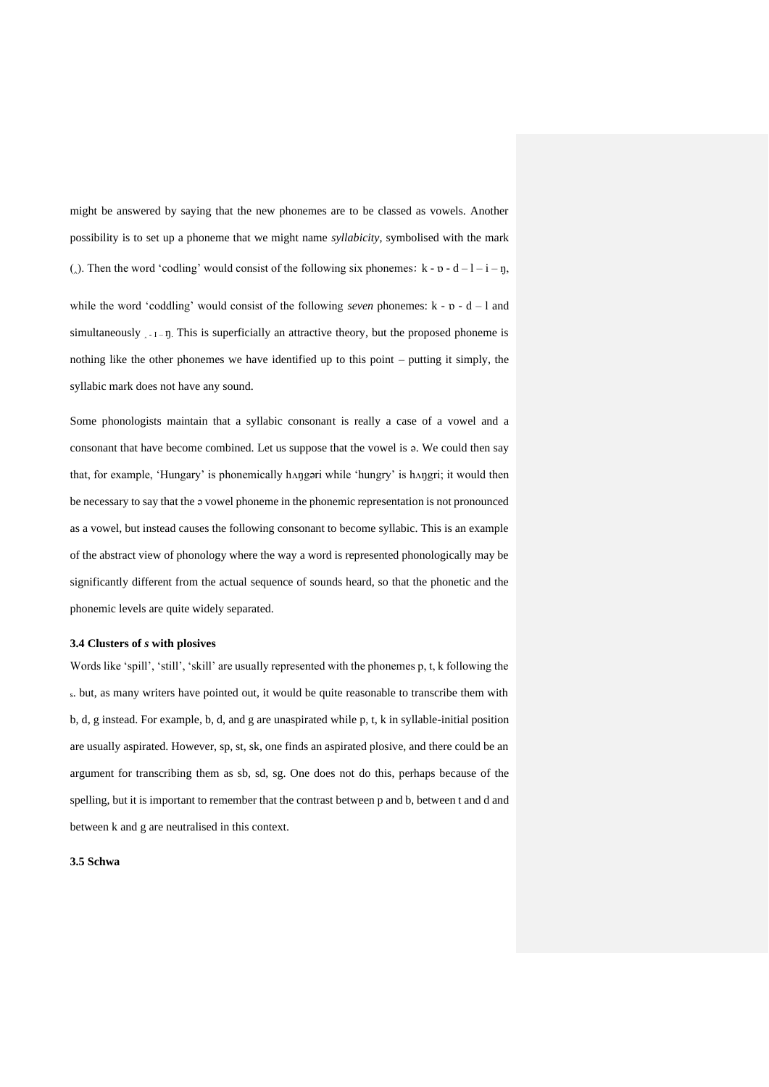might be answered by saying that the new phonemes are to be classed as vowels. Another possibility is to set up a phoneme that we might name *syllabicity*, symbolised with the mark (). Then the word 'codling' would consist of the following six phonemes:  $k - n - d - 1 - i - n$ , while the word 'coddling' would consist of the following *seven* phonemes:  $k - n - d - 1$  and simultaneously  $\frac{1}{1}$  –  $\eta$ . This is superficially an attractive theory, but the proposed phoneme is nothing like the other phonemes we have identified up to this point – putting it simply, the syllabic mark does not have any sound.

Some phonologists maintain that a syllabic consonant is really a case of a vowel and a consonant that have become combined. Let us suppose that the vowel is ə. We could then say that, for example, 'Hungary' is phonemically hʌŋgəri while 'hungry' is hʌŋgri; it would then be necessary to say that the ə vowel phoneme in the phonemic representation is not pronounced as a vowel, but instead causes the following consonant to become syllabic. This is an example of the abstract view of phonology where the way a word is represented phonologically may be significantly different from the actual sequence of sounds heard, so that the phonetic and the phonemic levels are quite widely separated.

#### **3.4 Clusters of** *s* **with plosives**

Words like 'spill', 'still', 'skill' are usually represented with the phonemes p, t, k following the <sup>s</sup>. but, as many writers have pointed out, it would be quite reasonable to transcribe them with b, d, g instead. For example, b, d, and g are unaspirated while p, t, k in syllable-initial position are usually aspirated. However, sp, st, sk, one finds an aspirated plosive, and there could be an argument for transcribing them as sb, sd, sg. One does not do this, perhaps because of the spelling, but it is important to remember that the contrast between p and b, between t and d and between k and g are neutralised in this context.

### **3.5 Schwa**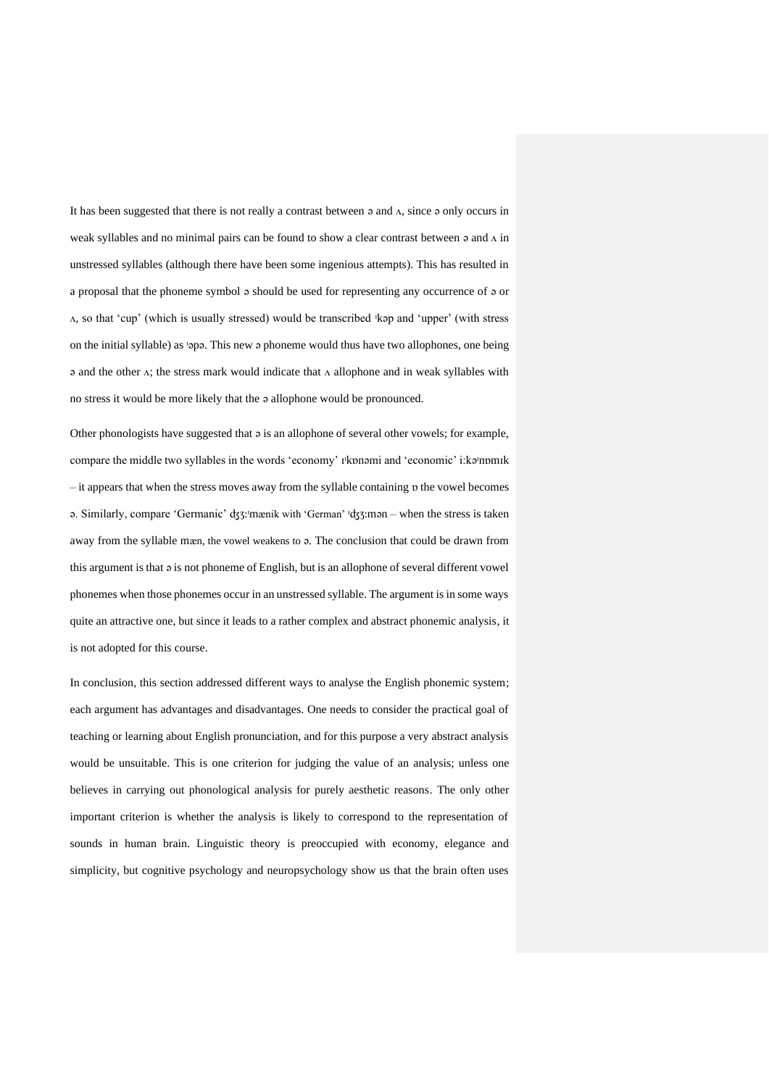It has been suggested that there is not really a contrast between  $\circ$  and  $\Lambda$ , since  $\circ$  only occurs in weak syllables and no minimal pairs can be found to show a clear contrast between  $\circ$  and  $\Lambda$  in unstressed syllables (although there have been some ingenious attempts). This has resulted in a proposal that the phoneme symbol ə should be used for representing any occurrence of ə or ʌ, so that 'cup' (which is usually stressed) would be transcribed ᶦkəp and 'upper' (with stress on the initial syllable) as 'opo. This new o phoneme would thus have two allophones, one being  $\alpha$  and the other  $\alpha$ ; the stress mark would indicate that  $\alpha$  allophone and in weak syllables with no stress it would be more likely that the ə allophone would be pronounced.

Other phonologists have suggested that ə is an allophone of several other vowels; for example, compare the middle two syllables in the words 'economy' *I*'konami and 'economic' i:ka'nomik – it appears that when the stress moves away from the syllable containing ɒ the vowel becomes ə. Similarly, compare 'Germanic' ʤƷ:ᶦmӕnik with 'German' ᶦʤƷ:mən – when the stress is taken away from the syllable mӕn, the vowel weakens to ə. The conclusion that could be drawn from this argument is that ə is not phoneme of English, but is an allophone of several different vowel phonemes when those phonemes occur in an unstressed syllable. The argument is in some ways quite an attractive one, but since it leads to a rather complex and abstract phonemic analysis, it is not adopted for this course.

In conclusion, this section addressed different ways to analyse the English phonemic system; each argument has advantages and disadvantages. One needs to consider the practical goal of teaching or learning about English pronunciation, and for this purpose a very abstract analysis would be unsuitable. This is one criterion for judging the value of an analysis; unless one believes in carrying out phonological analysis for purely aesthetic reasons. The only other important criterion is whether the analysis is likely to correspond to the representation of sounds in human brain. Linguistic theory is preoccupied with economy, elegance and simplicity, but cognitive psychology and neuropsychology show us that the brain often uses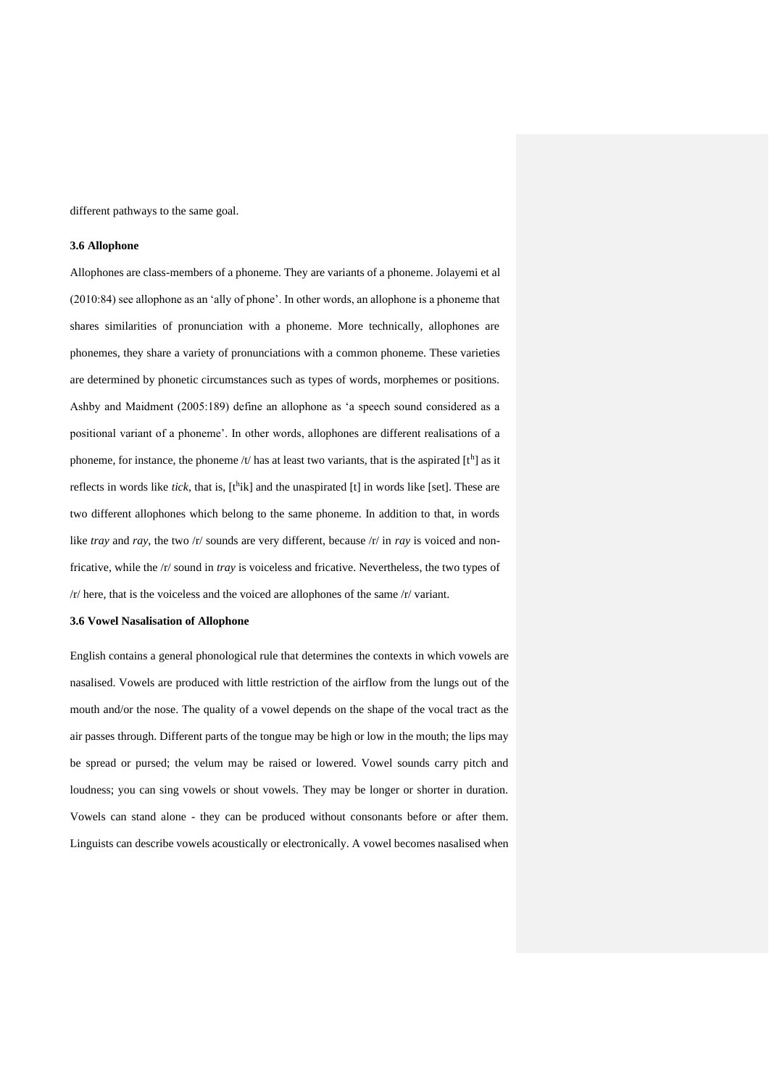different pathways to the same goal.

#### **3.6 Allophone**

Allophones are class-members of a phoneme. They are variants of a phoneme. Jolayemi et al (2010:84) see allophone as an 'ally of phone'. In other words, an allophone is a phoneme that shares similarities of pronunciation with a phoneme. More technically, allophones are phonemes, they share a variety of pronunciations with a common phoneme. These varieties are determined by phonetic circumstances such as types of words, morphemes or positions. Ashby and Maidment (2005:189) define an allophone as 'a speech sound considered as a positional variant of a phoneme'. In other words, allophones are different realisations of a phoneme, for instance, the phoneme /t/ has at least two variants, that is the aspirated  $[t<sup>h</sup>]$  as it reflects in words like *tick*, that is, [t<sup>h</sup>ik] and the unaspirated [t] in words like [set]. These are two different allophones which belong to the same phoneme. In addition to that, in words like *tray* and *ray*, the two /r/ sounds are very different, because /r/ in *ray* is voiced and nonfricative, while the /r/ sound in *tray* is voiceless and fricative. Nevertheless, the two types of /r/ here, that is the voiceless and the voiced are allophones of the same /r/ variant.

### **3.6 Vowel Nasalisation of Allophone**

English contains a general phonological rule that determines the contexts in which vowels are nasalised. Vowels are produced with little restriction of the airflow from the lungs out of the mouth and/or the nose. The quality of a vowel depends on the shape of the vocal tract as the air passes through. Different parts of the tongue may be high or low in the mouth; the lips may be spread or pursed; the velum may be raised or lowered. Vowel sounds carry pitch and loudness; you can sing vowels or shout vowels. They may be longer or shorter in duration. Vowels can stand alone - they can be produced without consonants before or after them. Linguists can describe vowels acoustically or electronically. A vowel becomes nasalised when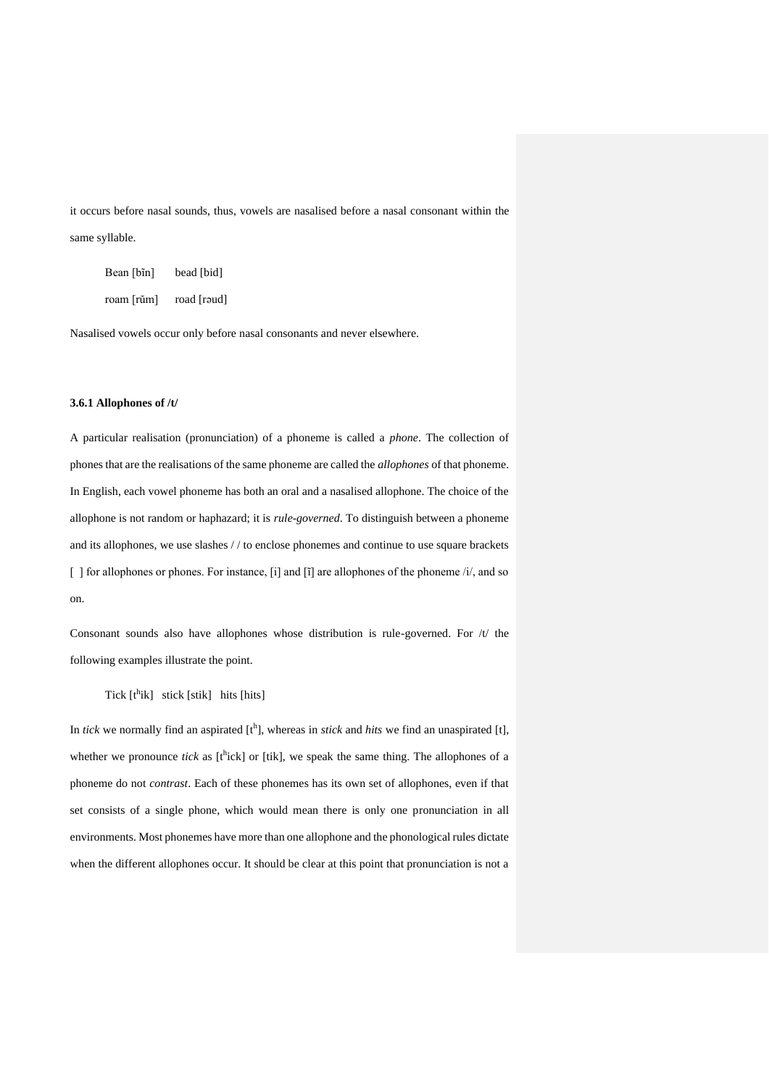it occurs before nasal sounds, thus, vowels are nasalised before a nasal consonant within the same syllable.

| Bean [bĩn] | bead [bid]  |
|------------|-------------|
| roam [rŭm] | road [roud] |

Nasalised vowels occur only before nasal consonants and never elsewhere.

## **3.6.1 Allophones of /t/**

A particular realisation (pronunciation) of a phoneme is called a *phone*. The collection of phones that are the realisations of the same phoneme are called the *allophones* of that phoneme. In English, each vowel phoneme has both an oral and a nasalised allophone. The choice of the allophone is not random or haphazard; it is *rule-governed*. To distinguish between a phoneme and its allophones, we use slashes / / to enclose phonemes and continue to use square brackets [ ] for allophones or phones. For instance, [i] and [i] are allophones of the phoneme /i/, and so on.

Consonant sounds also have allophones whose distribution is rule-governed. For  $/t$  the following examples illustrate the point.

Tick  $[t^h$ ik] stick  $[stit]$  hits  $[hits]$ 

In *tick* we normally find an aspirated [t<sup>h</sup>], whereas in *stick* and *hits* we find an unaspirated [t], whether we pronounce *tick* as  $[t<sup>h</sup>ick]$  or  $[t<sup>h</sup>ick]$ , we speak the same thing. The allophones of a phoneme do not *contrast*. Each of these phonemes has its own set of allophones, even if that set consists of a single phone, which would mean there is only one pronunciation in all environments. Most phonemes have more than one allophone and the phonological rules dictate when the different allophones occur. It should be clear at this point that pronunciation is not a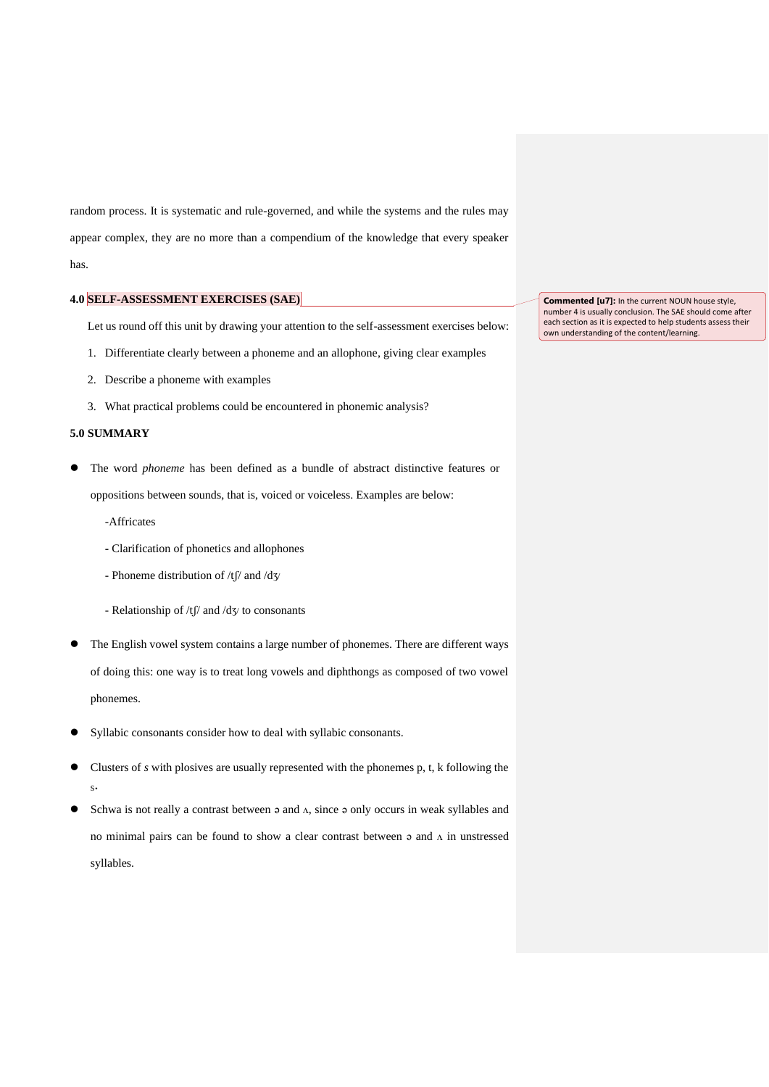random process. It is systematic and rule-governed, and while the systems and the rules may appear complex, they are no more than a compendium of the knowledge that every speaker has.

# **4.0 SELF-ASSESSMENT EXERCISES (SAE)**

Let us round off this unit by drawing your attention to the self-assessment exercises below:

- 1. Differentiate clearly between a phoneme and an allophone, giving clear examples
- 2. Describe a phoneme with examples
- 3. What practical problems could be encountered in phonemic analysis?

# **5.0 SUMMARY**

- ⚫ The word *phoneme* has been defined as a bundle of abstract distinctive features or oppositions between sounds, that is, voiced or voiceless. Examples are below:
	- -Affricates
	- **-** Clarification of phonetics and allophones
	- Phoneme distribution of /tʃ/ and /dʒ/
	- Relationship of  $/t$   $\beta$  and  $/d$  $\gamma$  to consonants
- ⚫ The English vowel system contains a large number of phonemes. There are different ways of doing this: one way is to treat long vowels and diphthongs as composed of two vowel phonemes.
- ⚫ Syllabic consonants consider how to deal with syllabic consonants.
- ⚫ Clusters of *s* with plosives are usually represented with the phonemes p, t, k following the s.
- Schwa is not really a contrast between  $\circ$  and  $\Lambda$ , since  $\circ$  only occurs in weak syllables and no minimal pairs can be found to show a clear contrast between  $\circ$  and  $\Lambda$  in unstressed syllables.

**Commented [u7]:** In the current NOUN house style, number 4 is usually conclusion. The SAE should come after each section as it is expected to help students assess their own understanding of the content/learning.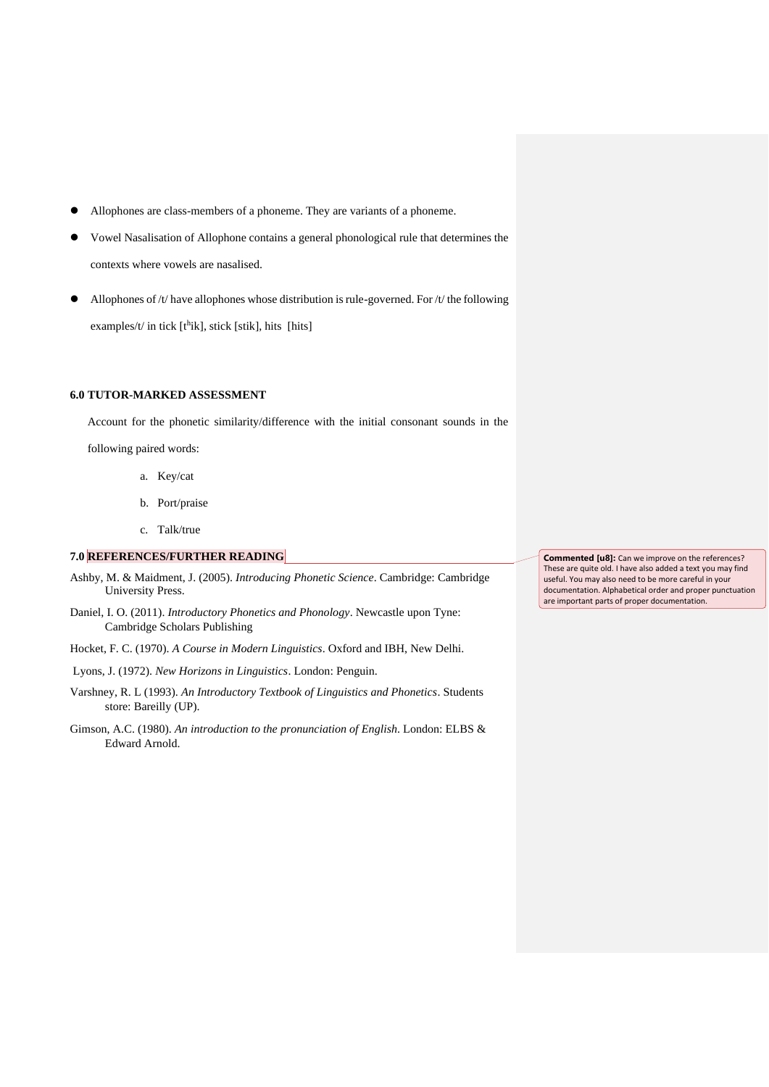- ⚫ Allophones are class-members of a phoneme. They are variants of a phoneme.
- ⚫ Vowel Nasalisation of Allophone contains a general phonological rule that determines the contexts where vowels are nasalised.
- Allophones of  $/t$  have allophones whose distribution is rule-governed. For  $/t$  the following examples/t/ in tick  $[t^h$ ik], stick [stik], hits [hits]

## **6.0 TUTOR-MARKED ASSESSMENT**

Account for the phonetic similarity/difference with the initial consonant sounds in the

following paired words:

- a. Key/cat
- b. Port/praise
- c. Talk/true

# **7.0 REFERENCES/FURTHER READING**

- Ashby, M. & Maidment, J. (2005). *Introducing Phonetic Science*. Cambridge: Cambridge University Press.
- Daniel, I. O. (2011). *Introductory Phonetics and Phonology*. Newcastle upon Tyne: Cambridge Scholars Publishing
- Hocket, F. C. (1970). *A Course in Modern Linguistics*. Oxford and IBH, New Delhi.
- Lyons, J. (1972). *New Horizons in Linguistics*. London: Penguin.
- Varshney, R. L (1993). *An Introductory Textbook of Linguistics and Phonetics*. Students store: Bareilly (UP).
- Gimson, A.C. (1980). *An introduction to the pronunciation of English*. London: ELBS & Edward Arnold.

**Commented [u8]:** Can we improve on the references? These are quite old. I have also added a text you may find useful. You may also need to be more careful in your documentation. Alphabetical order and proper punctuation are important parts of proper documentation.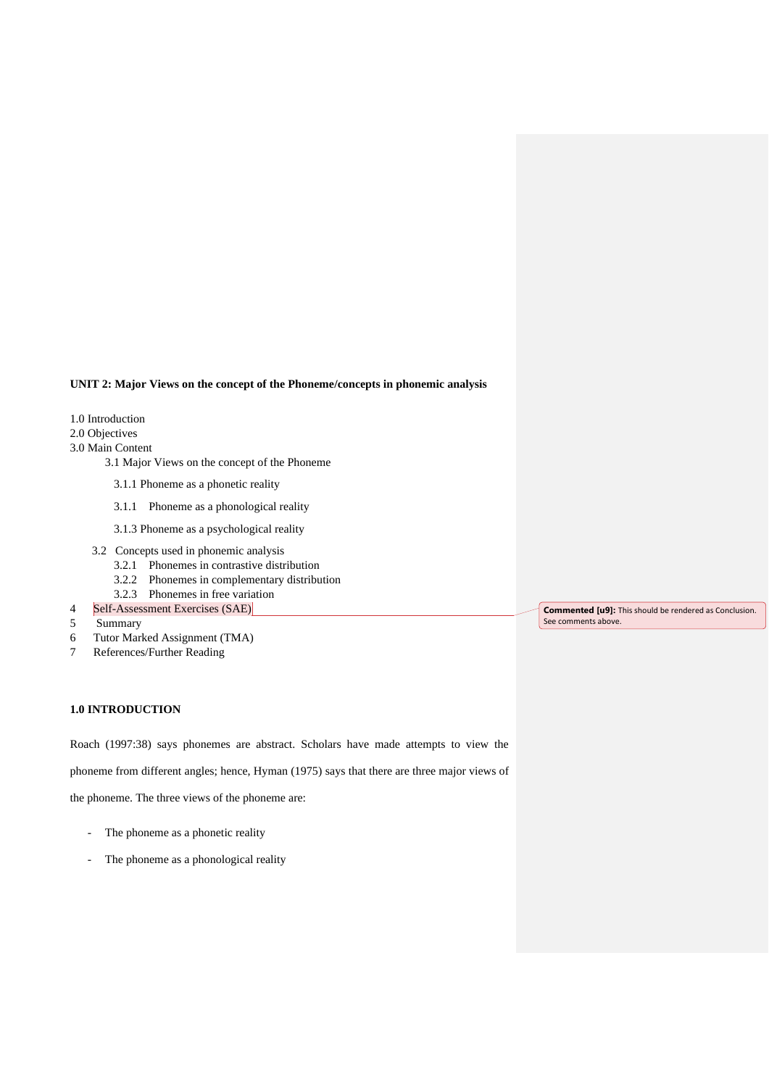# **UNIT 2: Major Views on the concept of the Phoneme/concepts in phonemic analysis**

- 1.0 Introduction
- 2.0 Objectives
- 3.0 Main Content
	- 3.1 Major Views on the concept of the Phoneme
		- 3.1.1 Phoneme as a phonetic reality
		- 3.1.1 Phoneme as a phonological reality
	- 3.1.3 Phoneme as a psychological reality
	- 3.2 Concepts used in phonemic analysis
		- 3.2.1 Phonemes in contrastive distribution
		- 3.2.2 Phonemes in complementary distribution
		- 3.2.3 Phonemes in free variation
- 4 Self-Assessment Exercises (SAE)
- 5 Summary
- 6 Tutor Marked Assignment (TMA)
- 7 References/Further Reading

# **1.0 INTRODUCTION**

Roach (1997:38) says phonemes are abstract. Scholars have made attempts to view the

phoneme from different angles; hence, Hyman (1975) says that there are three major views of

the phoneme. The three views of the phoneme are:

- The phoneme as a phonetic reality
- The phoneme as a phonological reality

**Commented [u9]:** This should be rendered as Conclusion. See comments above.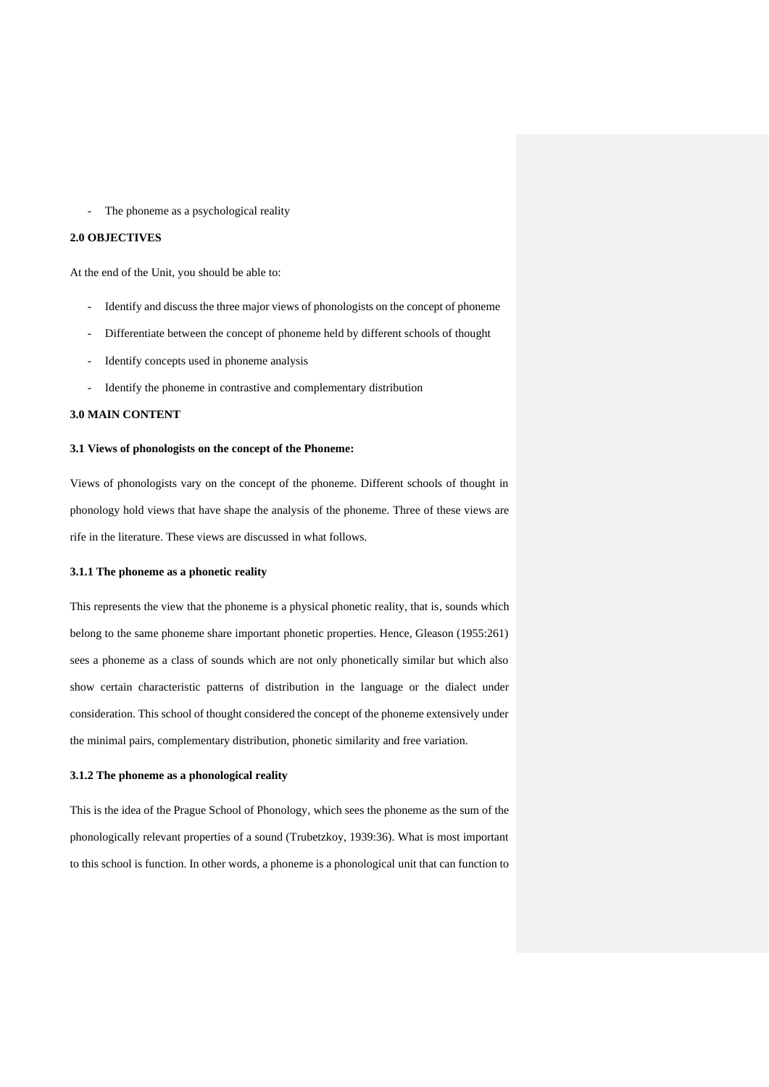- The phoneme as a psychological reality

#### **2.0 OBJECTIVES**

At the end of the Unit, you should be able to:

- Identify and discuss the three major views of phonologists on the concept of phoneme
- Differentiate between the concept of phoneme held by different schools of thought
- Identify concepts used in phoneme analysis
- Identify the phoneme in contrastive and complementary distribution

### **3.0 MAIN CONTENT**

## **3.1 Views of phonologists on the concept of the Phoneme:**

Views of phonologists vary on the concept of the phoneme. Different schools of thought in phonology hold views that have shape the analysis of the phoneme. Three of these views are rife in the literature. These views are discussed in what follows.

#### **3.1.1 The phoneme as a phonetic reality**

This represents the view that the phoneme is a physical phonetic reality, that is, sounds which belong to the same phoneme share important phonetic properties. Hence, Gleason (1955:261) sees a phoneme as a class of sounds which are not only phonetically similar but which also show certain characteristic patterns of distribution in the language or the dialect under consideration. This school of thought considered the concept of the phoneme extensively under the minimal pairs, complementary distribution, phonetic similarity and free variation.

### **3.1.2 The phoneme as a phonological reality**

This is the idea of the Prague School of Phonology, which sees the phoneme as the sum of the phonologically relevant properties of a sound (Trubetzkoy, 1939:36). What is most important to this school is function. In other words, a phoneme is a phonological unit that can function to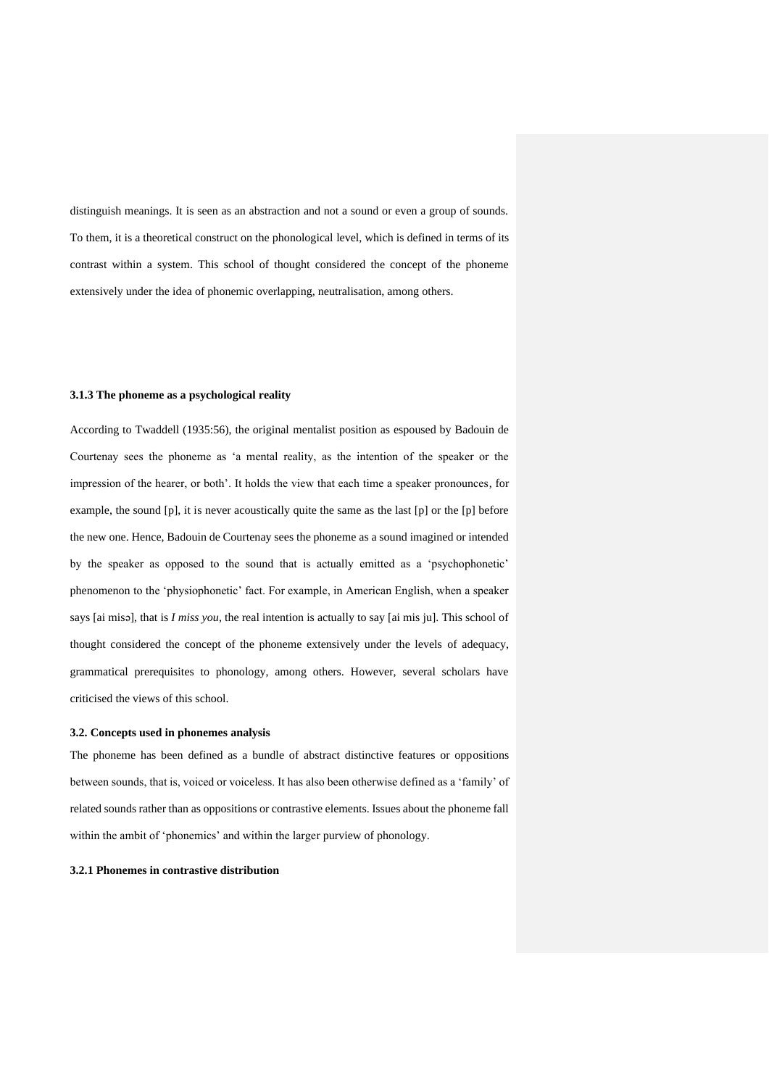distinguish meanings. It is seen as an abstraction and not a sound or even a group of sounds. To them, it is a theoretical construct on the phonological level, which is defined in terms of its contrast within a system. This school of thought considered the concept of the phoneme extensively under the idea of phonemic overlapping, neutralisation, among others.

#### **3.1.3 The phoneme as a psychological reality**

According to Twaddell (1935:56), the original mentalist position as espoused by Badouin de Courtenay sees the phoneme as 'a mental reality, as the intention of the speaker or the impression of the hearer, or both'. It holds the view that each time a speaker pronounces, for example, the sound  $[p]$ , it is never acoustically quite the same as the last  $[p]$  or the  $[p]$  before the new one. Hence, Badouin de Courtenay sees the phoneme as a sound imagined or intended by the speaker as opposed to the sound that is actually emitted as a 'psychophonetic' phenomenon to the 'physiophonetic' fact. For example, in American English, when a speaker says [ai misə], that is *I miss you*, the real intention is actually to say [ai mis ju]. This school of thought considered the concept of the phoneme extensively under the levels of adequacy, grammatical prerequisites to phonology, among others. However, several scholars have criticised the views of this school.

#### **3.2. Concepts used in phonemes analysis**

The phoneme has been defined as a bundle of abstract distinctive features or oppositions between sounds, that is, voiced or voiceless. It has also been otherwise defined as a 'family' of related sounds rather than as oppositions or contrastive elements. Issues about the phoneme fall within the ambit of 'phonemics' and within the larger purview of phonology.

# **3.2.1 Phonemes in contrastive distribution**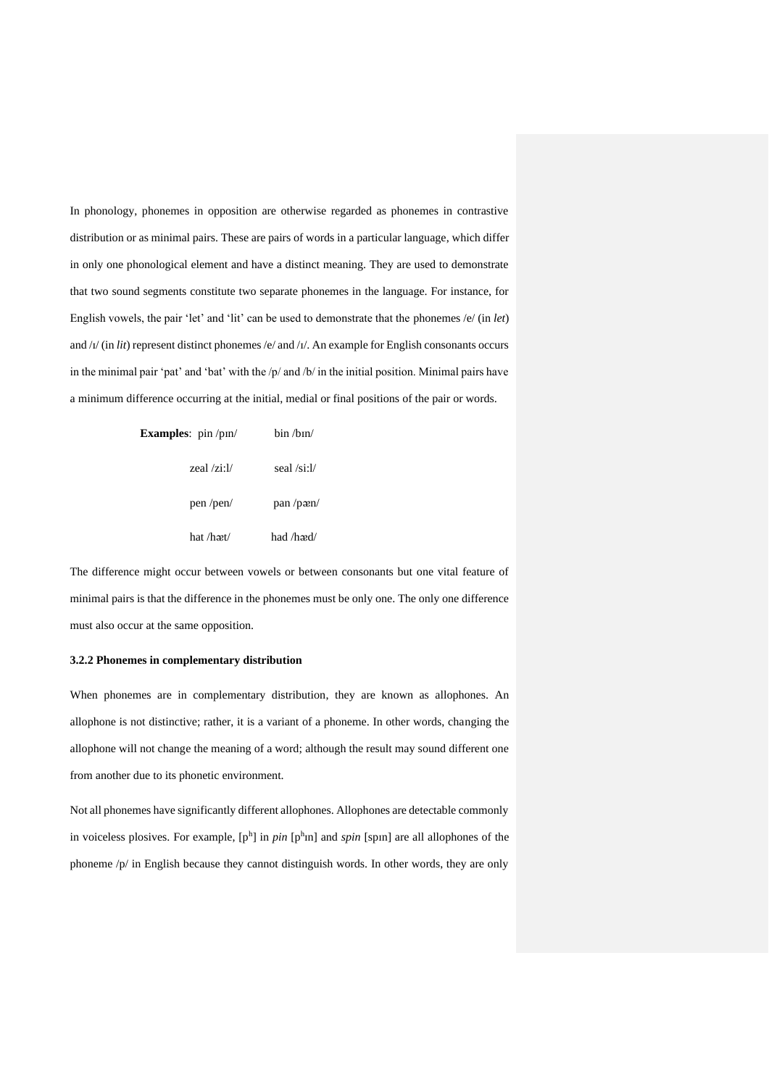In phonology, phonemes in opposition are otherwise regarded as phonemes in contrastive distribution or as minimal pairs. These are pairs of words in a particular language, which differ in only one phonological element and have a distinct meaning. They are used to demonstrate that two sound segments constitute two separate phonemes in the language. For instance, for English vowels, the pair 'let' and 'lit' can be used to demonstrate that the phonemes /e/ (in *let*) and /ɪ/ (in *lit*) represent distinct phonemes /e/ and /ɪ/. An example for English consonants occurs in the minimal pair 'pat' and 'bat' with the /p/ and /b/ in the initial position. Minimal pairs have a minimum difference occurring at the initial, medial or final positions of the pair or words.

| <b>Examples:</b> $pin/pin/$          | bin / h in / |
|--------------------------------------|--------------|
| zeal $\overline{z}$ i: $\frac{1}{2}$ | seal /si:l/  |
| pen/pen/                             | pan/pan/     |
| hat /hæt/                            | had /hæd/    |

The difference might occur between vowels or between consonants but one vital feature of minimal pairs is that the difference in the phonemes must be only one. The only one difference must also occur at the same opposition.

#### **3.2.2 Phonemes in complementary distribution**

When phonemes are in complementary distribution, they are known as allophones. An allophone is not distinctive; rather, it is a variant of a phoneme. In other words, changing the allophone will not change the meaning of a word; although the result may sound different one from another due to its phonetic environment.

Not all phonemes have significantly different allophones. Allophones are detectable commonly in voiceless plosives. For example,  $[p^h]$  in *pin*  $[p^h \text{in}]$  and *spin* [spin] are all allophones of the phoneme /p/ in English because they cannot distinguish words. In other words, they are only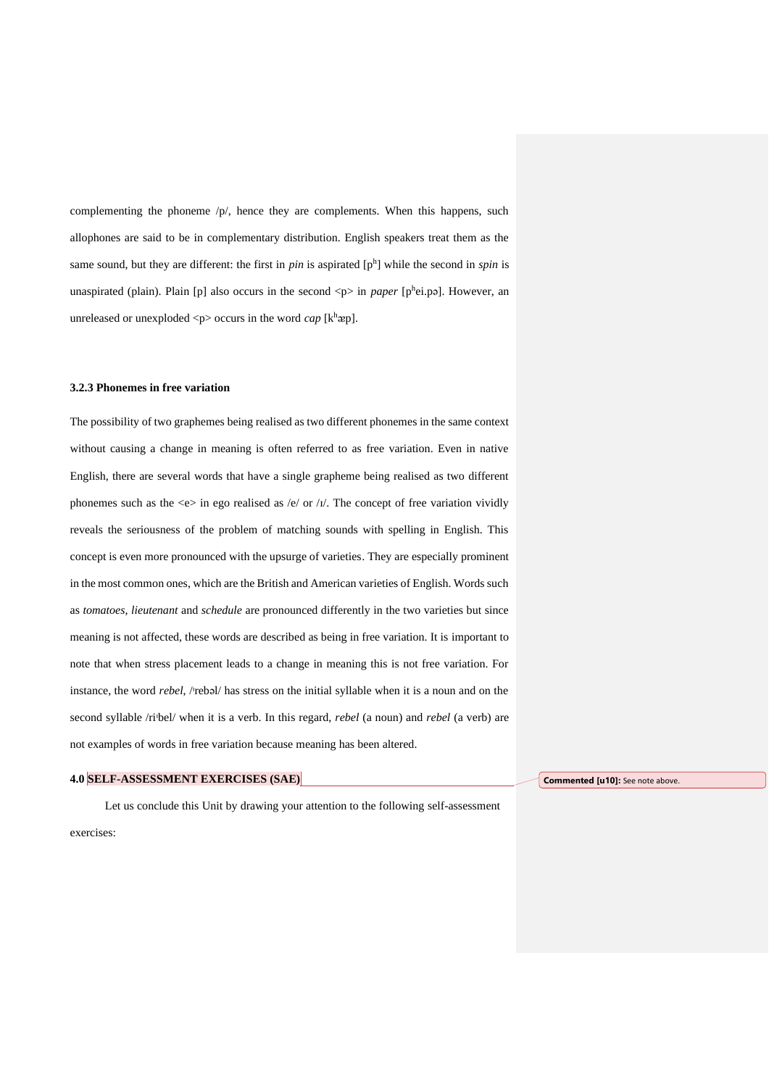complementing the phoneme /p/, hence they are complements. When this happens, such allophones are said to be in complementary distribution. English speakers treat them as the same sound, but they are different: the first in  $pin$  is aspirated  $[p<sup>h</sup>]$  while the second in *spin* is unaspirated (plain). Plain [p] also occurs in the second <p> in *paper* [phei.pa]. However, an unreleased or unexploded  $\langle p \rangle$  occurs in the word *cap* [k<sup>h</sup>æp].

## **3.2.3 Phonemes in free variation**

The possibility of two graphemes being realised as two different phonemes in the same context without causing a change in meaning is often referred to as free variation. Even in native English, there are several words that have a single grapheme being realised as two different phonemes such as the  $\ll$  in ego realised as /e/ or /ɪ/. The concept of free variation vividly reveals the seriousness of the problem of matching sounds with spelling in English. This concept is even more pronounced with the upsurge of varieties. They are especially prominent in the most common ones, which are the British and American varieties of English. Words such as *tomatoes*, *lieutenant* and *schedule* are pronounced differently in the two varieties but since meaning is not affected, these words are described as being in free variation. It is important to note that when stress placement leads to a change in meaning this is not free variation. For instance, the word *rebel*, /rebəl/ has stress on the initial syllable when it is a noun and on the second syllable /ri<sup>*bel/*</sup> when it is a verb. In this regard, *rebel* (a noun) and *rebel* (a verb) are not examples of words in free variation because meaning has been altered.

# **4.0 SELF-ASSESSMENT EXERCISES (SAE)**

Let us conclude this Unit by drawing your attention to the following self-assessment exercises:

**Commented [u10]:** See note above.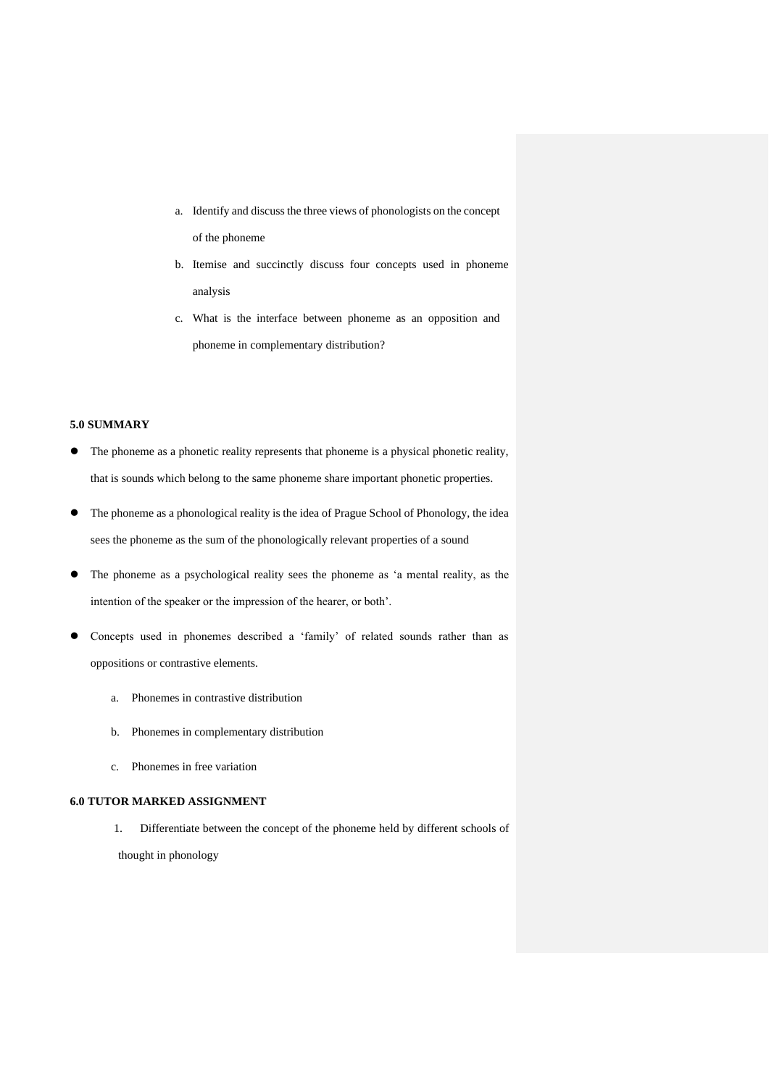- a. Identify and discuss the three views of phonologists on the concept of the phoneme
- b. Itemise and succinctly discuss four concepts used in phoneme analysis
- c. What is the interface between phoneme as an opposition and phoneme in complementary distribution?

# **5.0 SUMMARY**

- ⚫ The phoneme as a phonetic reality represents that phoneme is a physical phonetic reality, that is sounds which belong to the same phoneme share important phonetic properties.
- ⚫ The phoneme as a phonological reality is the idea of Prague School of Phonology, the idea sees the phoneme as the sum of the phonologically relevant properties of a sound
- ⚫ The phoneme as a psychological reality sees the phoneme as 'a mental reality, as the intention of the speaker or the impression of the hearer, or both'.
- ⚫ Concepts used in phonemes described a 'family' of related sounds rather than as oppositions or contrastive elements.
	- a. Phonemes in contrastive distribution
	- b. Phonemes in complementary distribution
	- c. Phonemes in free variation

# **6.0 TUTOR MARKED ASSIGNMENT**

1. Differentiate between the concept of the phoneme held by different schools of thought in phonology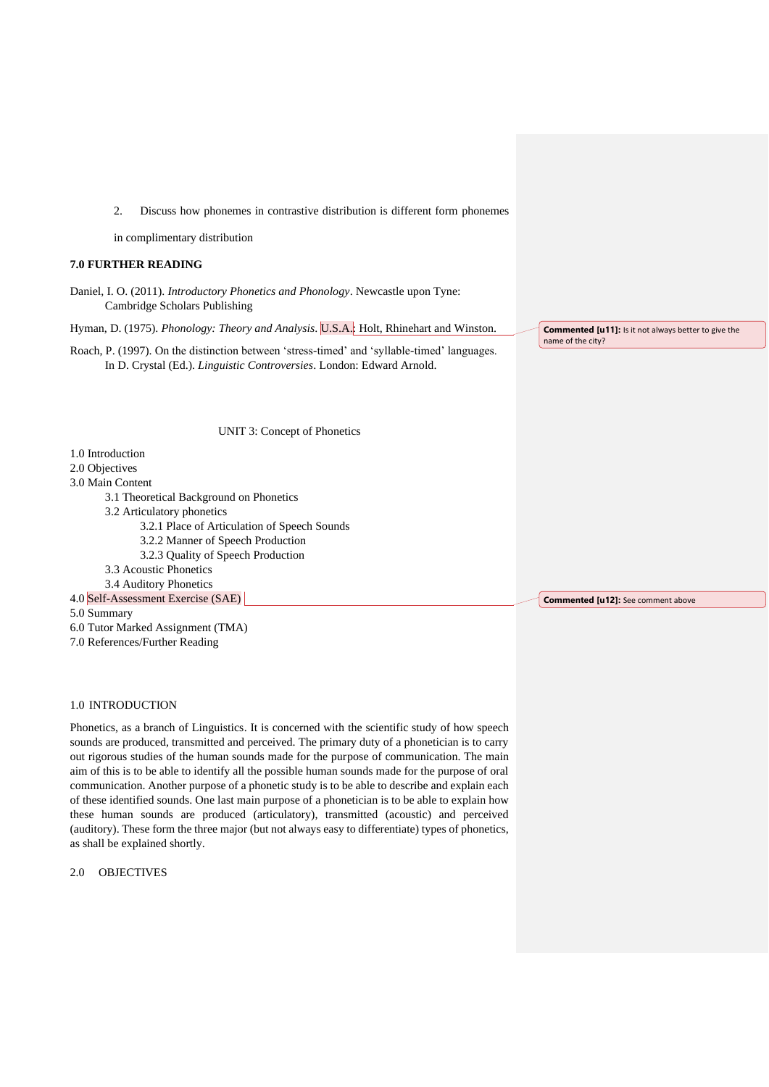2. Discuss how phonemes in contrastive distribution is different form phonemes

in complimentary distribution

## **7.0 FURTHER READING**

Daniel, I. O. (2011). *Introductory Phonetics and Phonology*. Newcastle upon Tyne: Cambridge Scholars Publishing

Hyman, D. (1975). *Phonology: Theory and Analysis*. U.S.A.: Holt, Rhinehart and Winston.

Roach, P. (1997). On the distinction between 'stress-timed' and 'syllable-timed' languages. In D. Crystal (Ed.). *Linguistic Controversies*. London: Edward Arnold.

name of the city?

**Commented [u11]:** Is it not always better to give the

UNIT 3: Concept of Phonetics

1.0 Introduction

2.0 Objectives

3.0 Main Content

- 3.1 Theoretical Background on Phonetics
- 3.2 Articulatory phonetics
	- 3.2.1 Place of Articulation of Speech Sounds
	- 3.2.2 Manner of Speech Production
	- 3.2.3 Quality of Speech Production

3.3 Acoustic Phonetics

3.4 Auditory Phonetics 4.0 Self-Assessment Exercise (SAE)

5.0 Summary

6.0 Tutor Marked Assignment (TMA)

7.0 References/Further Reading

1.0 INTRODUCTION

Phonetics, as a branch of Linguistics. It is concerned with the scientific study of how speech sounds are produced, transmitted and perceived. The primary duty of a phonetician is to carry out rigorous studies of the human sounds made for the purpose of communication. The main aim of this is to be able to identify all the possible human sounds made for the purpose of oral communication. Another purpose of a phonetic study is to be able to describe and explain each of these identified sounds. One last main purpose of a phonetician is to be able to explain how these human sounds are produced (articulatory), transmitted (acoustic) and perceived (auditory). These form the three major (but not always easy to differentiate) types of phonetics, as shall be explained shortly.

2.0 OBJECTIVES

**Commented [u12]:** See comment above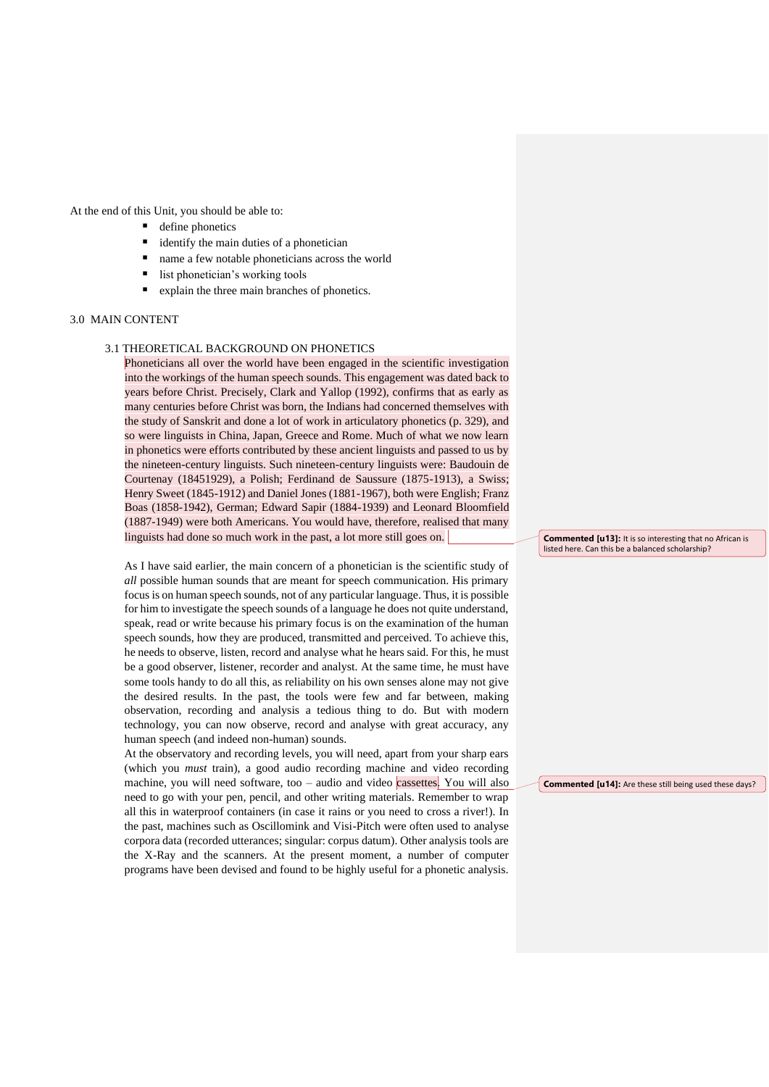At the end of this Unit, you should be able to:

- define phonetics
- identify the main duties of a phonetician
- name a few notable phoneticians across the world
- list phonetician's working tools
- explain the three main branches of phonetics.

# 3.0 MAIN CONTENT

## 3.1 THEORETICAL BACKGROUND ON PHONETICS

Phoneticians all over the world have been engaged in the scientific investigation into the workings of the human speech sounds. This engagement was dated back to years before Christ. Precisely, Clark and Yallop (1992), confirms that as early as many centuries before Christ was born, the Indians had concerned themselves with the study of Sanskrit and done a lot of work in articulatory phonetics (p. 329), and so were linguists in China, Japan, Greece and Rome. Much of what we now learn in phonetics were efforts contributed by these ancient linguists and passed to us by the nineteen-century linguists. Such nineteen-century linguists were: Baudouin de Courtenay (18451929), a Polish; Ferdinand de Saussure (1875-1913), a Swiss; Henry Sweet (1845-1912) and Daniel Jones (1881-1967), both were English; Franz Boas (1858-1942), German; Edward Sapir (1884-1939) and Leonard Bloomfield (1887-1949) were both Americans. You would have, therefore, realised that many linguists had done so much work in the past, a lot more still goes on.

As I have said earlier, the main concern of a phonetician is the scientific study of *all* possible human sounds that are meant for speech communication. His primary focus is on human speech sounds, not of any particular language. Thus, it is possible for him to investigate the speech sounds of a language he does not quite understand, speak, read or write because his primary focus is on the examination of the human speech sounds, how they are produced, transmitted and perceived. To achieve this, he needs to observe, listen, record and analyse what he hears said. For this, he must be a good observer, listener, recorder and analyst. At the same time, he must have some tools handy to do all this, as reliability on his own senses alone may not give the desired results. In the past, the tools were few and far between, making observation, recording and analysis a tedious thing to do. But with modern technology, you can now observe, record and analyse with great accuracy, any human speech (and indeed non-human) sounds.

At the observatory and recording levels, you will need, apart from your sharp ears (which you *must* train), a good audio recording machine and video recording machine, you will need software, too – audio and video cassettes. You will also need to go with your pen, pencil, and other writing materials. Remember to wrap all this in waterproof containers (in case it rains or you need to cross a river!). In the past, machines such as Oscillomink and Visi-Pitch were often used to analyse corpora data (recorded utterances; singular: corpus datum). Other analysis tools are the X-Ray and the scanners. At the present moment, a number of computer programs have been devised and found to be highly useful for a phonetic analysis.

**Commented [u13]:** It is so interesting that no African is listed here. Can this be a balanced scholarship?

**Commented [u14]:** Are these still being used these days?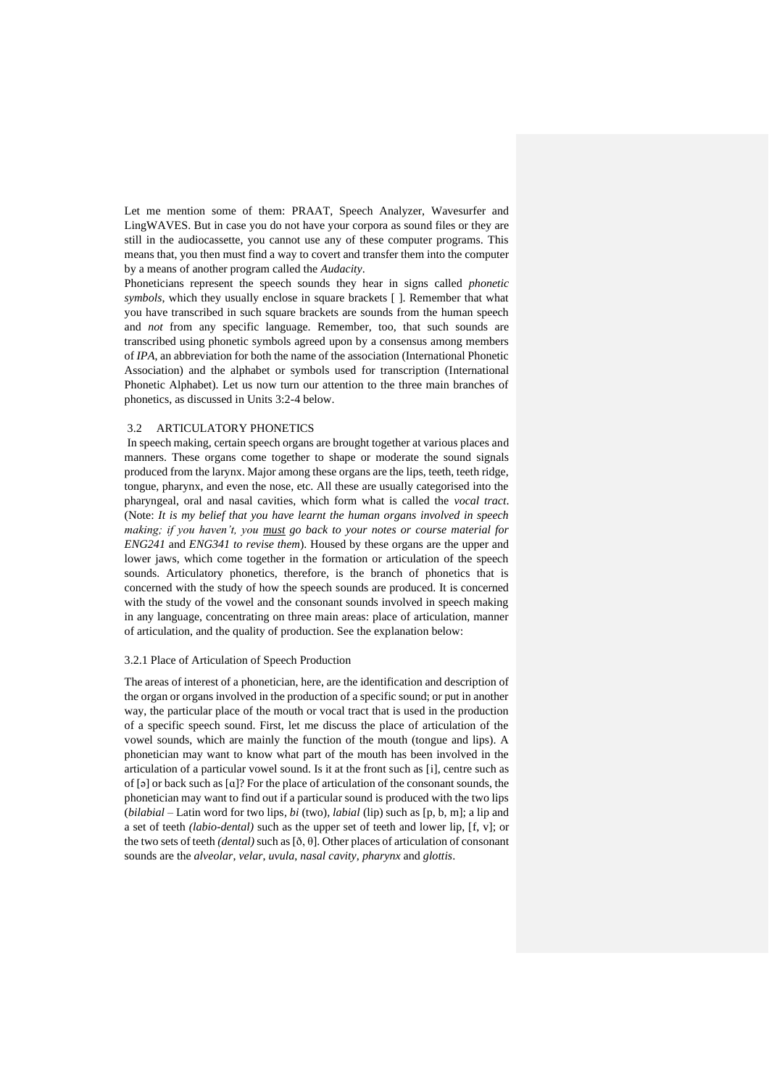Let me mention some of them: PRAAT, Speech Analyzer, Wavesurfer and LingWAVES. But in case you do not have your corpora as sound files or they are still in the audiocassette, you cannot use any of these computer programs. This means that, you then must find a way to covert and transfer them into the computer by a means of another program called the *Audacity*.

Phoneticians represent the speech sounds they hear in signs called *phonetic symbols*, which they usually enclose in square brackets [ ]. Remember that what you have transcribed in such square brackets are sounds from the human speech and *not* from any specific language. Remember, too, that such sounds are transcribed using phonetic symbols agreed upon by a consensus among members of *IPA*, an abbreviation for both the name of the association (International Phonetic Association) and the alphabet or symbols used for transcription (International Phonetic Alphabet). Let us now turn our attention to the three main branches of phonetics, as discussed in Units 3:2-4 below.

#### 3.2 ARTICULATORY PHONETICS

In speech making, certain speech organs are brought together at various places and manners. These organs come together to shape or moderate the sound signals produced from the larynx. Major among these organs are the lips, teeth, teeth ridge, tongue, pharynx, and even the nose, etc. All these are usually categorised into the pharyngeal, oral and nasal cavities, which form what is called the *vocal tract*. (Note: *It is my belief that you have learnt the human organs involved in speech making; if you haven't, you must go back to your notes or course material for ENG241* and *ENG341 to revise them*). Housed by these organs are the upper and lower jaws, which come together in the formation or articulation of the speech sounds. Articulatory phonetics, therefore, is the branch of phonetics that is concerned with the study of how the speech sounds are produced. It is concerned with the study of the vowel and the consonant sounds involved in speech making in any language, concentrating on three main areas: place of articulation, manner of articulation, and the quality of production. See the explanation below:

#### 3.2.1 Place of Articulation of Speech Production

The areas of interest of a phonetician, here, are the identification and description of the organ or organs involved in the production of a specific sound; or put in another way, the particular place of the mouth or vocal tract that is used in the production of a specific speech sound. First, let me discuss the place of articulation of the vowel sounds, which are mainly the function of the mouth (tongue and lips). A phonetician may want to know what part of the mouth has been involved in the articulation of a particular vowel sound. Is it at the front such as [i], centre such as of [ə] or back such as [ɑ]? For the place of articulation of the consonant sounds, the phonetician may want to find out if a particular sound is produced with the two lips (*bilabial* – Latin word for two lips*, bi* (two)*, labial* (lip) such as [p, b, m]; a lip and a set of teeth *(labio-dental)* such as the upper set of teeth and lower lip, [f, v]; or the two sets of teeth *(dental)* such as [ð, θ]. Other places of articulation of consonant sounds are the *alveolar*, *velar*, *uvula*, *nasal cavity*, *pharynx* and *glottis*.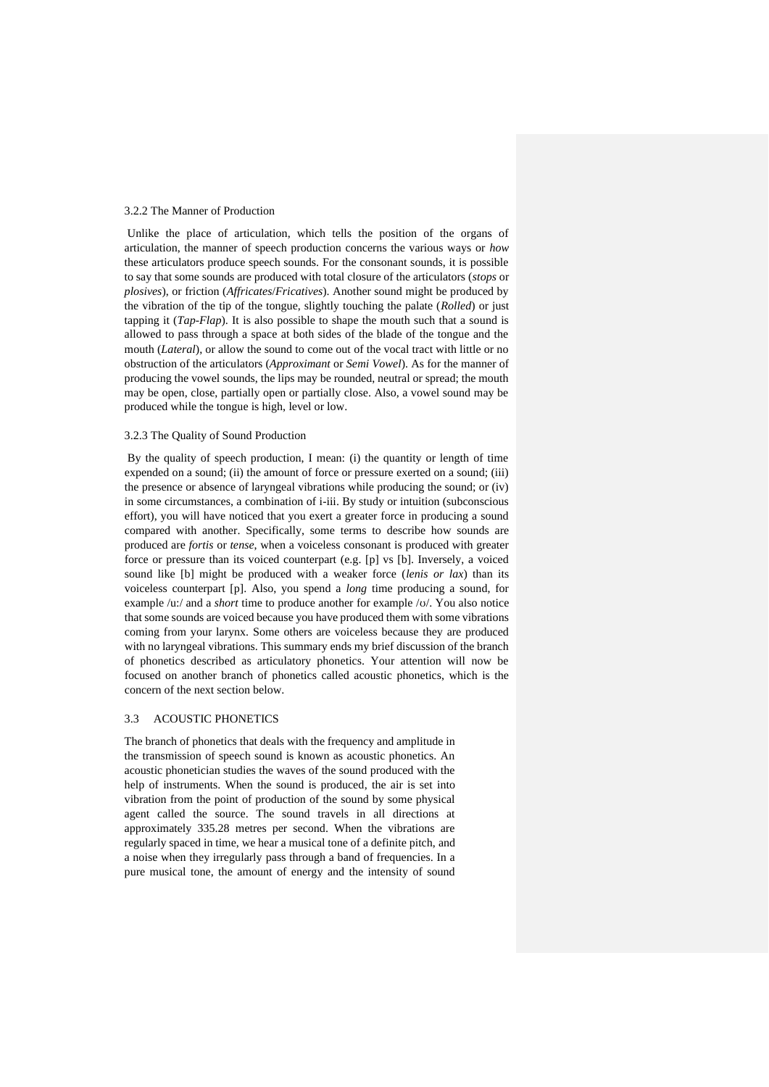#### 3.2.2 The Manner of Production

Unlike the place of articulation, which tells the position of the organs of articulation, the manner of speech production concerns the various ways or *how* these articulators produce speech sounds. For the consonant sounds, it is possible to say that some sounds are produced with total closure of the articulators (*stops* or *plosives*), or friction (*Affricates*/*Fricatives*). Another sound might be produced by the vibration of the tip of the tongue, slightly touching the palate (*Rolled*) or just tapping it (*Tap-Flap*). It is also possible to shape the mouth such that a sound is allowed to pass through a space at both sides of the blade of the tongue and the mouth (*Lateral*), or allow the sound to come out of the vocal tract with little or no obstruction of the articulators (*Approximant* or *Semi Vowel*). As for the manner of producing the vowel sounds, the lips may be rounded, neutral or spread; the mouth may be open, close, partially open or partially close. Also, a vowel sound may be produced while the tongue is high, level or low.

#### 3.2.3 The Quality of Sound Production

By the quality of speech production, I mean: (i) the quantity or length of time expended on a sound; (ii) the amount of force or pressure exerted on a sound; (iii) the presence or absence of laryngeal vibrations while producing the sound; or (iv) in some circumstances, a combination of i-iii. By study or intuition (subconscious effort), you will have noticed that you exert a greater force in producing a sound compared with another. Specifically, some terms to describe how sounds are produced are *fortis* or *tense*, when a voiceless consonant is produced with greater force or pressure than its voiced counterpart (e.g. [p] vs [b]. Inversely, a voiced sound like [b] might be produced with a weaker force (*lenis or lax*) than its voiceless counterpart [p]. Also, you spend a *long* time producing a sound, for example /u:/ and a *short* time to produce another for example /ʊ/. You also notice that some sounds are voiced because you have produced them with some vibrations coming from your larynx. Some others are voiceless because they are produced with no laryngeal vibrations. This summary ends my brief discussion of the branch of phonetics described as articulatory phonetics. Your attention will now be focused on another branch of phonetics called acoustic phonetics, which is the concern of the next section below.

# 3.3 ACOUSTIC PHONETICS

The branch of phonetics that deals with the frequency and amplitude in the transmission of speech sound is known as acoustic phonetics. An acoustic phonetician studies the waves of the sound produced with the help of instruments. When the sound is produced, the air is set into vibration from the point of production of the sound by some physical agent called the source. The sound travels in all directions at approximately 335.28 metres per second. When the vibrations are regularly spaced in time, we hear a musical tone of a definite pitch, and a noise when they irregularly pass through a band of frequencies. In a pure musical tone, the amount of energy and the intensity of sound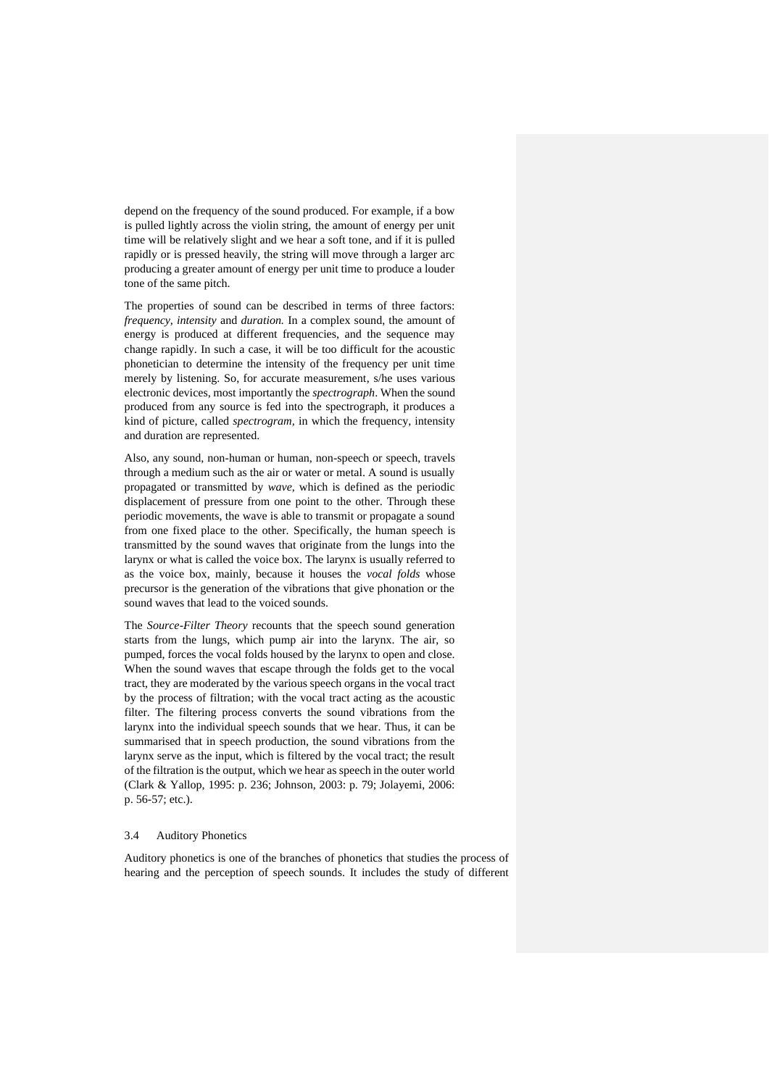depend on the frequency of the sound produced. For example, if a bow is pulled lightly across the violin string, the amount of energy per unit time will be relatively slight and we hear a soft tone, and if it is pulled rapidly or is pressed heavily, the string will move through a larger arc producing a greater amount of energy per unit time to produce a louder tone of the same pitch.

The properties of sound can be described in terms of three factors: *frequency, intensity* and *duration.* In a complex sound, the amount of energy is produced at different frequencies, and the sequence may change rapidly. In such a case, it will be too difficult for the acoustic phonetician to determine the intensity of the frequency per unit time merely by listening. So, for accurate measurement, s/he uses various electronic devices, most importantly the *spectrograph*. When the sound produced from any source is fed into the spectrograph, it produces a kind of picture, called *spectrogram,* in which the frequency, intensity and duration are represented.

Also, any sound, non-human or human, non-speech or speech, travels through a medium such as the air or water or metal. A sound is usually propagated or transmitted by *wave*, which is defined as the periodic displacement of pressure from one point to the other. Through these periodic movements, the wave is able to transmit or propagate a sound from one fixed place to the other. Specifically, the human speech is transmitted by the sound waves that originate from the lungs into the larynx or what is called the voice box. The larynx is usually referred to as the voice box, mainly, because it houses the *vocal folds* whose precursor is the generation of the vibrations that give phonation or the sound waves that lead to the voiced sounds.

The *Source-Filter Theory* recounts that the speech sound generation starts from the lungs, which pump air into the larynx. The air, so pumped, forces the vocal folds housed by the larynx to open and close. When the sound waves that escape through the folds get to the vocal tract, they are moderated by the various speech organs in the vocal tract by the process of filtration; with the vocal tract acting as the acoustic filter. The filtering process converts the sound vibrations from the larynx into the individual speech sounds that we hear. Thus, it can be summarised that in speech production, the sound vibrations from the larynx serve as the input, which is filtered by the vocal tract; the result of the filtration is the output, which we hear as speech in the outer world (Clark & Yallop, 1995: p. 236; Johnson, 2003: p. 79; Jolayemi, 2006: p. 56-57; etc.).

#### 3.4 Auditory Phonetics

Auditory phonetics is one of the branches of phonetics that studies the process of hearing and the perception of speech sounds. It includes the study of different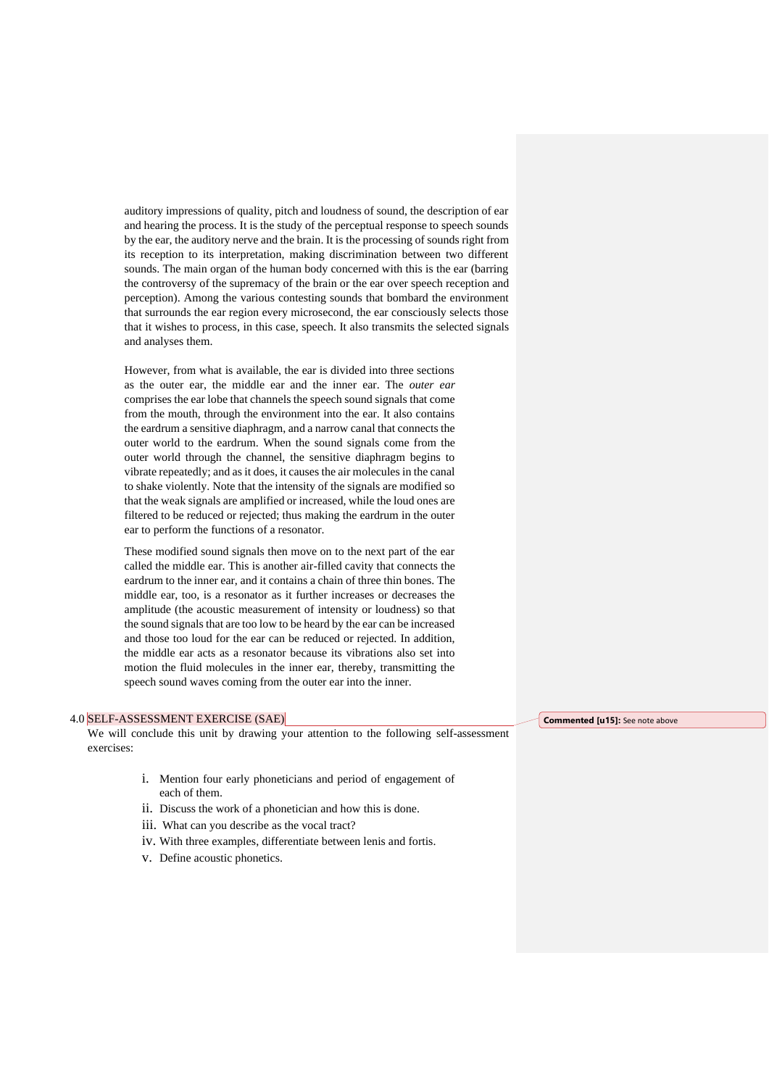auditory impressions of quality, pitch and loudness of sound, the description of ear and hearing the process. It is the study of the perceptual response to speech sounds by the ear, the auditory nerve and the brain. It is the processing of sounds right from its reception to its interpretation, making discrimination between two different sounds. The main organ of the human body concerned with this is the ear (barring the controversy of the supremacy of the brain or the ear over speech reception and perception). Among the various contesting sounds that bombard the environment that surrounds the ear region every microsecond, the ear consciously selects those that it wishes to process, in this case, speech. It also transmits the selected signals and analyses them.

However, from what is available, the ear is divided into three sections as the outer ear, the middle ear and the inner ear. The *outer ear* comprises the ear lobe that channels the speech sound signals that come from the mouth, through the environment into the ear. It also contains the eardrum a sensitive diaphragm, and a narrow canal that connects the outer world to the eardrum. When the sound signals come from the outer world through the channel, the sensitive diaphragm begins to vibrate repeatedly; and as it does, it causes the air molecules in the canal to shake violently. Note that the intensity of the signals are modified so that the weak signals are amplified or increased, while the loud ones are filtered to be reduced or rejected; thus making the eardrum in the outer ear to perform the functions of a resonator.

These modified sound signals then move on to the next part of the ear called the middle ear. This is another air-filled cavity that connects the eardrum to the inner ear, and it contains a chain of three thin bones. The middle ear, too, is a resonator as it further increases or decreases the amplitude (the acoustic measurement of intensity or loudness) so that the sound signals that are too low to be heard by the ear can be increased and those too loud for the ear can be reduced or rejected. In addition, the middle ear acts as a resonator because its vibrations also set into motion the fluid molecules in the inner ear, thereby, transmitting the speech sound waves coming from the outer ear into the inner.

#### 4.0 SELF-ASSESSMENT EXERCISE (SAE)

We will conclude this unit by drawing your attention to the following self-assessment exercises:

- i. Mention four early phoneticians and period of engagement of each of them.
- ii. Discuss the work of a phonetician and how this is done.
- iii. What can you describe as the vocal tract?
- iv. With three examples, differentiate between lenis and fortis.
- v. Define acoustic phonetics.

**Commented [u15]:** See note above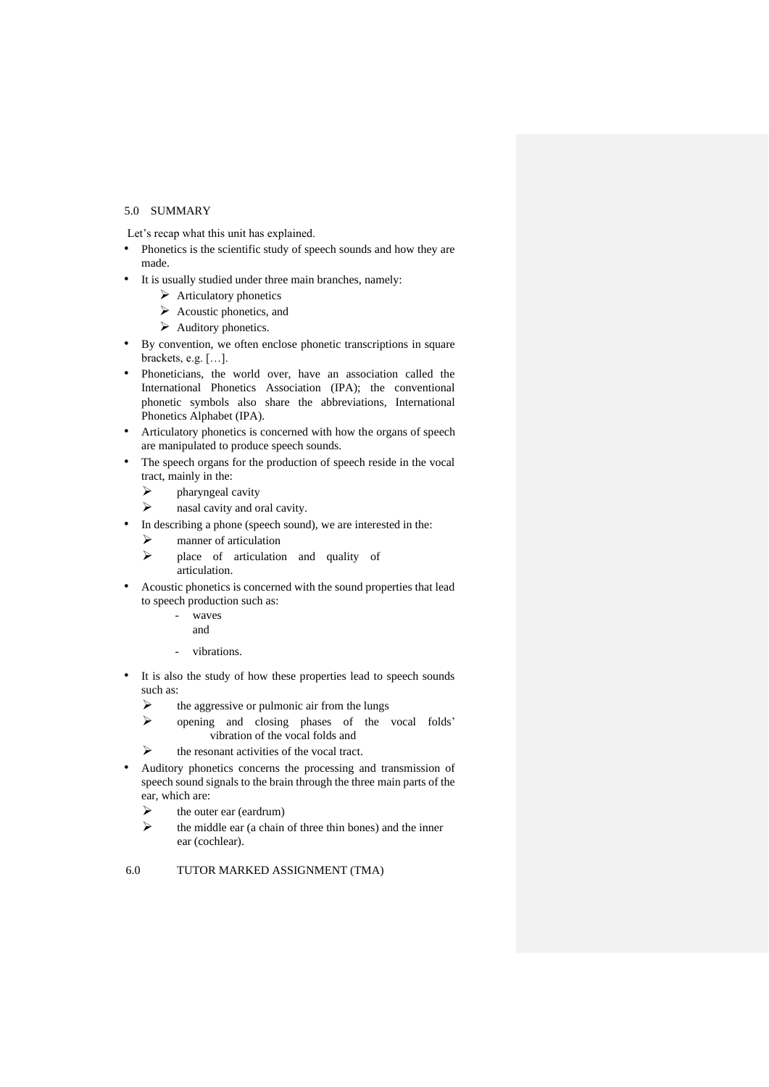# 5.0 SUMMARY

Let's recap what this unit has explained.

- Phonetics is the scientific study of speech sounds and how they are made.
- It is usually studied under three main branches, namely:
	- ➢ Articulatory phonetics
	- $\triangleright$  Acoustic phonetics, and
	- ➢ Auditory phonetics.
- By convention, we often enclose phonetic transcriptions in square brackets, e.g. […].
- Phoneticians, the world over, have an association called the International Phonetics Association (IPA); the conventional phonetic symbols also share the abbreviations, International Phonetics Alphabet (IPA).
- Articulatory phonetics is concerned with how the organs of speech are manipulated to produce speech sounds.
- The speech organs for the production of speech reside in the vocal tract, mainly in the:
	- $\triangleright$  pharyngeal cavity
	- $\triangleright$  nasal cavity and oral cavity.
- In describing a phone (speech sound), we are interested in the:
	- ➢ manner of articulation
	- ➢ place of articulation and quality of articulation.
- Acoustic phonetics is concerned with the sound properties that lead to speech production such as:
	- waves
	- and
	- vibrations.
- It is also the study of how these properties lead to speech sounds such as:
	- $\triangleright$  the aggressive or pulmonic air from the lungs
	- ➢ opening and closing phases of the vocal folds' vibration of the vocal folds and
	- $\triangleright$  the resonant activities of the vocal tract.
- Auditory phonetics concerns the processing and transmission of speech sound signals to the brain through the three main parts of the ear, which are:
	- $\triangleright$  the outer ear (eardrum)
	- $\triangleright$  the middle ear (a chain of three thin bones) and the inner ear (cochlear).

# 6.0 TUTOR MARKED ASSIGNMENT (TMA)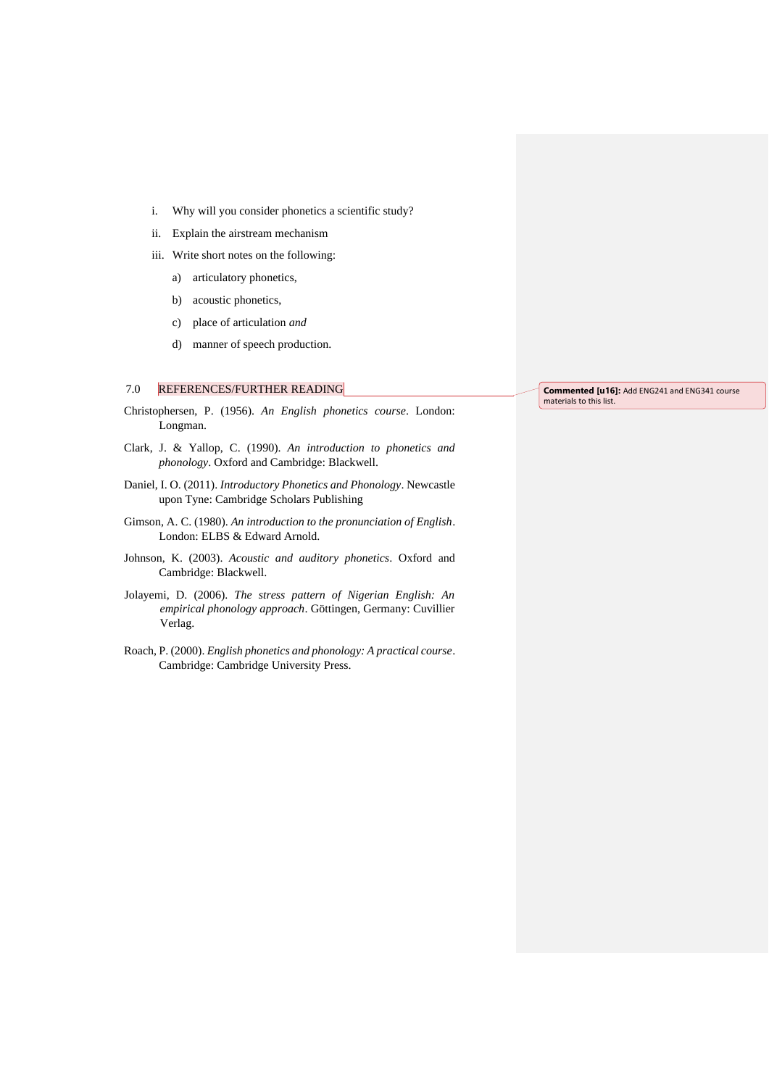- i. Why will you consider phonetics a scientific study?
- ii. Explain the airstream mechanism
- iii. Write short notes on the following:
	- a) articulatory phonetics,
	- b) acoustic phonetics,
	- c) place of articulation *and*
	- d) manner of speech production.

# 7.0 REFERENCES/FURTHER READING

- Christophersen, P. (1956). *An English phonetics course*. London: Longman.
- Clark, J. & Yallop, C. (1990). *An introduction to phonetics and phonology*. Oxford and Cambridge: Blackwell.
- Daniel, I. O. (2011). *Introductory Phonetics and Phonology*. Newcastle upon Tyne: Cambridge Scholars Publishing
- Gimson, A. C. (1980). *An introduction to the pronunciation of English*. London: ELBS & Edward Arnold.
- Johnson, K. (2003). *Acoustic and auditory phonetics*. Oxford and Cambridge: Blackwell.
- Jolayemi, D. (2006). *The stress pattern of Nigerian English: An empirical phonology approach*. Göttingen, Germany: Cuvillier Verlag.
- Roach, P. (2000). *English phonetics and phonology: A practical course*. Cambridge: Cambridge University Press.

**Commented [u16]:** Add ENG241 and ENG341 course materials to this list.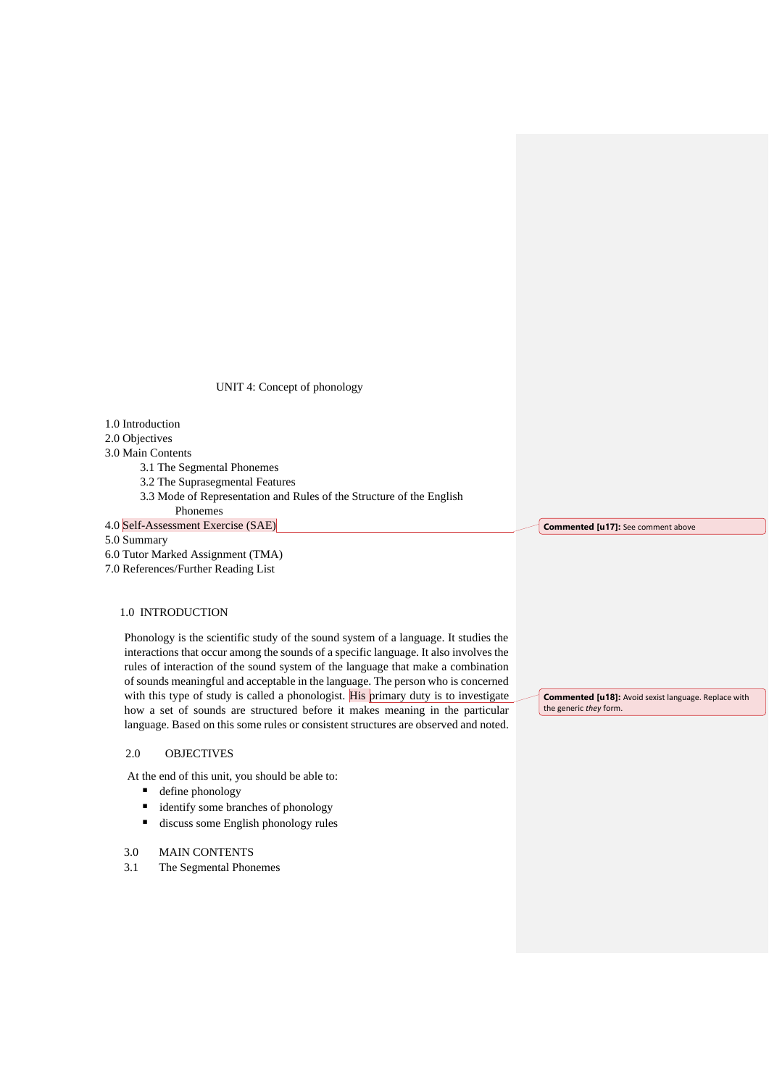UNIT 4: Concept of phonology

1.0 Introduction 2.0 Objectives 3.0 Main Contents 3.1 The Segmental Phonemes 3.2 The Suprasegmental Features 3.3 Mode of Representation and Rules of the Structure of the English Phonemes 4.0 Self-Assessment Exercise (SAE) 5.0 Summary 6.0 Tutor Marked Assignment (TMA) 7.0 References/Further Reading List

# 1.0 INTRODUCTION

Phonology is the scientific study of the sound system of a language. It studies the interactions that occur among the sounds of a specific language. It also involves the rules of interaction of the sound system of the language that make a combination of sounds meaningful and acceptable in the language. The person who is concerned with this type of study is called a phonologist. His primary duty is to investigate how a set of sounds are structured before it makes meaning in the particular language. Based on this some rules or consistent structures are observed and noted.

# 2.0 OBJECTIVES

At the end of this unit, you should be able to:

- define phonology
- identify some branches of phonology
- discuss some English phonology rules

# 3.0 MAIN CONTENTS

3.1 The Segmental Phonemes

**Commented [u17]:** See comment above

**Commented [u18]:** Avoid sexist language. Replace with the generic *they* form.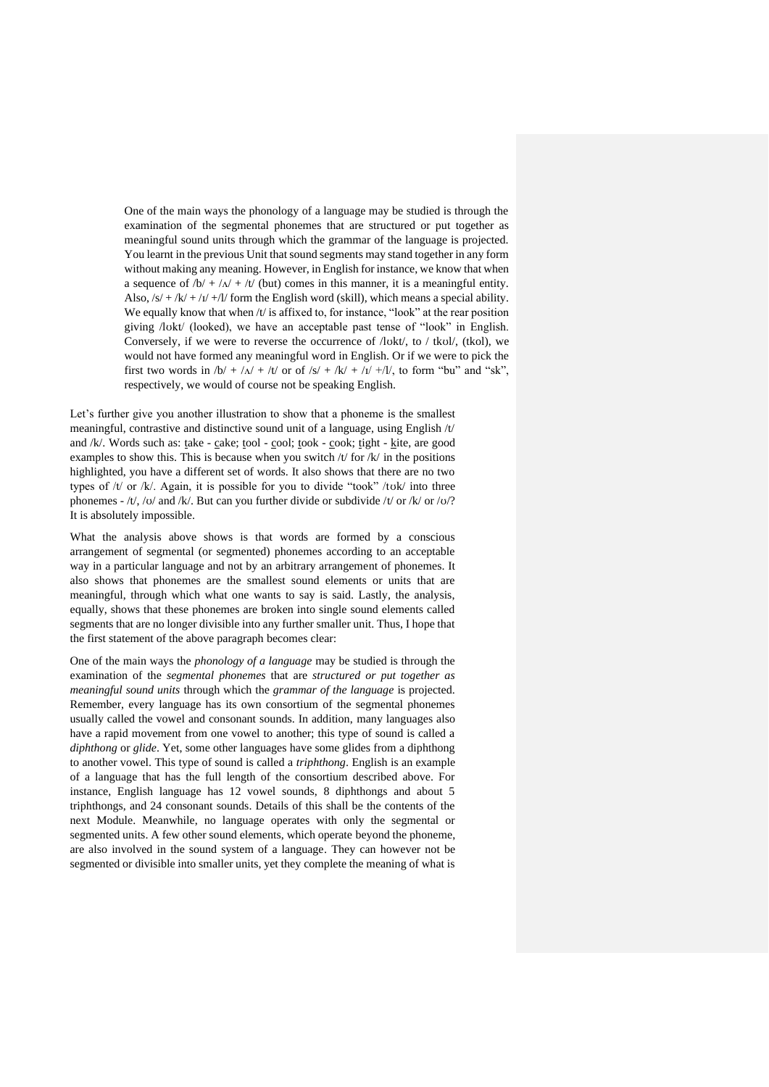One of the main ways the phonology of a language may be studied is through the examination of the segmental phonemes that are structured or put together as meaningful sound units through which the grammar of the language is projected. You learnt in the previous Unit that sound segments may stand together in any form without making any meaning. However, in English for instance, we know that when a sequence of  $/b/ + /A/ + /t/$  (but) comes in this manner, it is a meaningful entity. Also,  $\frac{s}{+k'} + \frac{1}{+l'} + \frac{1}{+m}$  form the English word (skill), which means a special ability. We equally know that when /t/ is affixed to, for instance, "look" at the rear position giving /lʊkt/ (looked), we have an acceptable past tense of "look" in English. Conversely, if we were to reverse the occurrence of /lʊkt/, to / tkʊl/, (tkol), we would not have formed any meaningful word in English. Or if we were to pick the first two words in  $/b/ + /\Lambda/ + /t/$  or of  $/s/ + /\kappa/ + /t/ +/l/$ , to form "bu" and "sk", respectively, we would of course not be speaking English.

Let's further give you another illustration to show that a phoneme is the smallest meaningful, contrastive and distinctive sound unit of a language, using English /t/ and /k/. Words such as: take - cake; tool - cool; took - cook; tight - kite, are good examples to show this. This is because when you switch  $/t$  for  $/k$  in the positions highlighted, you have a different set of words. It also shows that there are no two types of  $/t/$  or  $/k/$ . Again, it is possible for you to divide "took"  $/t$ v $k/$  into three phonemes - /t/, /v/ and /k/. But can you further divide or subdivide /t/ or /k/ or /v/? It is absolutely impossible.

What the analysis above shows is that words are formed by a conscious arrangement of segmental (or segmented) phonemes according to an acceptable way in a particular language and not by an arbitrary arrangement of phonemes. It also shows that phonemes are the smallest sound elements or units that are meaningful, through which what one wants to say is said. Lastly, the analysis, equally, shows that these phonemes are broken into single sound elements called segments that are no longer divisible into any further smaller unit. Thus, I hope that the first statement of the above paragraph becomes clear:

One of the main ways the *phonology of a language* may be studied is through the examination of the *segmental phonemes* that are *structured or put together as meaningful sound units* through which the *grammar of the language* is projected. Remember, every language has its own consortium of the segmental phonemes usually called the vowel and consonant sounds. In addition, many languages also have a rapid movement from one vowel to another; this type of sound is called a *diphthong* or *glide*. Yet, some other languages have some glides from a diphthong to another vowel. This type of sound is called a *triphthong*. English is an example of a language that has the full length of the consortium described above. For instance, English language has 12 vowel sounds, 8 diphthongs and about 5 triphthongs, and 24 consonant sounds. Details of this shall be the contents of the next Module. Meanwhile, no language operates with only the segmental or segmented units. A few other sound elements, which operate beyond the phoneme, are also involved in the sound system of a language. They can however not be segmented or divisible into smaller units, yet they complete the meaning of what is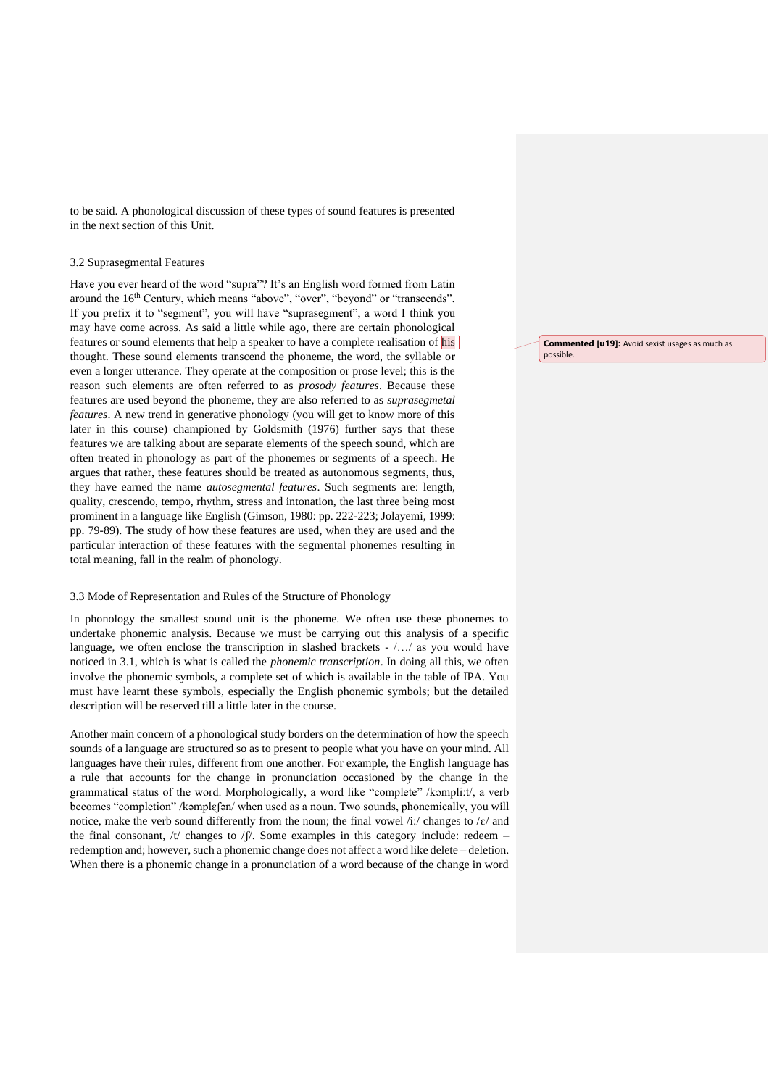to be said. A phonological discussion of these types of sound features is presented in the next section of this Unit.

#### 3.2 Suprasegmental Features

Have you ever heard of the word "supra"? It's an English word formed from Latin around the 16<sup>th</sup> Century, which means "above", "over", "beyond" or "transcends". If you prefix it to "segment", you will have "suprasegment", a word I think you may have come across. As said a little while ago, there are certain phonological features or sound elements that help a speaker to have a complete realisation of his thought. These sound elements transcend the phoneme, the word, the syllable or even a longer utterance. They operate at the composition or prose level; this is the reason such elements are often referred to as *prosody features*. Because these features are used beyond the phoneme, they are also referred to as *suprasegmetal features*. A new trend in generative phonology (you will get to know more of this later in this course) championed by Goldsmith (1976) further says that these features we are talking about are separate elements of the speech sound, which are often treated in phonology as part of the phonemes or segments of a speech. He argues that rather, these features should be treated as autonomous segments, thus, they have earned the name *autosegmental features*. Such segments are: length, quality, crescendo, tempo, rhythm, stress and intonation, the last three being most prominent in a language like English (Gimson, 1980: pp. 222-223; Jolayemi, 1999: pp. 79-89). The study of how these features are used, when they are used and the particular interaction of these features with the segmental phonemes resulting in total meaning, fall in the realm of phonology.

#### 3.3 Mode of Representation and Rules of the Structure of Phonology

In phonology the smallest sound unit is the phoneme. We often use these phonemes to undertake phonemic analysis. Because we must be carrying out this analysis of a specific language, we often enclose the transcription in slashed brackets  $-$  ... as you would have noticed in 3.1, which is what is called the *phonemic transcription*. In doing all this, we often involve the phonemic symbols, a complete set of which is available in the table of IPA. You must have learnt these symbols, especially the English phonemic symbols; but the detailed description will be reserved till a little later in the course.

Another main concern of a phonological study borders on the determination of how the speech sounds of a language are structured so as to present to people what you have on your mind. All languages have their rules, different from one another. For example, the English language has a rule that accounts for the change in pronunciation occasioned by the change in the grammatical status of the word. Morphologically, a word like "complete" /kəmpli:t/, a verb becomes "completion" /kəmplɛʃən/ when used as a noun. Two sounds, phonemically, you will notice, make the verb sound differently from the noun; the final vowel /i:/ changes to / $\varepsilon$ / and the final consonant, /t/ changes to / $\int$ /. Some examples in this category include: redeem – redemption and; however, such a phonemic change does not affect a word like delete – deletion. When there is a phonemic change in a pronunciation of a word because of the change in word

**Commented [u19]:** Avoid sexist usages as much as possible.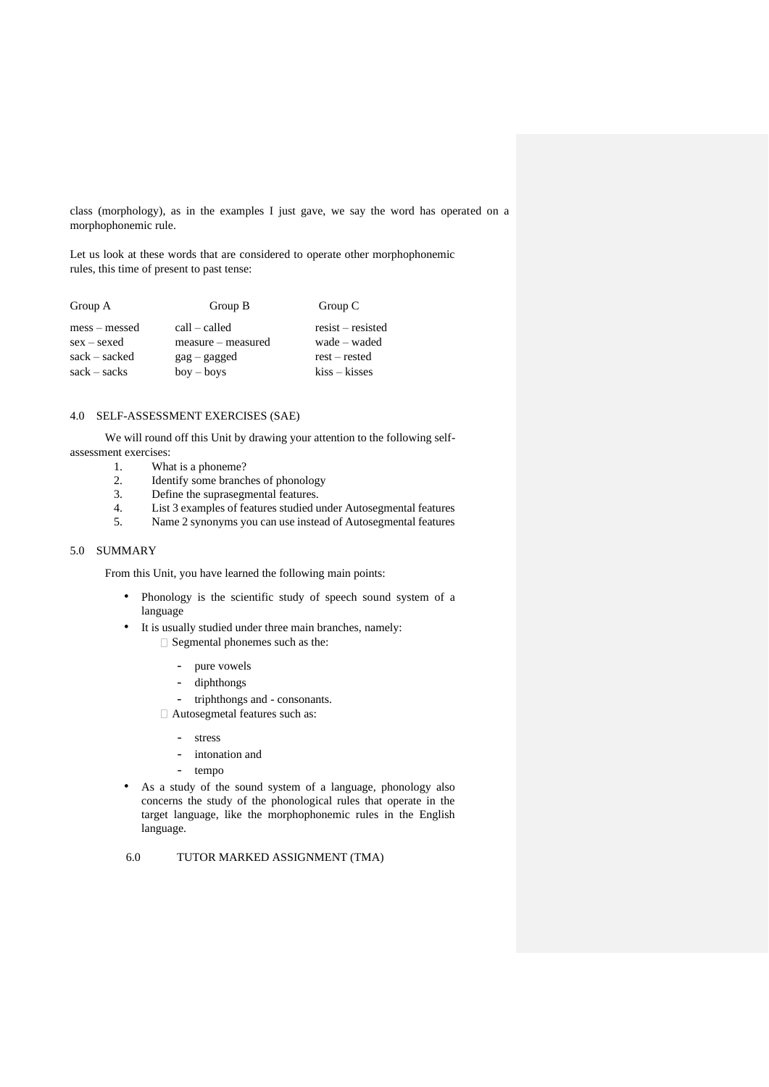class (morphology), as in the examples I just gave, we say the word has operated on a morphophonemic rule.

Let us look at these words that are considered to operate other morphophonemic rules, this time of present to past tense:

| Group A         | Group B                      | Group C               |
|-----------------|------------------------------|-----------------------|
| $mess - messed$ | $call - called$              | $resist - resistance$ |
| $sex - sexed$   | measure – measured           | wade – waded          |
| $sack - sacked$ | $\text{gag} - \text{gagger}$ | $rest - rested$       |
| $sack - sacks$  | $box - boys$                 | $kiss - kisses$       |

# 4.0 SELF-ASSESSMENT EXERCISES (SAE)

We will round off this Unit by drawing your attention to the following selfassessment exercises:

- 1. What is a phoneme?
- 2. Identify some branches of phonology
- 3. Define the suprasegmental features.
- 4. List 3 examples of features studied under Autosegmental features
- 5. Name 2 synonyms you can use instead of Autosegmental features

#### 5.0 SUMMARY

From this Unit, you have learned the following main points:

- Phonology is the scientific study of speech sound system of a language
- It is usually studied under three main branches, namely: □ Segmental phonemes such as the:
	- pure vowels
	- diphthongs
	- triphthongs and consonants.
	- Autosegmetal features such as:
		- stress
		- intonation and
		- tempo
- As a study of the sound system of a language, phonology also concerns the study of the phonological rules that operate in the target language, like the morphophonemic rules in the English language.

# 6.0 TUTOR MARKED ASSIGNMENT (TMA)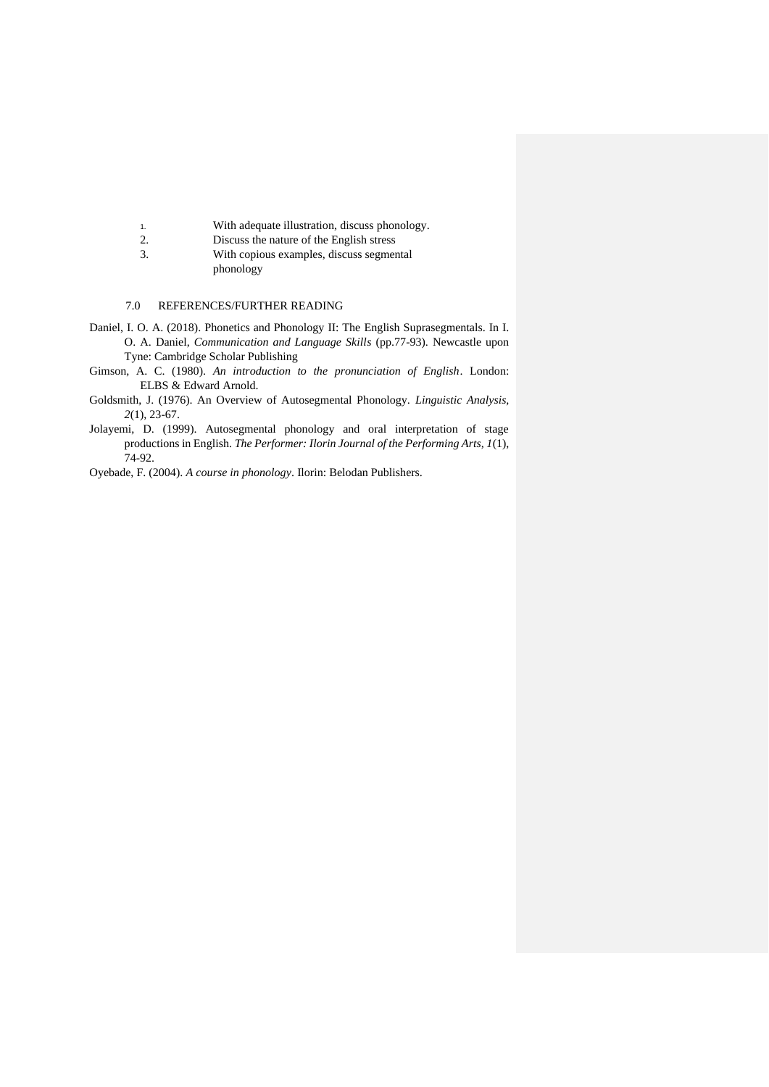- 1. With adequate illustration, discuss phonology.
- 2. Discuss the nature of the English stress
- 3. With copious examples, discuss segmental phonology

# 7.0 REFERENCES/FURTHER READING

- Daniel, I. O. A. (2018). Phonetics and Phonology II: The English Suprasegmentals. In I. O. A. Daniel, *Communication and Language Skills* (pp.77-93). Newcastle upon Tyne: Cambridge Scholar Publishing
- Gimson, A. C. (1980). *An introduction to the pronunciation of English*. London: ELBS & Edward Arnold.
- Goldsmith, J. (1976). An Overview of Autosegmental Phonology. *Linguistic Analysis, 2*(1), 23-67.
- Jolayemi, D. (1999). Autosegmental phonology and oral interpretation of stage productions in English. *The Performer: Ilorin Journal of the Performing Arts, 1*(1), 74-92.

Oyebade, F. (2004). *A course in phonology*. Ilorin: Belodan Publishers.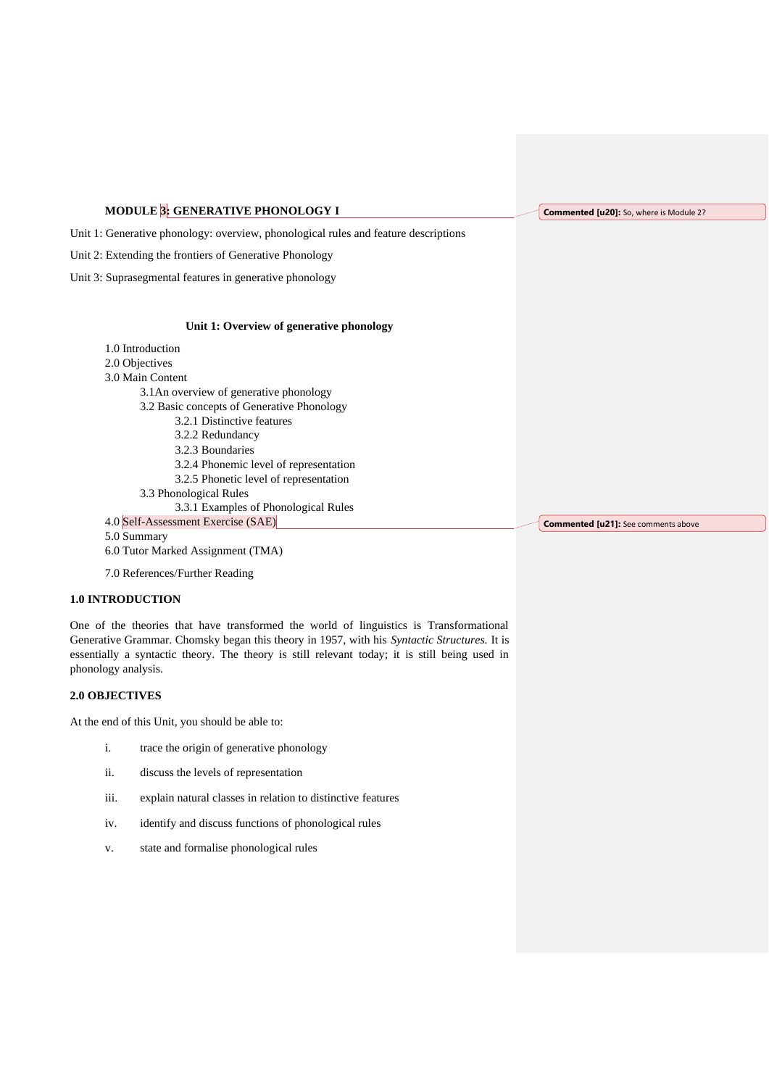# **MODULE 3: GENERATIVE PHONOLOGY I**

**Commented [u20]:** So, where is Module 2?

Unit 1: Generative phonology: overview, phonological rules and feature descriptions

Unit 2: Extending the frontiers of Generative Phonology

Unit 3: Suprasegmental features in generative phonology

#### **Unit 1: Overview of generative phonology**

| 1.0 Introduction                           |                                            |
|--------------------------------------------|--------------------------------------------|
| 2.0 Objectives                             |                                            |
| 3.0 Main Content                           |                                            |
| 3.1 An overview of generative phonology    |                                            |
| 3.2 Basic concepts of Generative Phonology |                                            |
| 3.2.1 Distinctive features                 |                                            |
| 3.2.2 Redundancy                           |                                            |
| 3.2.3 Boundaries                           |                                            |
| 3.2.4 Phonemic level of representation     |                                            |
| 3.2.5 Phonetic level of representation     |                                            |
| 3.3 Phonological Rules                     |                                            |
| 3.3.1 Examples of Phonological Rules       |                                            |
| 4.0 Self-Assessment Exercise (SAE)         | <b>Commented [u21]:</b> See comments above |
| 5.0 Summary                                |                                            |
| 6.0 Tutor Marked Assignment (TMA)          |                                            |

7.0 References/Further Reading

#### **1.0 INTRODUCTION**

One of the theories that have transformed the world of linguistics is Transformational Generative Grammar. Chomsky began this theory in 1957, with his *Syntactic Structures.* It is essentially a syntactic theory. The theory is still relevant today; it is still being used in phonology analysis.

#### **2.0 OBJECTIVES**

At the end of this Unit, you should be able to:

- i. trace the origin of generative phonology
- ii. discuss the levels of representation
- iii. explain natural classes in relation to distinctive features
- iv. identify and discuss functions of phonological rules
- v. state and formalise phonological rules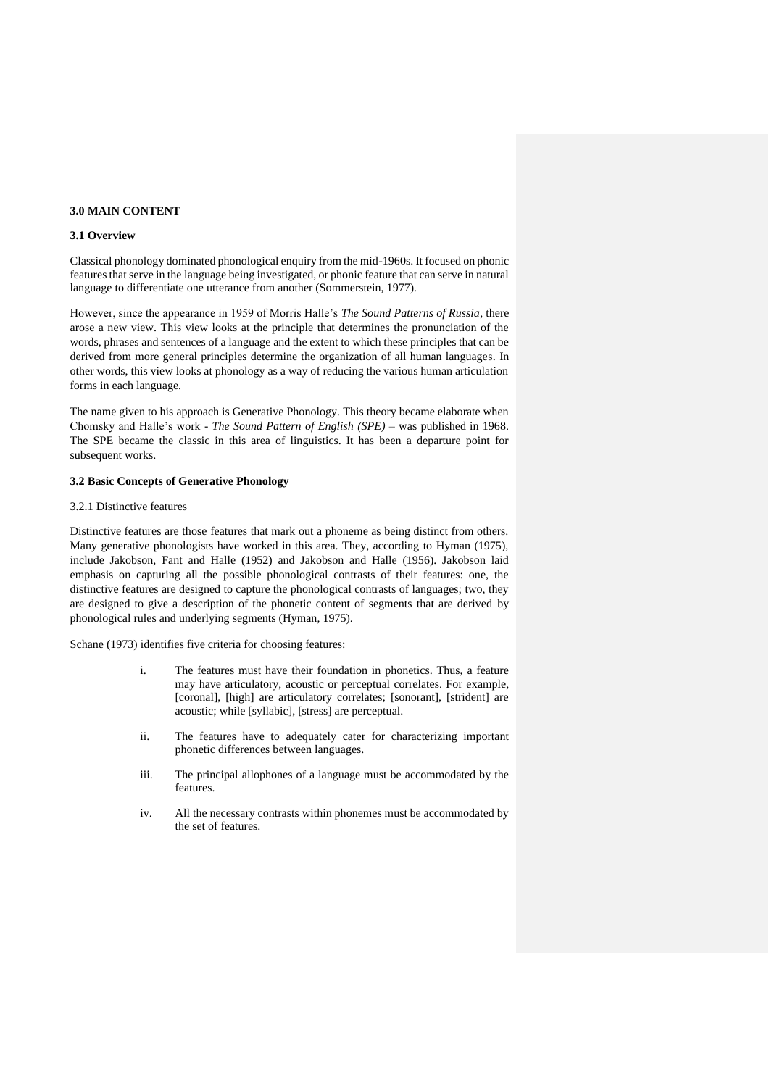#### **3.0 MAIN CONTENT**

#### **3.1 Overview**

Classical phonology dominated phonological enquiry from the mid-1960s. It focused on phonic features that serve in the language being investigated, or phonic feature that can serve in natural language to differentiate one utterance from another (Sommerstein, 1977).

However, since the appearance in 1959 of Morris Halle's *The Sound Patterns of Russia*, there arose a new view. This view looks at the principle that determines the pronunciation of the words, phrases and sentences of a language and the extent to which these principles that can be derived from more general principles determine the organization of all human languages. In other words, this view looks at phonology as a way of reducing the various human articulation forms in each language.

The name given to his approach is Generative Phonology. This theory became elaborate when Chomsky and Halle's work - *The Sound Pattern of English (SPE)* – was published in 1968. The SPE became the classic in this area of linguistics. It has been a departure point for subsequent works.

#### **3.2 Basic Concepts of Generative Phonology**

#### 3.2.1 Distinctive features

Distinctive features are those features that mark out a phoneme as being distinct from others. Many generative phonologists have worked in this area. They, according to Hyman (1975), include Jakobson, Fant and Halle (1952) and Jakobson and Halle (1956). Jakobson laid emphasis on capturing all the possible phonological contrasts of their features: one, the distinctive features are designed to capture the phonological contrasts of languages; two, they are designed to give a description of the phonetic content of segments that are derived by phonological rules and underlying segments (Hyman, 1975).

Schane (1973) identifies five criteria for choosing features:

- i. The features must have their foundation in phonetics. Thus, a feature may have articulatory, acoustic or perceptual correlates. For example, [coronal], [high] are articulatory correlates; [sonorant], [strident] are acoustic; while [syllabic], [stress] are perceptual.
- ii. The features have to adequately cater for characterizing important phonetic differences between languages.
- iii. The principal allophones of a language must be accommodated by the features.
- iv. All the necessary contrasts within phonemes must be accommodated by the set of features.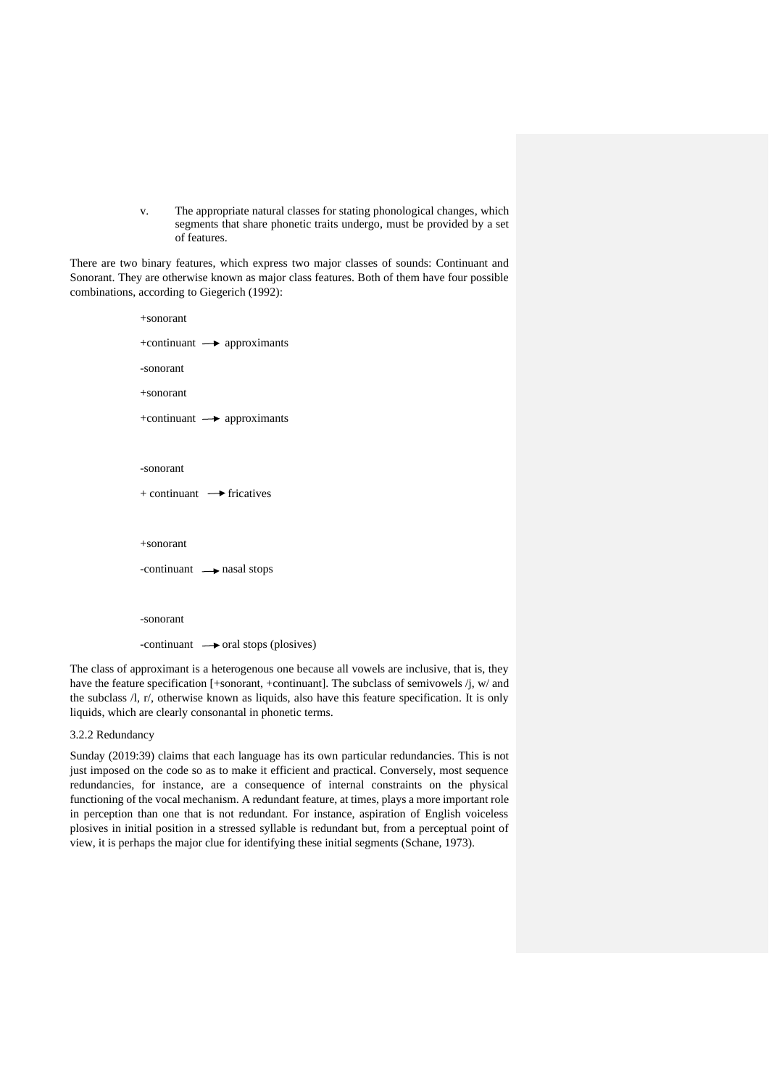v. The appropriate natural classes for stating phonological changes, which segments that share phonetic traits undergo, must be provided by a set of features.

There are two binary features, which express two major classes of sounds: Continuant and Sonorant. They are otherwise known as major class features. Both of them have four possible combinations, according to Giegerich (1992):

```
+sonorant
+continuant \longrightarrow approximants
-sonorant 
+sonorant
+continuant \rightarrow approximants
-sonorant 
+ continuant \rightarrow fricatives
+sonorant
-continuant \longrightarrow nasal stops
-sonorant
-continuant \rightarrow oral stops (plosives)
```
The class of approximant is a heterogenous one because all vowels are inclusive, that is, they have the feature specification [+sonorant, +continuant]. The subclass of semivowels /j, w/ and the subclass /l, r/, otherwise known as liquids, also have this feature specification. It is only liquids, which are clearly consonantal in phonetic terms.

#### 3.2.2 Redundancy

Sunday (2019:39) claims that each language has its own particular redundancies. This is not just imposed on the code so as to make it efficient and practical. Conversely, most sequence redundancies, for instance, are a consequence of internal constraints on the physical functioning of the vocal mechanism. A redundant feature, at times, plays a more important role in perception than one that is not redundant. For instance, aspiration of English voiceless plosives in initial position in a stressed syllable is redundant but, from a perceptual point of view, it is perhaps the major clue for identifying these initial segments (Schane, 1973).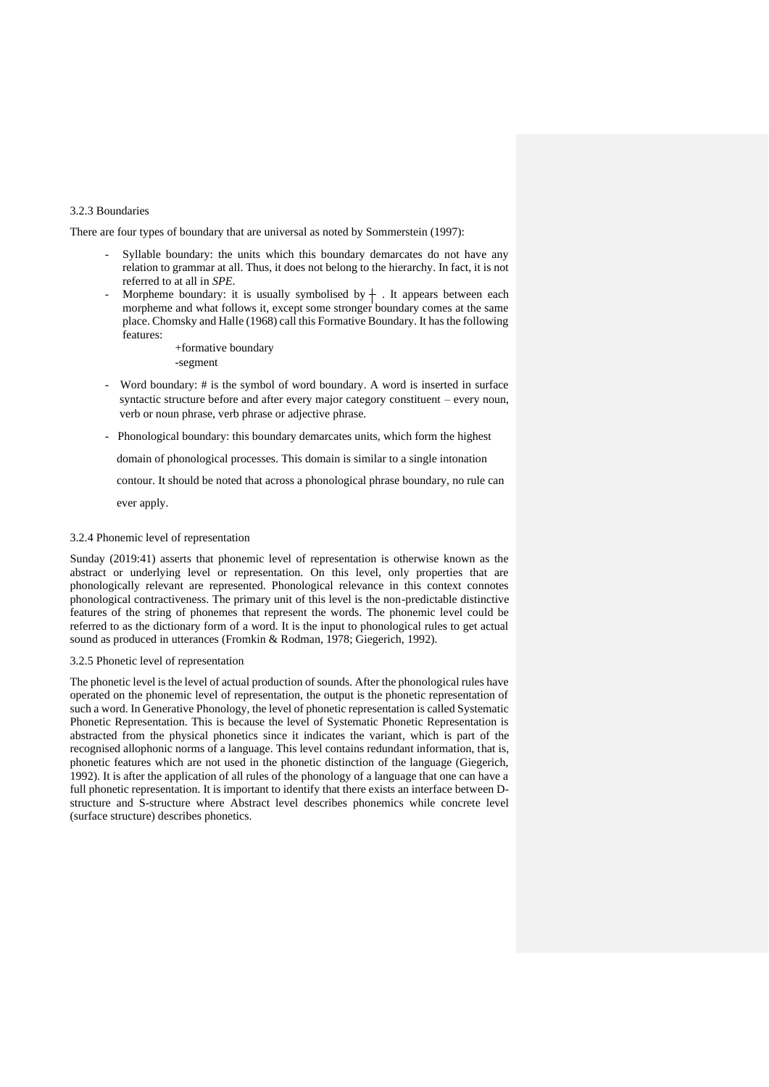#### 3.2.3 Boundaries

There are four types of boundary that are universal as noted by Sommerstein (1997):

- Syllable boundary: the units which this boundary demarcates do not have any relation to grammar at all. Thus, it does not belong to the hierarchy. In fact, it is not referred to at all in *SPE*.
- Morpheme boundary: it is usually symbolised by  $+$  . It appears between each morpheme and what follows it, except some stronger boundary comes at the same place. Chomsky and Halle (1968) call this Formative Boundary. It has the following features:
	- +formative boundary
	- -segment
- Word boundary: # is the symbol of word boundary. A word is inserted in surface syntactic structure before and after every major category constituent – every noun, verb or noun phrase, verb phrase or adjective phrase.
- Phonological boundary: this boundary demarcates units, which form the highest

domain of phonological processes. This domain is similar to a single intonation

contour. It should be noted that across a phonological phrase boundary, no rule can

ever apply.

#### 3.2.4 Phonemic level of representation

Sunday (2019:41) asserts that phonemic level of representation is otherwise known as the abstract or underlying level or representation. On this level, only properties that are phonologically relevant are represented. Phonological relevance in this context connotes phonological contractiveness. The primary unit of this level is the non-predictable distinctive features of the string of phonemes that represent the words. The phonemic level could be referred to as the dictionary form of a word. It is the input to phonological rules to get actual sound as produced in utterances (Fromkin & Rodman, 1978; Giegerich, 1992).

#### 3.2.5 Phonetic level of representation

The phonetic level is the level of actual production of sounds. After the phonological rules have operated on the phonemic level of representation, the output is the phonetic representation of such a word. In Generative Phonology, the level of phonetic representation is called Systematic Phonetic Representation. This is because the level of Systematic Phonetic Representation is abstracted from the physical phonetics since it indicates the variant, which is part of the recognised allophonic norms of a language. This level contains redundant information, that is, phonetic features which are not used in the phonetic distinction of the language (Giegerich, 1992). It is after the application of all rules of the phonology of a language that one can have a full phonetic representation. It is important to identify that there exists an interface between Dstructure and S-structure where Abstract level describes phonemics while concrete level (surface structure) describes phonetics.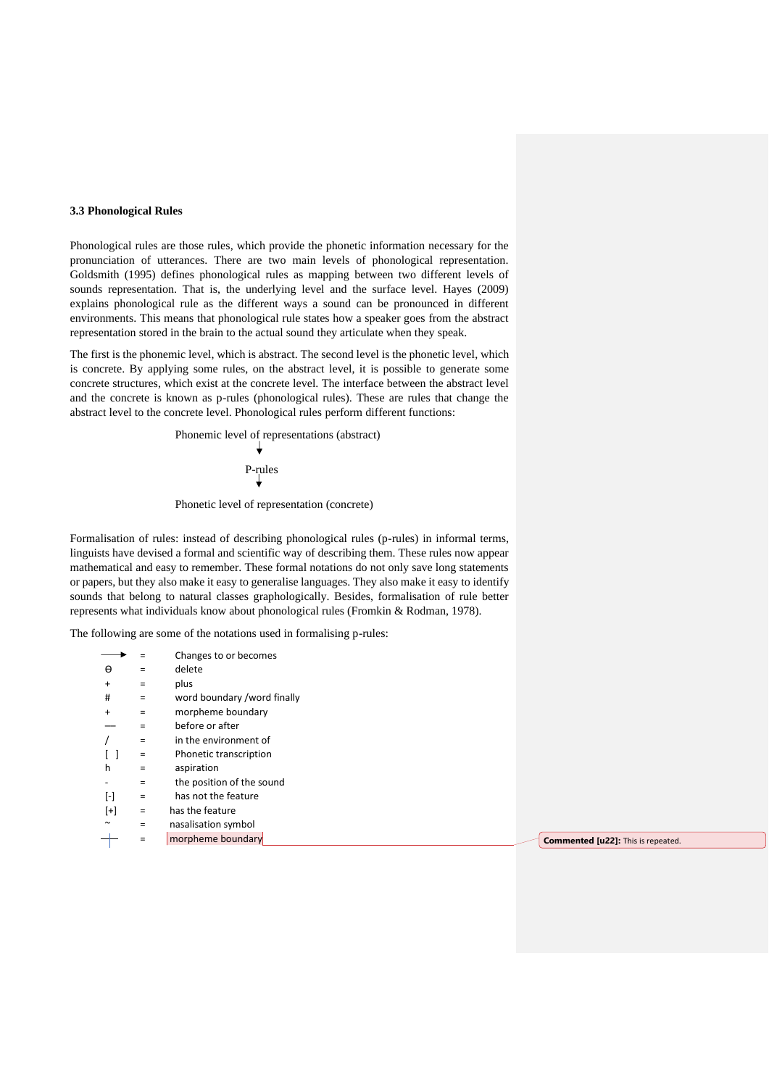#### **3.3 Phonological Rules**

Phonological rules are those rules, which provide the phonetic information necessary for the pronunciation of utterances. There are two main levels of phonological representation. Goldsmith (1995) defines phonological rules as mapping between two different levels of sounds representation. That is, the underlying level and the surface level. Hayes (2009) explains phonological rule as the different ways a sound can be pronounced in different environments. This means that phonological rule states how a speaker goes from the abstract representation stored in the brain to the actual sound they articulate when they speak.

The first is the phonemic level, which is abstract. The second level is the phonetic level, which is concrete. By applying some rules, on the abstract level, it is possible to generate some concrete structures, which exist at the concrete level. The interface between the abstract level and the concrete is known as p-rules (phonological rules). These are rules that change the abstract level to the concrete level. Phonological rules perform different functions:

> Phonemic level of representations (abstract)  $\frac{1}{2}$ P-rules

Phonetic level of representation (concrete)

Formalisation of rules: instead of describing phonological rules (p-rules) in informal terms, linguists have devised a formal and scientific way of describing them. These rules now appear mathematical and easy to remember. These formal notations do not only save long statements or papers, but they also make it easy to generalise languages. They also make it easy to identify sounds that belong to natural classes graphologically. Besides, formalisation of rule better represents what individuals know about phonological rules (Fromkin & Rodman, 1978).

The following are some of the notations used in formalising p-rules:

|           | Ξ        | Changes to or becomes                                   |
|-----------|----------|---------------------------------------------------------|
| $\Theta$  | $=$      | delete                                                  |
| $\ddot{}$ | $\equiv$ | plus                                                    |
| #         | $=$      | word boundary /word finally                             |
| $\ddot{}$ | $=$      | morpheme boundary                                       |
|           | $=$      | before or after                                         |
|           | $=$      | in the environment of                                   |
|           | $\equiv$ | Phonetic transcription                                  |
| h         | $=$      | aspiration                                              |
|           | $=$      | the position of the sound                               |
| $[\cdot]$ | $=$      | has not the feature                                     |
| $[+]$     | $=$      | has the feature                                         |
| $\sim$    | $=$      | nasalisation symbol                                     |
|           | $\equiv$ | morpheme boundary<br>Commented [u22]: This is repeated. |
|           |          |                                                         |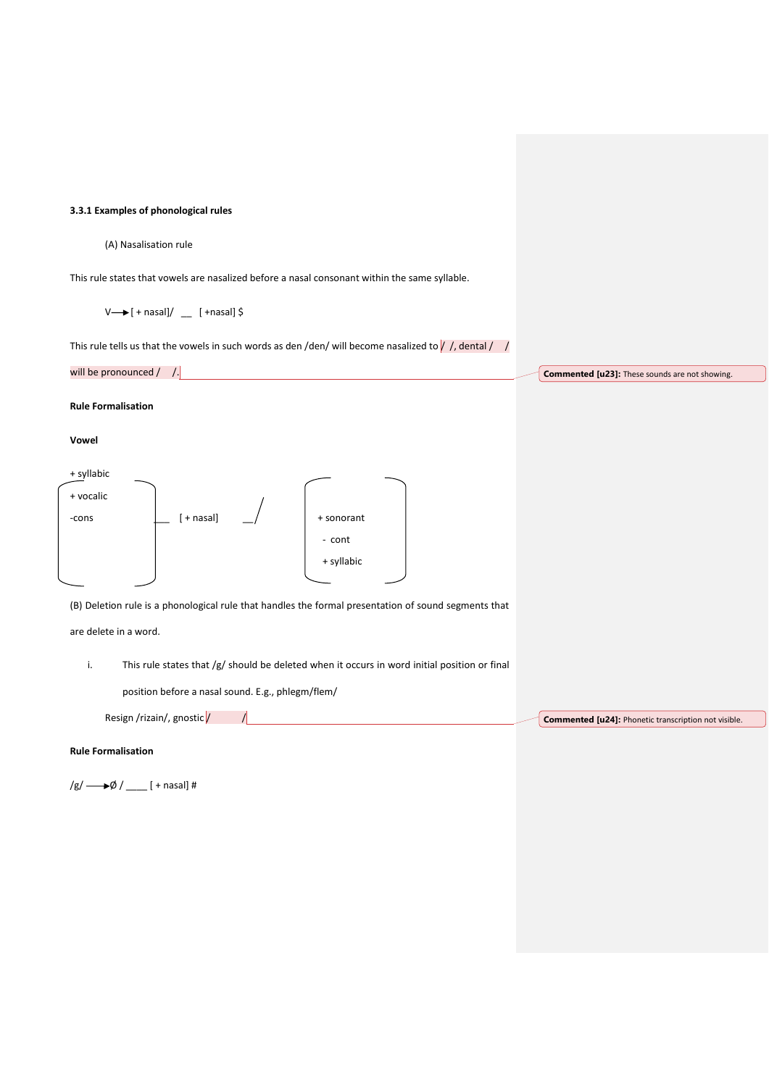#### **3.3.1 Examples of phonological rules**

#### (A) Nasalisation rule

This rule states that vowels are nasalized before a nasal consonant within the same syllable.

 $V \rightarrow [ +$  nasal]/  $\quad$  [ + nasal] \$

This rule tells us that the vowels in such words as den /den/ will become nasalized to  $/$  /, dental / /

| will be pronounced /                                                                                                                                                                         | Commented [u23]: These sounds are not showing. |
|----------------------------------------------------------------------------------------------------------------------------------------------------------------------------------------------|------------------------------------------------|
| <b>Rule Formalisation</b>                                                                                                                                                                    |                                                |
| Vowel                                                                                                                                                                                        |                                                |
| + syllabic<br>+ vocalic<br>[ + nasal]<br>+ sonorant<br>-cons<br>- cont<br>+ syllabic<br>(B) Deletion rule is a phonological rule that handles the formal presentation of sound segments that |                                                |
| are delete in a word.                                                                                                                                                                        |                                                |
| This rule states that /g/ should be deleted when it occurs in word initial position or final<br>i.                                                                                           |                                                |
| position before a nasal sound. E.g., phlegm/flem/                                                                                                                                            |                                                |

**Commented [u24]:** Phonetic transcription not visible.

# **Rule Formalisation**

 $/g/\longrightarrow \emptyset /$   $_{\_}$  [ + nasal] #

Resign /rizain/, gnostic $\sqrt{$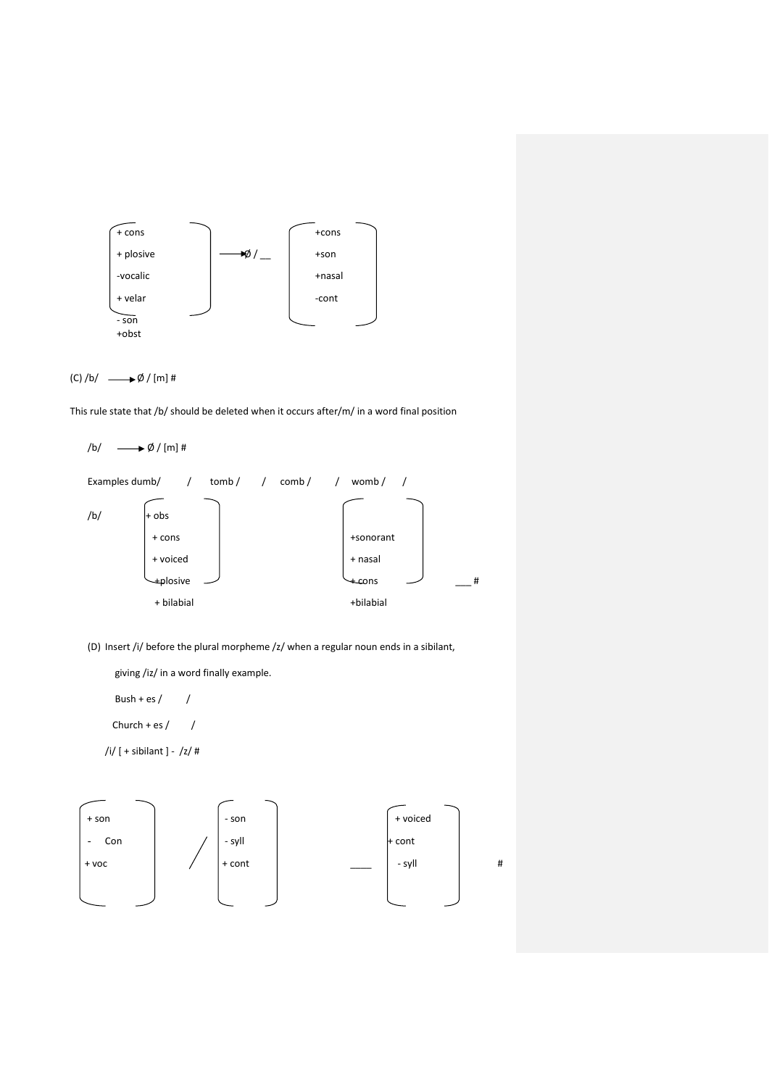



This rule state that /b/ should be deleted when it occurs after/m/ in a word final position

```
/b/ \longrightarrow \emptyset / [m] #
Examples dumb/ / tomb / / comb / / womb / /
/b/ + obs
       + cons \qquad \qquad \mid + sonorant
       + voiced + nasal
       +plosive + cons ___ #
         + bilabial +bilabial
```
(D) Insert /i/ before the plural morpheme /z/ when a regular noun ends in a sibilant,

giving /iz/ in a word finally example.

Bush + es /  $/$ 

Church + es  $/$  /

/i/ [ + sibilant ] - /z/ #

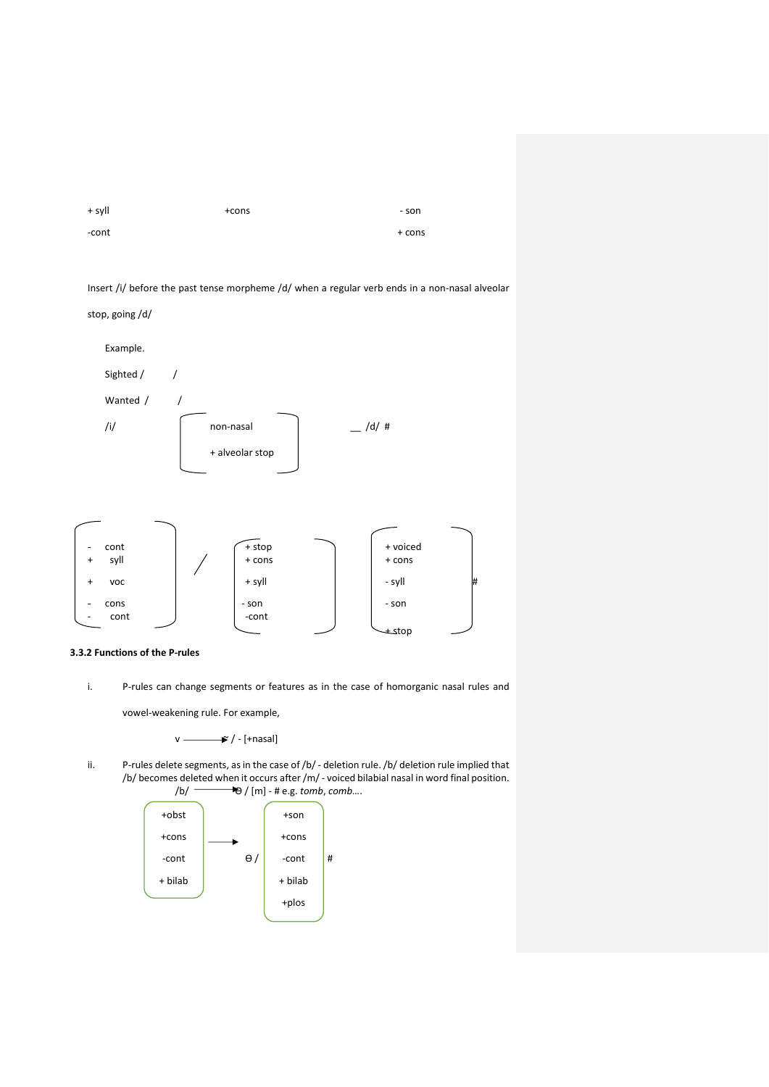| + syll | $+cons$ | - son  |
|--------|---------|--------|
| -cont  |         | + cons |

Insert /i/ before the past tense morpheme /d/ when a regular verb ends in a non-nasal alveolar





i. P-rules can change segments or features as in the case of homorganic nasal rules and

vowel-weakening rule. For example,

$$
v \xrightarrow{\bullet} / -[{\text{+nasal}}]
$$

ii. P-rules delete segments, as in the case of /b/ - deletion rule. /b/ deletion rule implied that /b/ becomes deleted when it occurs after /m/ - voiced bilabial nasal in word final position.<br>
/b/  $\leftarrow$   $\leftarrow$   $\left(\text{m}\right)$  - # e.g. tomb, comb... /b/ Ө / [m] - # e.g. *tomb*, *comb*….

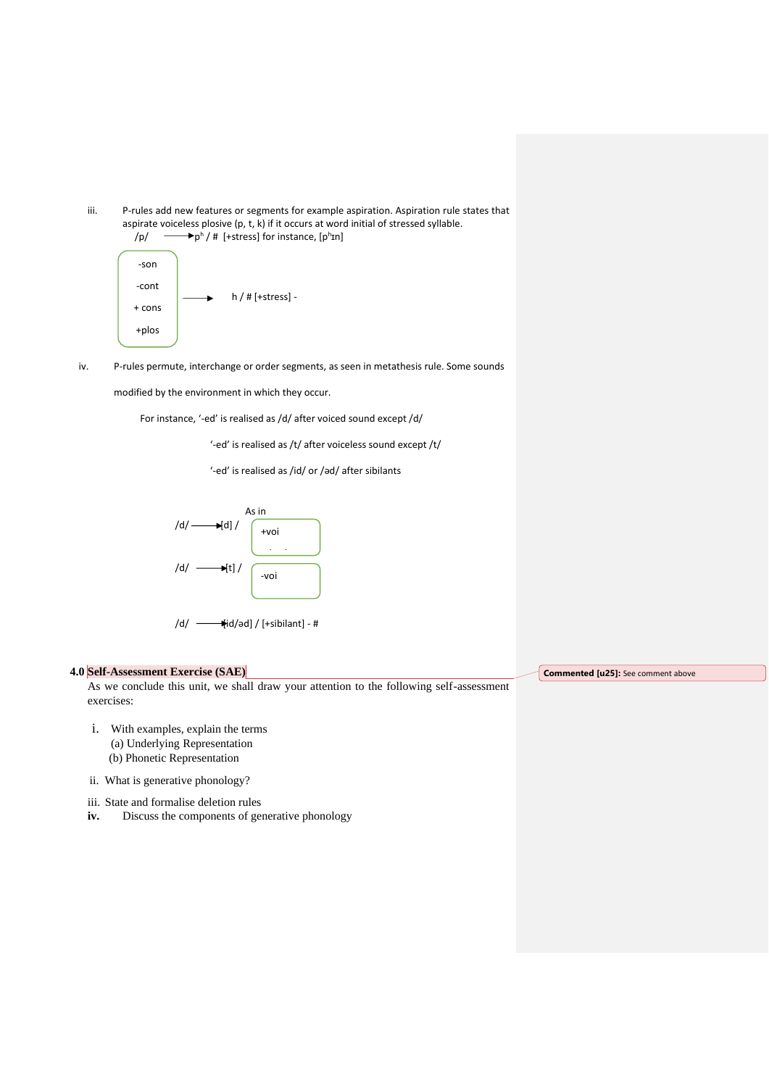



iv. P-rules permute, interchange or order segments, as seen in metathesis rule. Some sounds

modified by the environment in which they occur.

For instance, '-ed' is realised as /d/ after voiced sound except /d/

'-ed' is realised as /t/ after voiceless sound except /t/

'-ed' is realised as /id/ or /əd/ after sibilants



$$
/d / \frac{1}{\text{Hid}/\text{ad}} / \text{[-sibilant]} - \#
$$

#### **4.0 Self-Assessment Exercise (SAE)**

As we conclude this unit, we shall draw your attention to the following self-assessment exercises:

- i. With examples, explain the terms (a) Underlying Representation (b) Phonetic Representation
- ii. What is generative phonology?
- iii. State and formalise deletion rules
- iv. Discuss the components of generative phonology

**Commented [u25]:** See comment above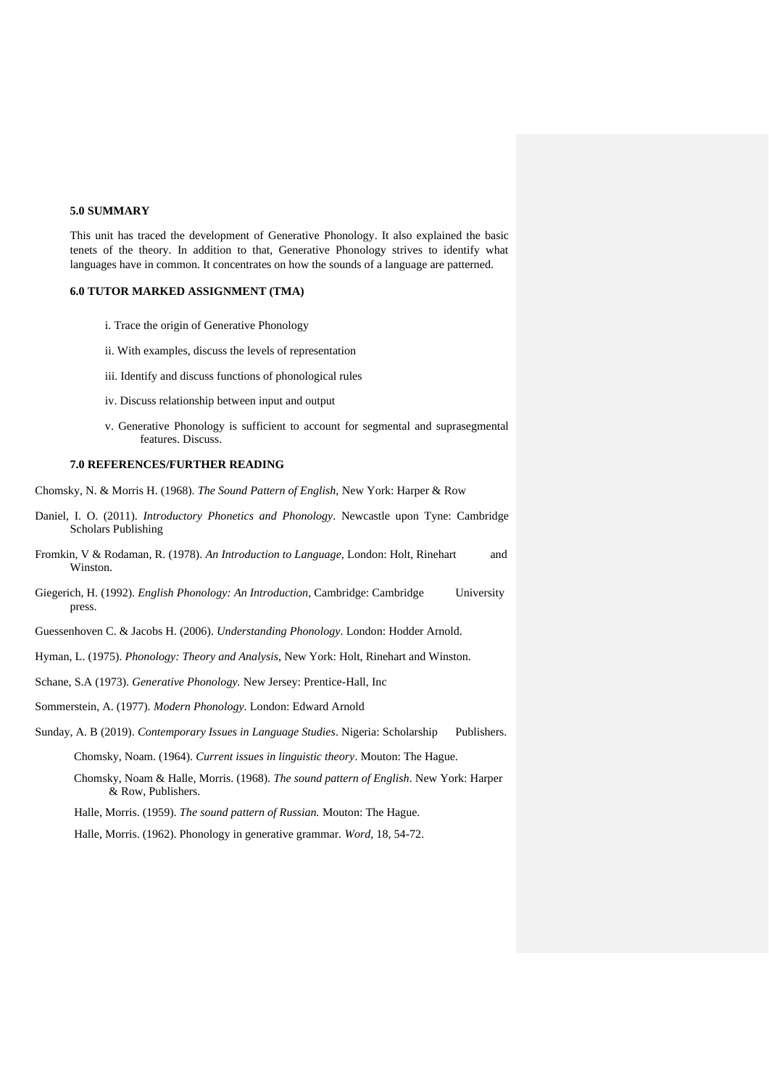# **5.0 SUMMARY**

This unit has traced the development of Generative Phonology. It also explained the basic tenets of the theory. In addition to that, Generative Phonology strives to identify what languages have in common. It concentrates on how the sounds of a language are patterned.

# **6.0 TUTOR MARKED ASSIGNMENT (TMA)**

- i. Trace the origin of Generative Phonology
- ii. With examples, discuss the levels of representation
- iii. Identify and discuss functions of phonological rules
- iv. Discuss relationship between input and output
- v. Generative Phonology is sufficient to account for segmental and suprasegmental features. Discuss.

#### **7.0 REFERENCES/FURTHER READING**

- Chomsky, N. & Morris H. (1968). *The Sound Pattern of English,* New York: Harper & Row
- Daniel, I. O. (2011). *Introductory Phonetics and Phonology*. Newcastle upon Tyne: Cambridge Scholars Publishing
- Fromkin, V & Rodaman, R. (1978). *An Introduction to Language,* London: Holt, Rinehart and Winston.
- Giegerich, H. (1992). *English Phonology: An Introduction,* Cambridge: Cambridge University press.
- Guessenhoven C. & Jacobs H. (2006). *Understanding Phonology*. London: Hodder Arnold.
- Hyman, L. (1975). *Phonology: Theory and Analysis,* New York: Holt, Rinehart and Winston.
- Schane, S.A (1973). *Generative Phonology.* New Jersey: Prentice-Hall, Inc
- Sommerstein, A. (1977). *Modern Phonology.* London: Edward Arnold
- Sunday, A. B (2019). *Contemporary Issues in Language Studies*. Nigeria: Scholarship Publishers.

Chomsky, Noam. (1964). *Current issues in linguistic theory*. Mouton: The Hague.

- Chomsky, Noam & Halle, Morris. (1968). *The sound pattern of English*. New York: Harper & Row, Publishers.
- Halle, Morris. (1959). *The sound pattern of Russian.* Mouton: The Hague.

Halle, Morris. (1962). Phonology in generative grammar. *Word*, 18, 54-72.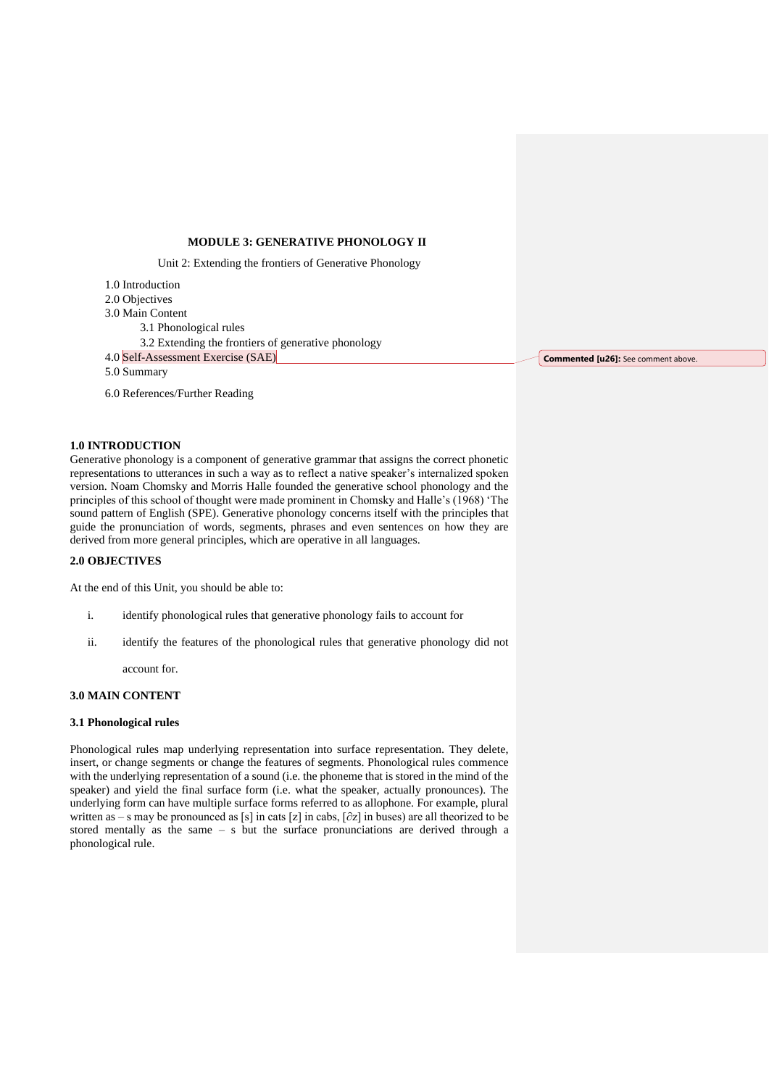#### **MODULE 3: GENERATIVE PHONOLOGY II**

Unit 2: Extending the frontiers of Generative Phonology

1.0 Introduction 2.0 Objectives 3.0 Main Content 3.1 Phonological rules 3.2 Extending the frontiers of generative phonology 4.0 Self-Assessment Exercise (SAE) 5.0 Summary

6.0 References/Further Reading

# **1.0 INTRODUCTION**

Generative phonology is a component of generative grammar that assigns the correct phonetic representations to utterances in such a way as to reflect a native speaker's internalized spoken version. Noam Chomsky and Morris Halle founded the generative school phonology and the principles of this school of thought were made prominent in Chomsky and Halle's (1968) 'The sound pattern of English (SPE). Generative phonology concerns itself with the principles that guide the pronunciation of words, segments, phrases and even sentences on how they are derived from more general principles, which are operative in all languages.

# **2.0 OBJECTIVES**

At the end of this Unit, you should be able to:

- i. identify phonological rules that generative phonology fails to account for
- ii. identify the features of the phonological rules that generative phonology did not

account for.

#### **3.0 MAIN CONTENT**

#### **3.1 Phonological rules**

Phonological rules map underlying representation into surface representation. They delete, insert, or change segments or change the features of segments. Phonological rules commence with the underlying representation of a sound (i.e. the phoneme that is stored in the mind of the speaker) and yield the final surface form (i.e. what the speaker, actually pronounces). The underlying form can have multiple surface forms referred to as allophone. For example, plural written as – s may be pronounced as [s] in cats [z] in cabs, [∂z] in buses) are all theorized to be stored mentally as the same – s but the surface pronunciations are derived through a phonological rule.

**Commented [u26]:** See comment above.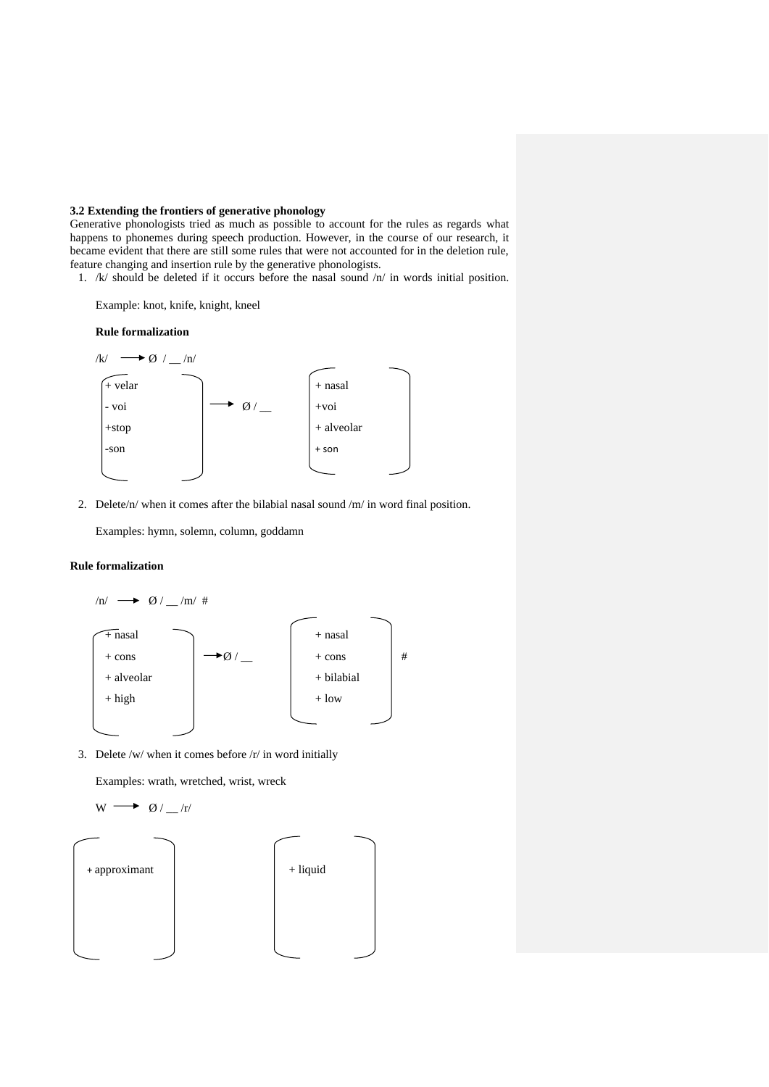# **3.2 Extending the frontiers of generative phonology**

Generative phonologists tried as much as possible to account for the rules as regards what happens to phonemes during speech production. However, in the course of our research, it became evident that there are still some rules that were not accounted for in the deletion rule, feature changing and insertion rule by the generative phonologists.

1. /k/ should be deleted if it occurs before the nasal sound /n/ in words initial position.

Example: knot, knife, knight, kneel

#### **Rule formalization**



2. Delete/n/ when it comes after the bilabial nasal sound /m/ in word final position.

Examples: hymn, solemn, column, goddamn

# **Rule formalization**



3. Delete /w/ when it comes before /r/ in word initially

Examples: wrath, wretched, wrist, wreck

$$
w \longrightarrow \emptyset/_{\_}/r
$$

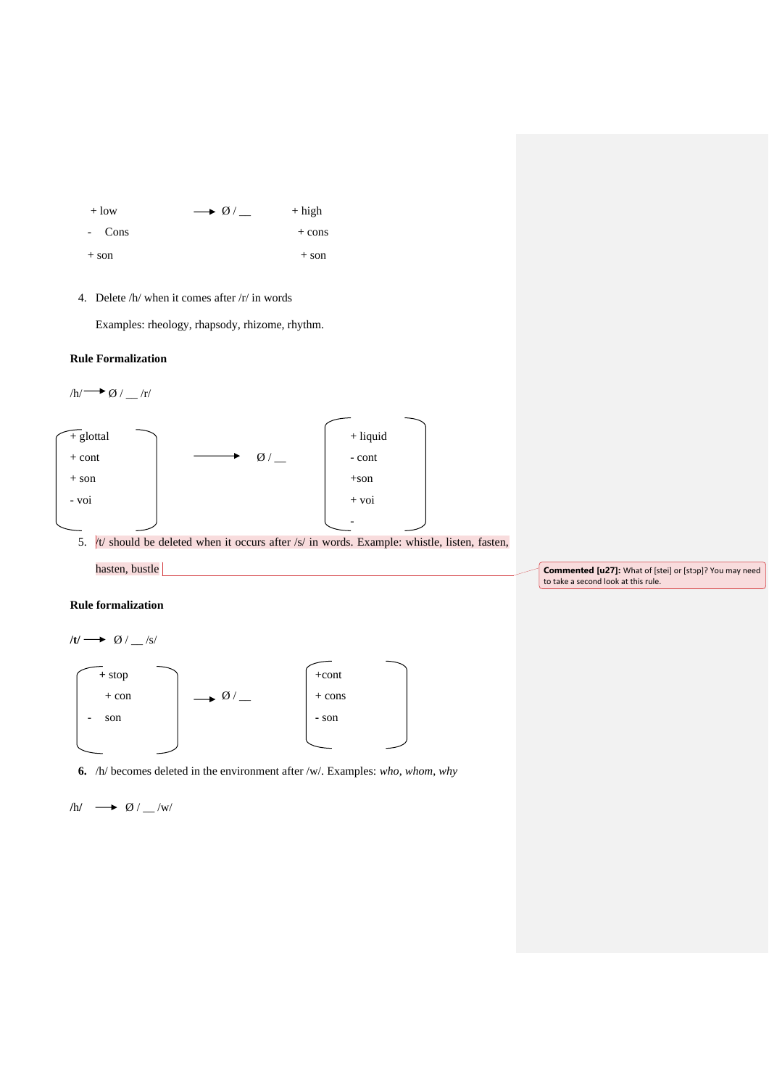

4. Delete /h/ when it comes after /r/ in words

Examples: rheology, rhapsody, rhizome, rhythm.

# **Rule Formalization**



5.  $/t/$  should be deleted when it occurs after /s/ in words. Example: whistle, listen, fasten,



**Commented [u27]:** What of [stei] or [stop]? You may need to take a second look at this rule.

# **Rule formalization**



**6.** /h/ becomes deleted in the environment after /w/. Examples: *who*, *whom*, *why*

$$
\mathsf{h\!I} \ \ \, \longrightarrow\ \ \, \mathsf{O\!\!I}\,/\mathstrut_{\text{w}\mathsf{I}}\mathsf{w}\mathsf{I}
$$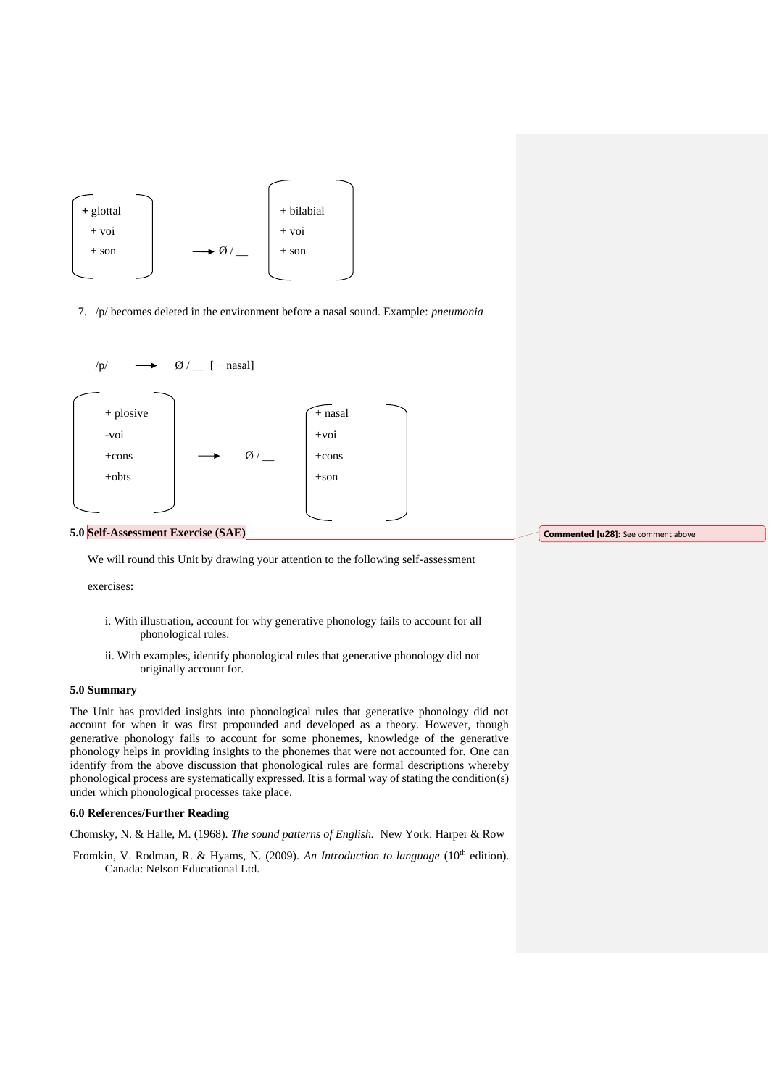

7. /p/ becomes deleted in the environment before a nasal sound. Example: *pneumonia*



#### **5.0 Self-Assessment Exercise (SAE)**

We will round this Unit by drawing your attention to the following self-assessment

exercises:

- i. With illustration, account for why generative phonology fails to account for all phonological rules.
- ii. With examples, identify phonological rules that generative phonology did not originally account for.

#### **5.0 Summary**

The Unit has provided insights into phonological rules that generative phonology did not account for when it was first propounded and developed as a theory. However, though generative phonology fails to account for some phonemes, knowledge of the generative phonology helps in providing insights to the phonemes that were not accounted for. One can identify from the above discussion that phonological rules are formal descriptions whereby phonological process are systematically expressed. It is a formal way of stating the condition(s) under which phonological processes take place.

# **6.0 References/Further Reading**

Chomsky, N. & Halle, M. (1968). *The sound patterns of English.* New York: Harper & Row

Fromkin, V. Rodman, R. & Hyams, N. (2009). *An Introduction to language* (10<sup>th</sup> edition). Canada: Nelson Educational Ltd.

**Commented [u28]:** See comment above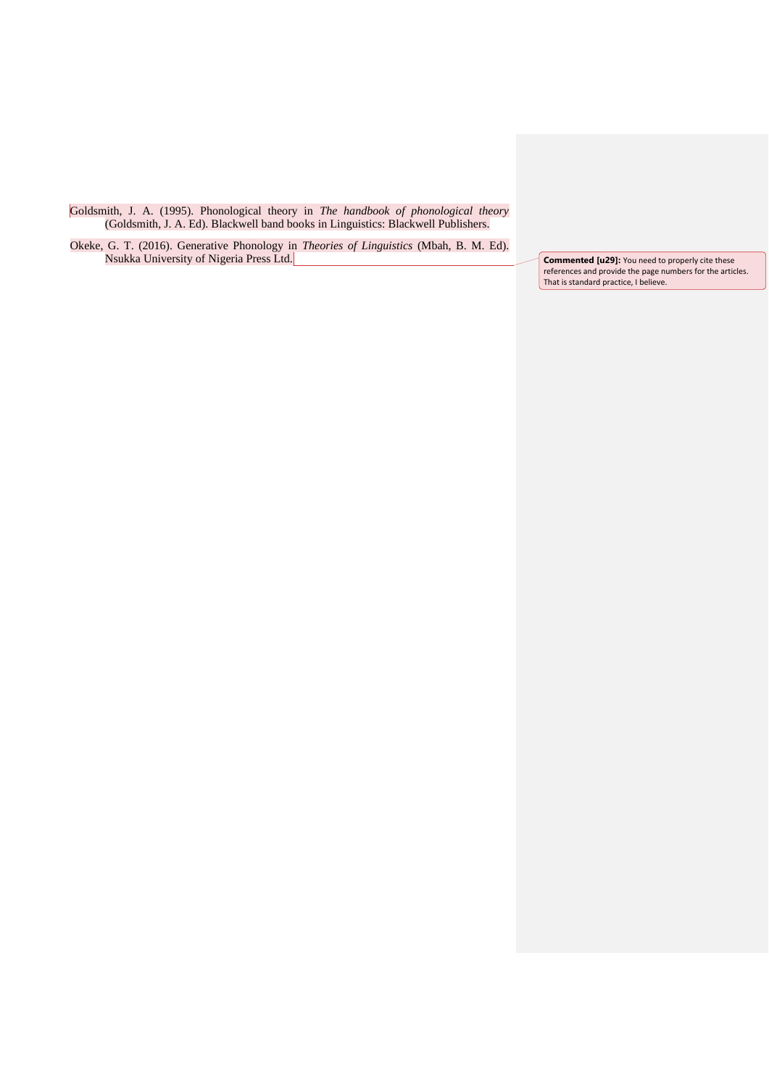Goldsmith, J. A. (1995). Phonological theory in *The handbook of phonological theory* (Goldsmith, J. A. Ed). Blackwell band books in Linguistics: Blackwell Publishers.

Okeke, G. T. (2016). Generative Phonology in *Theories of Linguistics* (Mbah, B. M. Ed). Nsukka University of Nigeria Press Ltd. **Commented [u29]:** You need to properly cite these

references and provide the page numbers for the articles. That is standard practice, I believe.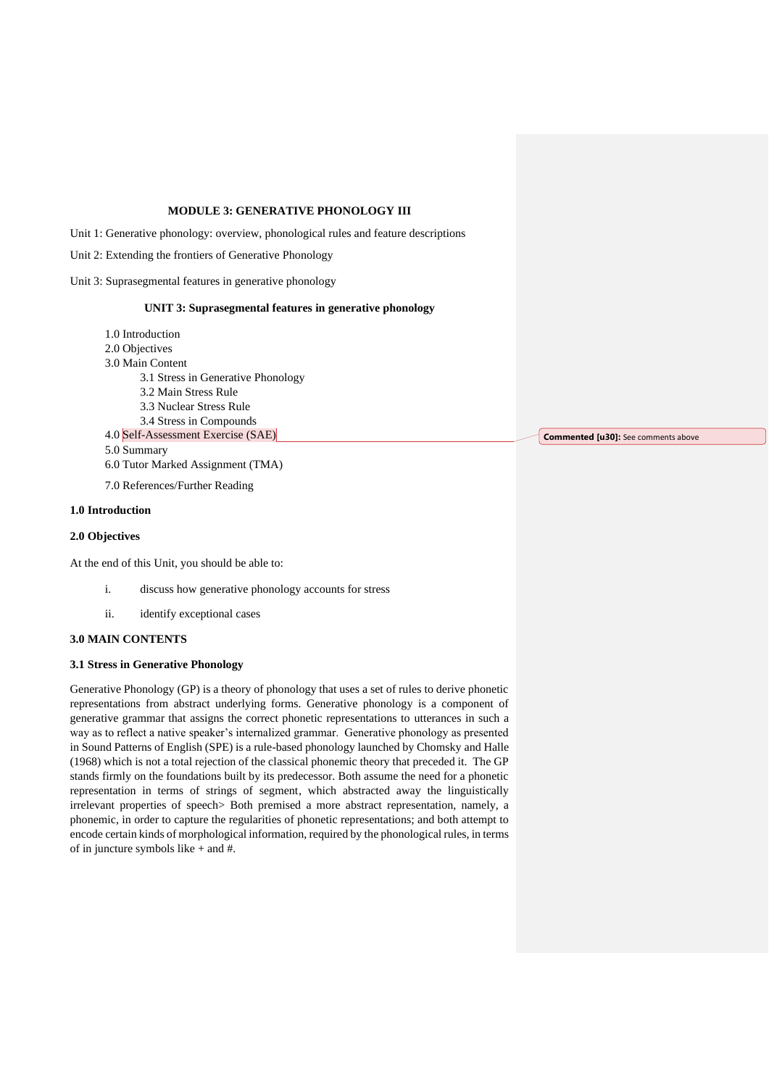# **MODULE 3: GENERATIVE PHONOLOGY III**

Unit 1: Generative phonology: overview, phonological rules and feature descriptions

Unit 2: Extending the frontiers of Generative Phonology

Unit 3: Suprasegmental features in generative phonology

#### **UNIT 3: Suprasegmental features in generative phonology**

- 1.0 Introduction
- 2.0 Objectives
- 3.0 Main Content
	- 3.1 Stress in Generative Phonology
	- 3.2 Main Stress Rule
	- 3.3 Nuclear Stress Rule
	- 3.4 Stress in Compounds
- 4.0 Self-Assessment Exercise (SAE) 5.0 Summary 6.0 Tutor Marked Assignment (TMA)
- 

# 7.0 References/Further Reading

# **1.0 Introduction**

# **2.0 Objectives**

At the end of this Unit, you should be able to:

- i. discuss how generative phonology accounts for stress
- ii. identify exceptional cases

# **3.0 MAIN CONTENTS**

#### **3.1 Stress in Generative Phonology**

Generative Phonology (GP) is a theory of phonology that uses a set of rules to derive phonetic representations from abstract underlying forms. Generative phonology is a component of generative grammar that assigns the correct phonetic representations to utterances in such a way as to reflect a native speaker's internalized grammar. Generative phonology as presented in Sound Patterns of English (SPE) is a rule-based phonology launched by Chomsky and Halle (1968) which is not a total rejection of the classical phonemic theory that preceded it. The GP stands firmly on the foundations built by its predecessor. Both assume the need for a phonetic representation in terms of strings of segment, which abstracted away the linguistically irrelevant properties of speech> Both premised a more abstract representation, namely, a phonemic, in order to capture the regularities of phonetic representations; and both attempt to encode certain kinds of morphological information, required by the phonological rules, in terms of in juncture symbols like + and #.

**Commented [u30]:** See comments above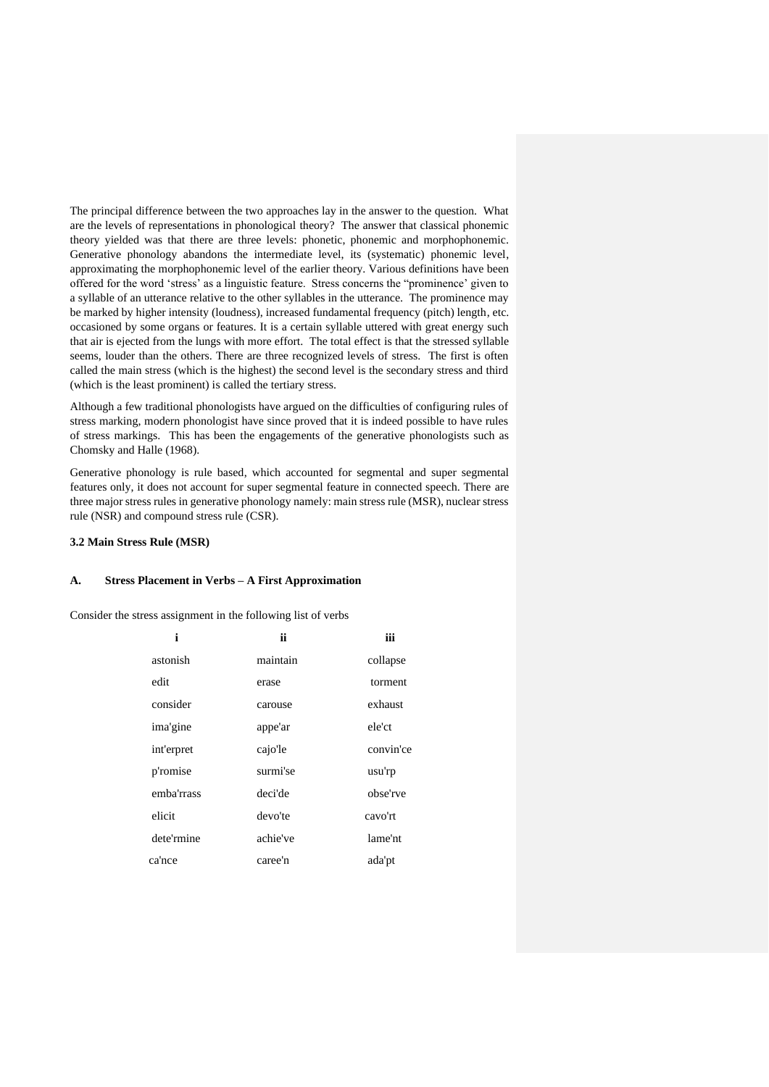The principal difference between the two approaches lay in the answer to the question. What are the levels of representations in phonological theory? The answer that classical phonemic theory yielded was that there are three levels: phonetic, phonemic and morphophonemic. Generative phonology abandons the intermediate level, its (systematic) phonemic level, approximating the morphophonemic level of the earlier theory. Various definitions have been offered for the word 'stress' as a linguistic feature. Stress concerns the "prominence' given to a syllable of an utterance relative to the other syllables in the utterance. The prominence may be marked by higher intensity (loudness), increased fundamental frequency (pitch) length, etc. occasioned by some organs or features. It is a certain syllable uttered with great energy such that air is ejected from the lungs with more effort. The total effect is that the stressed syllable seems, louder than the others. There are three recognized levels of stress. The first is often called the main stress (which is the highest) the second level is the secondary stress and third (which is the least prominent) is called the tertiary stress.

Although a few traditional phonologists have argued on the difficulties of configuring rules of stress marking, modern phonologist have since proved that it is indeed possible to have rules of stress markings. This has been the engagements of the generative phonologists such as Chomsky and Halle (1968).

Generative phonology is rule based, which accounted for segmental and super segmental features only, it does not account for super segmental feature in connected speech. There are three major stress rules in generative phonology namely: main stress rule (MSR), nuclear stress rule (NSR) and compound stress rule (CSR).

#### **3.2 Main Stress Rule (MSR)**

#### **A. Stress Placement in Verbs – A First Approximation**

Consider the stress assignment in the following list of verbs

| i          | ii       | iii       |
|------------|----------|-----------|
| astonish   | maintain | collapse  |
| edit       | erase    | torment   |
| consider   | carouse  | exhaust   |
| ima'gine   | appe'ar  | ele'ct    |
| int'erpret | cajo'le  | convin'ce |
| p'romise   | surmi'se | usu'rp    |
| emba'rrass | deci'de  | obse'rve  |
| elicit     | devo'te  | cavo'rt   |
| dete'rmine | achie've | lame'nt   |
| ca'nce     | caree'n  | ada'pt    |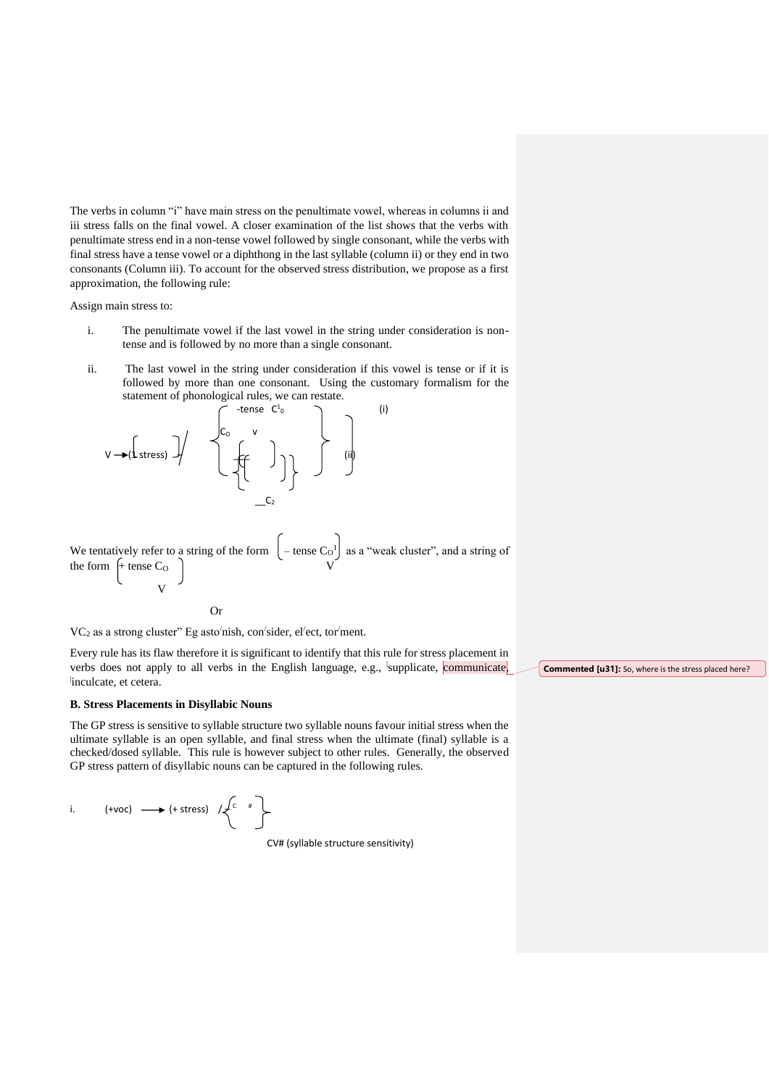The verbs in column "i" have main stress on the penultimate vowel, whereas in columns ii and iii stress falls on the final vowel. A closer examination of the list shows that the verbs with penultimate stress end in a non-tense vowel followed by single consonant, while the verbs with final stress have a tense vowel or a diphthong in the last syllable (column ii) or they end in two consonants (Column iii). To account for the observed stress distribution, we propose as a first approximation, the following rule:

Assign main stress to:

- i. The penultimate vowel if the last vowel in the string under consideration is nontense and is followed by no more than a single consonant.
- ii. The last vowel in the string under consideration if this vowel is tense or if it is followed by more than one consonant. Using the customary formalism for the statement of phonological rules, we can restate.

$$
V \rightarrow (I \text{ stress}) \quad \begin{cases} \text{tense} & C^1 \text{ to } C^1 \\ \text{tures} & V \\ \text{tures} & V \end{cases} \quad \begin{cases} \text{tense} & (i) \\ \text{tose} & V \\ \text{tose} & V \end{cases}
$$

We tentatively refer to a string of the form  $\vert$  – tense C<sub>O</sub><sup>1</sup> as a "weak cluster", and a string of the form  $[+$  tense  $C_0$   $]$ v<sub>v</sub>

Or

VC<sub>2</sub> as a strong cluster" Eg asto<sup>/</sup>nish, con<sup>/</sup>sider, el<sup>/</sup>ect, tor<sup>/</sup>ment.

Every rule has its flaw therefore it is significant to identify that this rule for stress placement in verbs does not apply to all verbs in the English language, e.g., supplicate, communicate, inculcate, et cetera.

#### **B. Stress Placements in Disyllabic Nouns**

The GP stress is sensitive to syllable structure two syllable nouns favour initial stress when the ultimate syllable is an open syllable, and final stress when the ultimate (final) syllable is a checked/dosed syllable. This rule is however subject to other rules. Generally, the observed GP stress pattern of disyllabic nouns can be captured in the following rules.

i.  $(+\text{voc}) \longrightarrow (+\text{stress}) / \angle C$  #

CV# (syllable structure sensitivity)

**Commented [u31]:** So, where is the stress placed here?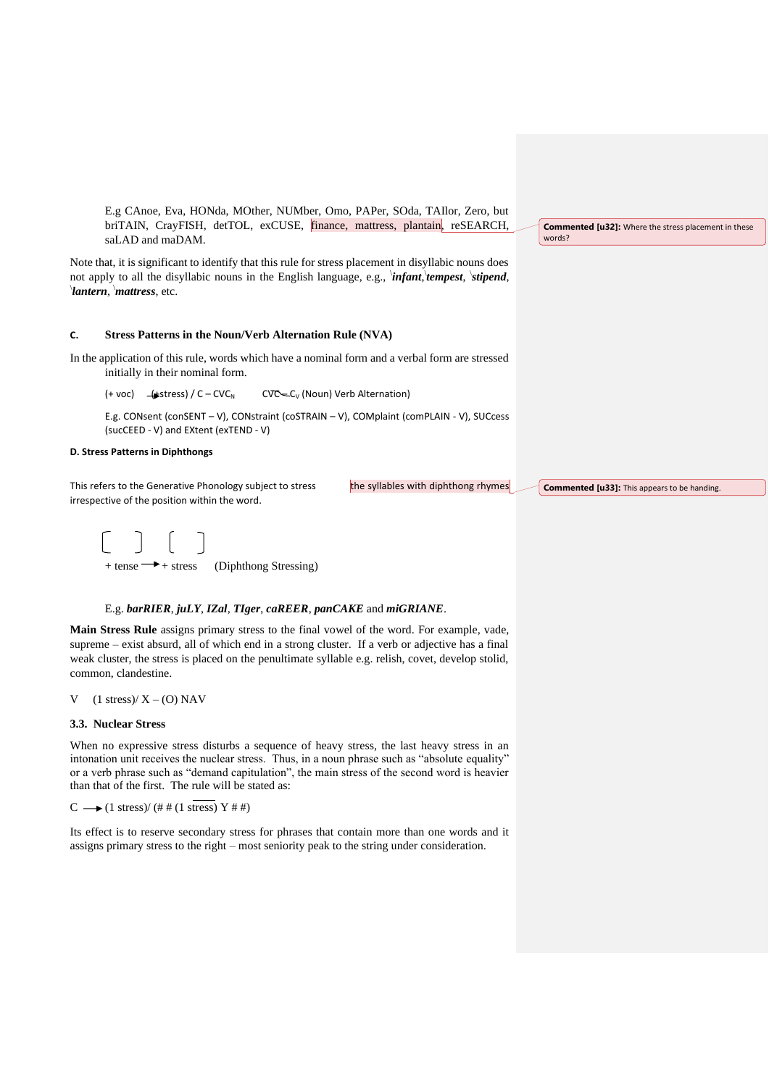E.g CAnoe, Eva, HONda, MOther, NUMber, Omo, PAPer, SOda, TAIlor, Zero, but briTAIN, CrayFISH, detTOL, exCUSE, finance, mattress, plantain, reSEARCH, saLAD and maDAM.

Note that, it is significant to identify that this rule for stress placement in disyllabic nouns does not apply to all the disyllabic nouns in the English language, e.g., \ *infant*, \ *tempest*, \ *stipend*, \ *lantern*, \*mattress*, etc.

# **C. Stress Patterns in the Noun/Verb Alternation Rule (NVA)**

In the application of this rule, words which have a nominal form and a verbal form are stressed initially in their nominal form.

 $(+\text{ voc})$   $(-\text{stress}) / C - CVC_N$  CVC $-C_V$  (Noun) Verb Alternation)

E.g. CONsent (conSENT – V), CONstraint (coSTRAIN – V), COMplaint (comPLAIN - V), SUCcess (sucCEED - V) and EXtent (exTEND - V)

#### **D. Stress Patterns in Diphthongs**

This refers to the Generative Phonology subject to stress the syllables with diphthong rhymes irrespective of the position within the word.

**Commented [u33]:** This appears to be handing.

**Commented [u32]:** Where the stress placement in these

words?

#### $\bigcap$  $\mathbf{L}$  $+$  tense  $\rightarrow$  + stress (Diphthong Stressing)

#### E.g. *barRIER*, *juLY*, *IZal*, *TIger*, *caREER*, *panCAKE* and *miGRIANE*.

**Main Stress Rule** assigns primary stress to the final vowel of the word. For example, vade, supreme – exist absurd, all of which end in a strong cluster. If a verb or adjective has a final weak cluster, the stress is placed on the penultimate syllable e.g. relish, covet, develop stolid, common, clandestine.

#### V  $(1 \text{ stress})/X - (0)$  NAV

#### **3.3. Nuclear Stress**

When no expressive stress disturbs a sequence of heavy stress, the last heavy stress in an intonation unit receives the nuclear stress. Thus, in a noun phrase such as "absolute equality" or a verb phrase such as "demand capitulation", the main stress of the second word is heavier than that of the first. The rule will be stated as:

 $C \longrightarrow (1 \text{ stress})/(# # (1 \text{ stress}) Y # #)$ 

Its effect is to reserve secondary stress for phrases that contain more than one words and it assigns primary stress to the right – most seniority peak to the string under consideration.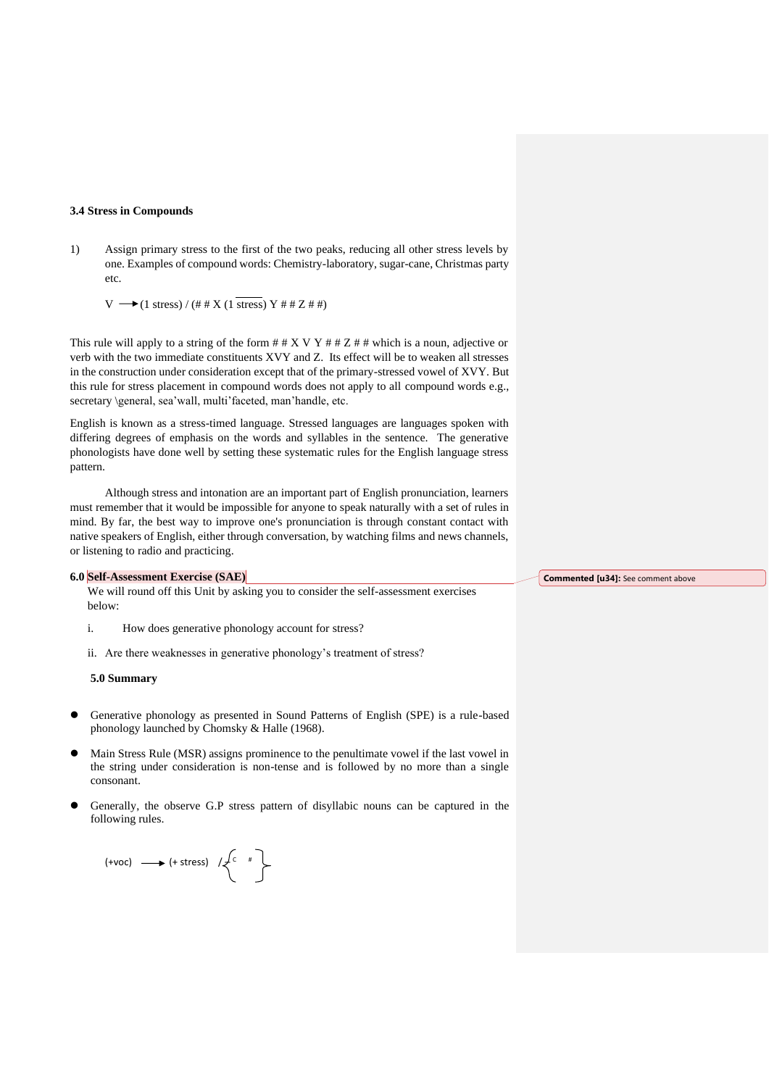#### **3.4 Stress in Compounds**

1) Assign primary stress to the first of the two peaks, reducing all other stress levels by one. Examples of compound words: Chemistry-laboratory, sugar-cane, Christmas party etc.

 $V \longrightarrow (1 \text{ stress}) / (\# \# X (1 \text{ stress}) Y \# \# Z \# \#)$ 

This rule will apply to a string of the form  $#$   $#$   $X$  V  $Y$   $#$   $#$   $Z$   $#$   $#$  which is a noun, adjective or verb with the two immediate constituents XVY and Z. Its effect will be to weaken all stresses in the construction under consideration except that of the primary-stressed vowel of XVY. But this rule for stress placement in compound words does not apply to all compound words e.g., secretary \general, sea'wall, multi'faceted, man'handle, etc.

English is known as a stress-timed language. Stressed languages are languages spoken with differing degrees of emphasis on the words and syllables in the sentence. The generative phonologists have done well by setting these systematic rules for the English language stress pattern.

Although stress and intonation are an important part of English pronunciation, learners must remember that it would be impossible for anyone to speak naturally with a set of rules in mind. By far, the best way to improve one's pronunciation is through constant contact with native speakers of English, either through conversation, by watching films and news channels, or listening to radio and practicing.

#### **6.0 Self-Assessment Exercise (SAE)**

We will round off this Unit by asking you to consider the self-assessment exercises below:

- i. How does generative phonology account for stress?
- ii. Are there weaknesses in generative phonology's treatment of stress?

**5.0 Summary**

- ⚫ Generative phonology as presented in Sound Patterns of English (SPE) is a rule-based phonology launched by Chomsky & Halle (1968).
- ⚫ Main Stress Rule (MSR) assigns prominence to the penultimate vowel if the last vowel in the string under consideration is non-tense and is followed by no more than a single consonant.
- ⚫ Generally, the observe G.P stress pattern of disyllabic nouns can be captured in the following rules.

$$
(+\text{voc}) \longrightarrow (+\text{stress}) \quad / \left\{\begin{matrix} c & * \ & \text{``}\end{matrix}\right\}
$$

**Commented [u34]:** See comment above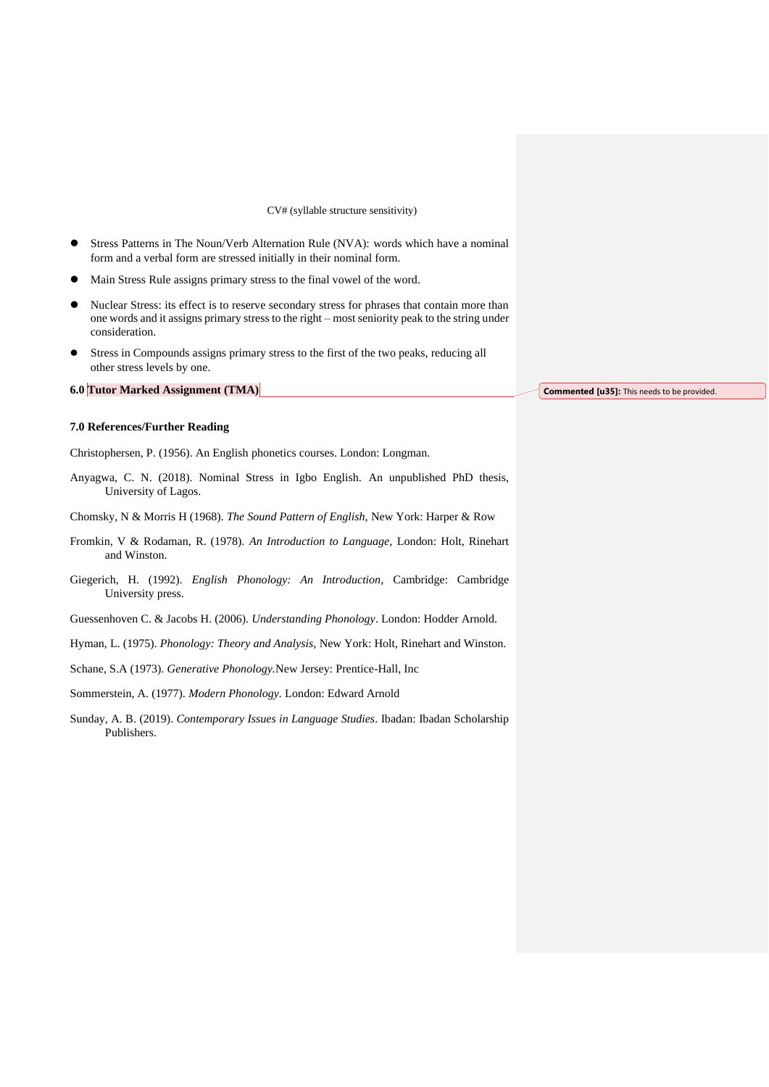#### CV# (syllable structure sensitivity)

- ⚫ Stress Patterns in The Noun/Verb Alternation Rule (NVA): words which have a nominal form and a verbal form are stressed initially in their nominal form.
- ⚫ Main Stress Rule assigns primary stress to the final vowel of the word.
- ⚫ Nuclear Stress: its effect is to reserve secondary stress for phrases that contain more than one words and it assigns primary stress to the right – most seniority peak to the string under consideration.
- ⚫ Stress in Compounds assigns primary stress to the first of the two peaks, reducing all other stress levels by one.

### **6.0 Tutor Marked Assignment (TMA)**

**Commented [u35]:** This needs to be provided.

#### **7.0 References/Further Reading**

Christophersen, P. (1956). An English phonetics courses. London: Longman.

Anyagwa, C. N. (2018). Nominal Stress in Igbo English. An unpublished PhD thesis, University of Lagos.

Chomsky, N & Morris H (1968). *The Sound Pattern of English,* New York: Harper & Row

- Fromkin, V & Rodaman, R. (1978). *An Introduction to Language,* London: Holt, Rinehart and Winston.
- Giegerich, H. (1992). *English Phonology: An Introduction,* Cambridge: Cambridge University press.

Guessenhoven C. & Jacobs H. (2006). *Understanding Phonology*. London: Hodder Arnold.

Hyman, L. (1975). *Phonology: Theory and Analysis,* New York: Holt, Rinehart and Winston.

Schane, S.A (1973). *Generative Phonology.*New Jersey: Prentice-Hall, Inc

Sommerstein, A. (1977). *Modern Phonology.* London: Edward Arnold

Sunday, A. B. (2019). *Contemporary Issues in Language Studies*. Ibadan: Ibadan Scholarship Publishers.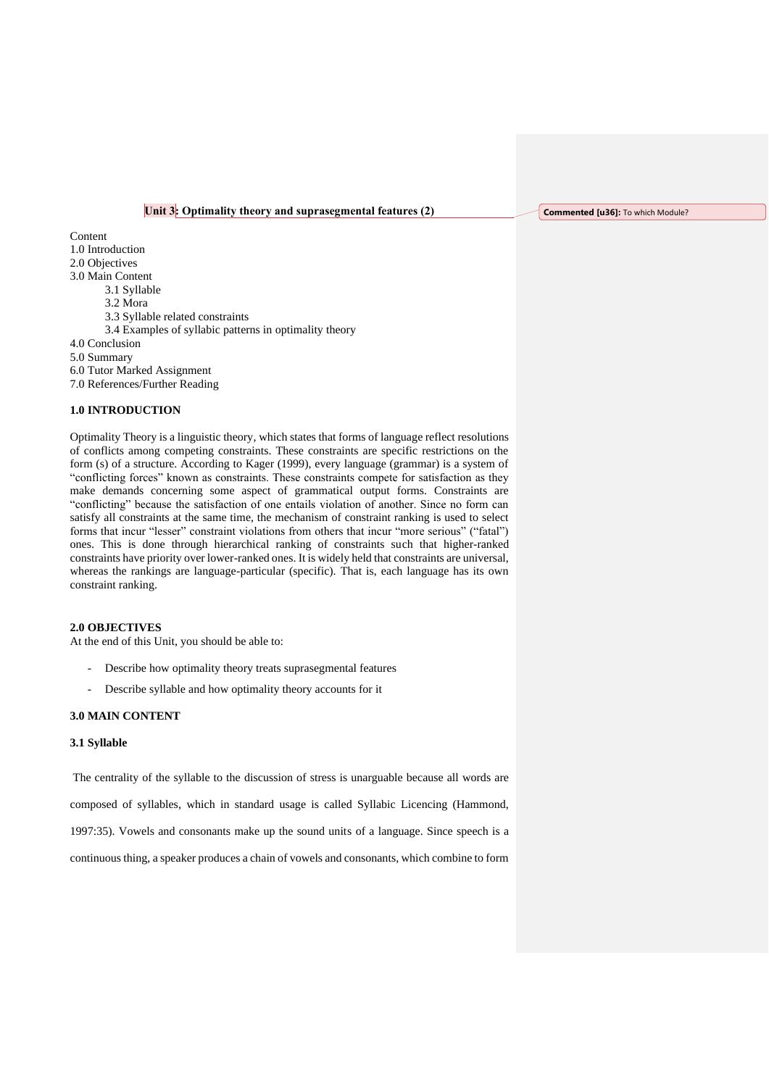# **Unit 3: Optimality theory and suprasegmental features (2)**

**Commented [u36]:** To which Module?

Content 1.0 Introduction 2.0 Objectives 3.0 Main Content 3.1 Syllable 3.2 Mora 3.3 Syllable related constraints 3.4 Examples of syllabic patterns in optimality theory 4.0 Conclusion 5.0 Summary 6.0 Tutor Marked Assignment 7.0 References/Further Reading

# **1.0 INTRODUCTION**

Optimality Theory is a linguistic theory, which states that forms of language reflect resolutions of conflicts among competing constraints. These constraints are specific restrictions on the form (s) of a structure. According to Kager (1999), every language (grammar) is a system of "conflicting forces" known as constraints. These constraints compete for satisfaction as they make demands concerning some aspect of grammatical output forms. Constraints are "conflicting" because the satisfaction of one entails violation of another. Since no form can satisfy all constraints at the same time, the mechanism of constraint ranking is used to select forms that incur "lesser" constraint violations from others that incur "more serious" ("fatal") ones. This is done through hierarchical ranking of constraints such that higher-ranked constraints have priority over lower-ranked ones. It is widely held that constraints are universal, whereas the rankings are language-particular (specific). That is, each language has its own constraint ranking.

# **2.0 OBJECTIVES**

At the end of this Unit, you should be able to:

- Describe how optimality theory treats suprasegmental features
- Describe syllable and how optimality theory accounts for it

#### **3.0 MAIN CONTENT**

#### **3.1 Syllable**

The centrality of the syllable to the discussion of stress is unarguable because all words are

composed of syllables, which in standard usage is called Syllabic Licencing (Hammond,

1997:35). Vowels and consonants make up the sound units of a language. Since speech is a

continuous thing, a speaker produces a chain of vowels and consonants, which combine to form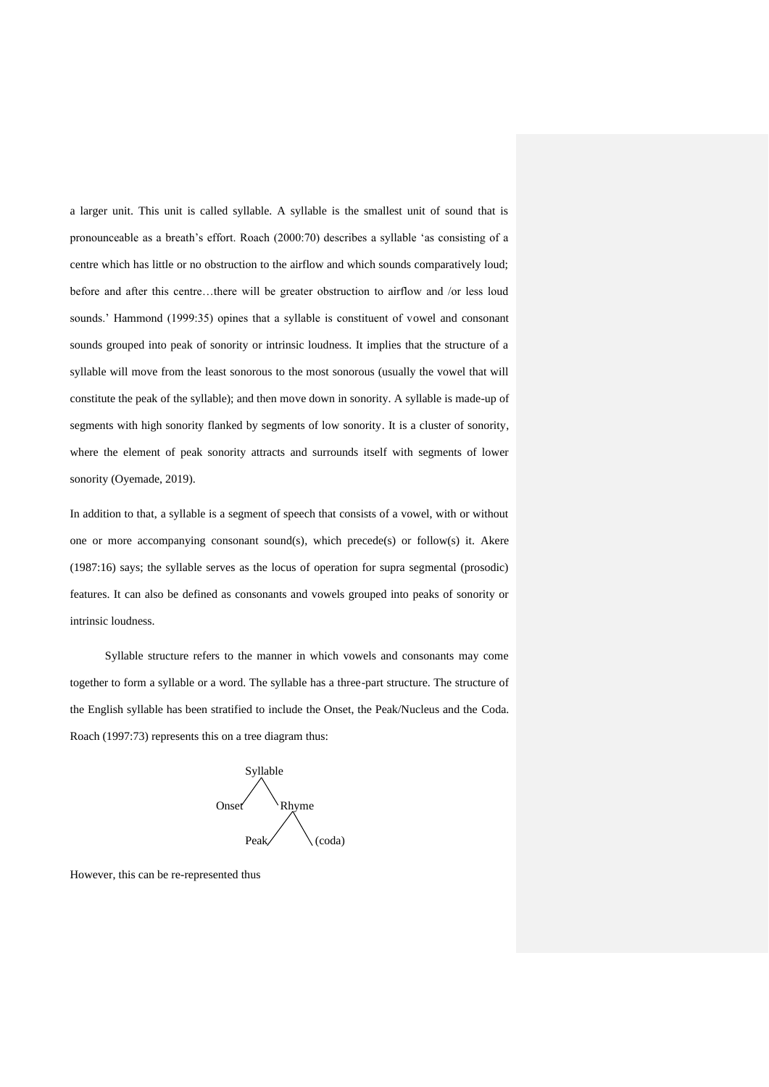a larger unit. This unit is called syllable. A syllable is the smallest unit of sound that is pronounceable as a breath's effort. Roach (2000:70) describes a syllable 'as consisting of a centre which has little or no obstruction to the airflow and which sounds comparatively loud; before and after this centre…there will be greater obstruction to airflow and /or less loud sounds.' Hammond (1999:35) opines that a syllable is constituent of vowel and consonant sounds grouped into peak of sonority or intrinsic loudness. It implies that the structure of a syllable will move from the least sonorous to the most sonorous (usually the vowel that will constitute the peak of the syllable); and then move down in sonority. A syllable is made-up of segments with high sonority flanked by segments of low sonority. It is a cluster of sonority, where the element of peak sonority attracts and surrounds itself with segments of lower sonority (Oyemade, 2019).

In addition to that, a syllable is a segment of speech that consists of a vowel, with or without one or more accompanying consonant sound(s), which precede(s) or follow(s) it. Akere (1987:16) says; the syllable serves as the locus of operation for supra segmental (prosodic) features. It can also be defined as consonants and vowels grouped into peaks of sonority or intrinsic loudness.

Syllable structure refers to the manner in which vowels and consonants may come together to form a syllable or a word. The syllable has a three-part structure. The structure of the English syllable has been stratified to include the Onset, the Peak/Nucleus and the Coda. Roach (1997:73) represents this on a tree diagram thus:



However, this can be re-represented thus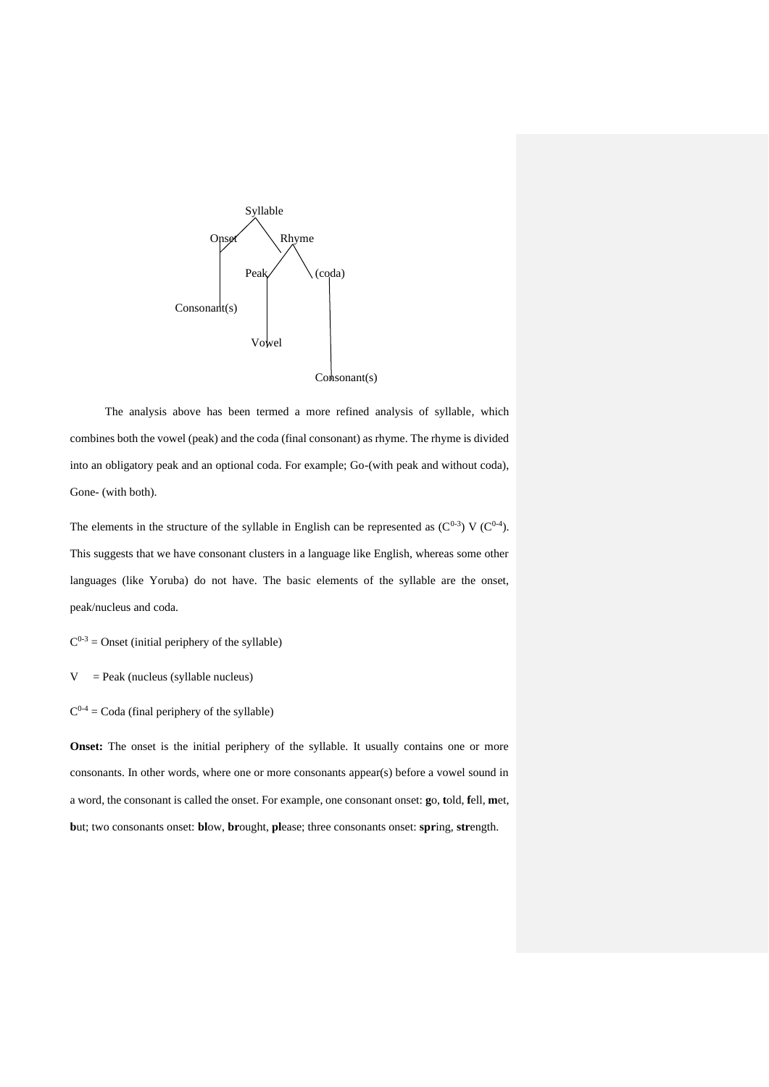

The analysis above has been termed a more refined analysis of syllable, which combines both the vowel (peak) and the coda (final consonant) as rhyme. The rhyme is divided into an obligatory peak and an optional coda. For example; Go-(with peak and without coda), Gone- (with both).

The elements in the structure of the syllable in English can be represented as  $(C^{0.3})$  V  $(C^{0.4})$ . This suggests that we have consonant clusters in a language like English, whereas some other languages (like Yoruba) do not have. The basic elements of the syllable are the onset, peak/nucleus and coda.

 $C^{0-3}$  = Onset (initial periphery of the syllable)

 $V =$  Peak (nucleus (syllable nucleus)

 $C^{0-4}$  = Coda (final periphery of the syllable)

**Onset:** The onset is the initial periphery of the syllable. It usually contains one or more consonants. In other words, where one or more consonants appear(s) before a vowel sound in a word, the consonant is called the onset. For example, one consonant onset: **g**o, **t**old, **f**ell, **m**et, **b**ut; two consonants onset: **bl**ow, **br**ought, **pl**ease; three consonants onset: **spr**ing, **str**ength.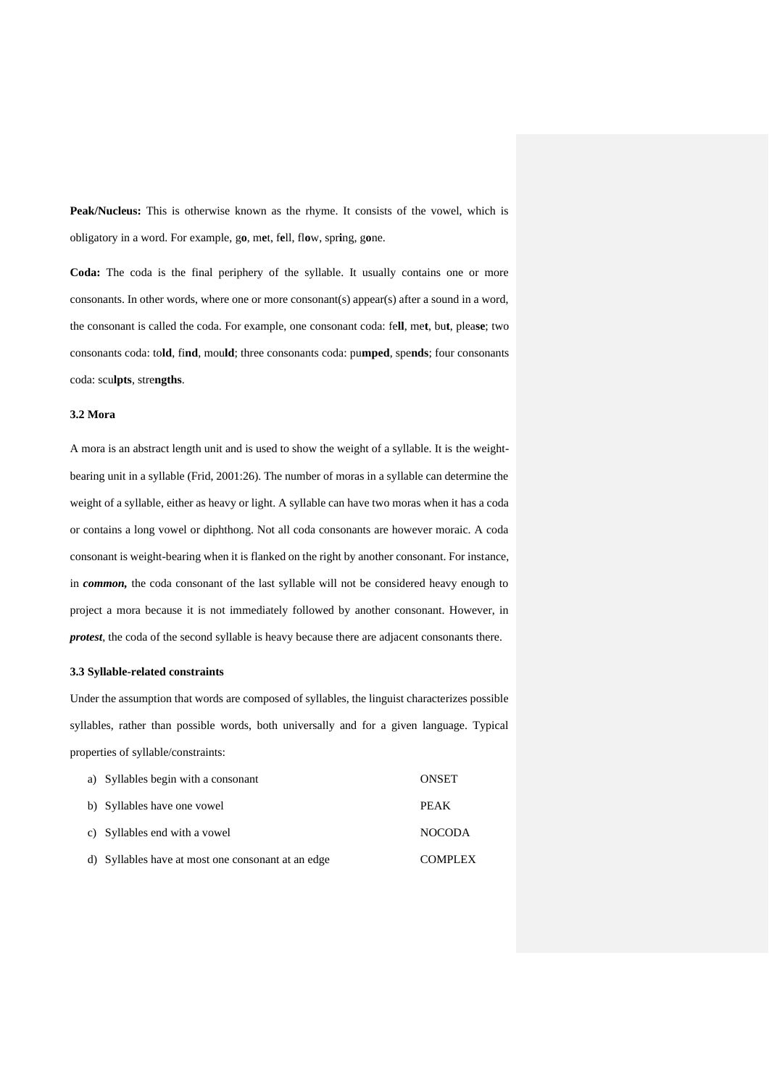Peak/Nucleus: This is otherwise known as the rhyme. It consists of the vowel, which is obligatory in a word. For example, g**o**, m**e**t, f**e**ll, fl**o**w, spr**i**ng, g**o**ne.

**Coda:** The coda is the final periphery of the syllable. It usually contains one or more consonants. In other words, where one or more consonant(s) appear(s) after a sound in a word, the consonant is called the coda. For example, one consonant coda: fe**ll**, me**t**, bu**t**, plea**se**; two consonants coda: to**ld**, fi**nd**, mou**ld**; three consonants coda: pu**mped**, spe**nds**; four consonants coda: scu**lpts**, stre**ngths**.

#### **3.2 Mora**

A mora is an abstract length unit and is used to show the weight of a syllable. It is the weightbearing unit in a syllable (Frid, 2001:26). The number of moras in a syllable can determine the weight of a syllable, either as heavy or light. A syllable can have two moras when it has a coda or contains a long vowel or diphthong. Not all coda consonants are however moraic. A coda consonant is weight-bearing when it is flanked on the right by another consonant. For instance, in *common,* the coda consonant of the last syllable will not be considered heavy enough to project a mora because it is not immediately followed by another consonant. However, in *protest*, the coda of the second syllable is heavy because there are adjacent consonants there.

#### **3.3 Syllable-related constraints**

Under the assumption that words are composed of syllables, the linguist characterizes possible syllables, rather than possible words, both universally and for a given language. Typical properties of syllable/constraints:

| a) Syllables begin with a consonant                | <b>ONSET</b>   |
|----------------------------------------------------|----------------|
| b) Syllables have one vowel                        | <b>PEAK</b>    |
| c) Syllables end with a vowel                      | <b>NOCODA</b>  |
| d) Syllables have at most one consonant at an edge | <b>COMPLEX</b> |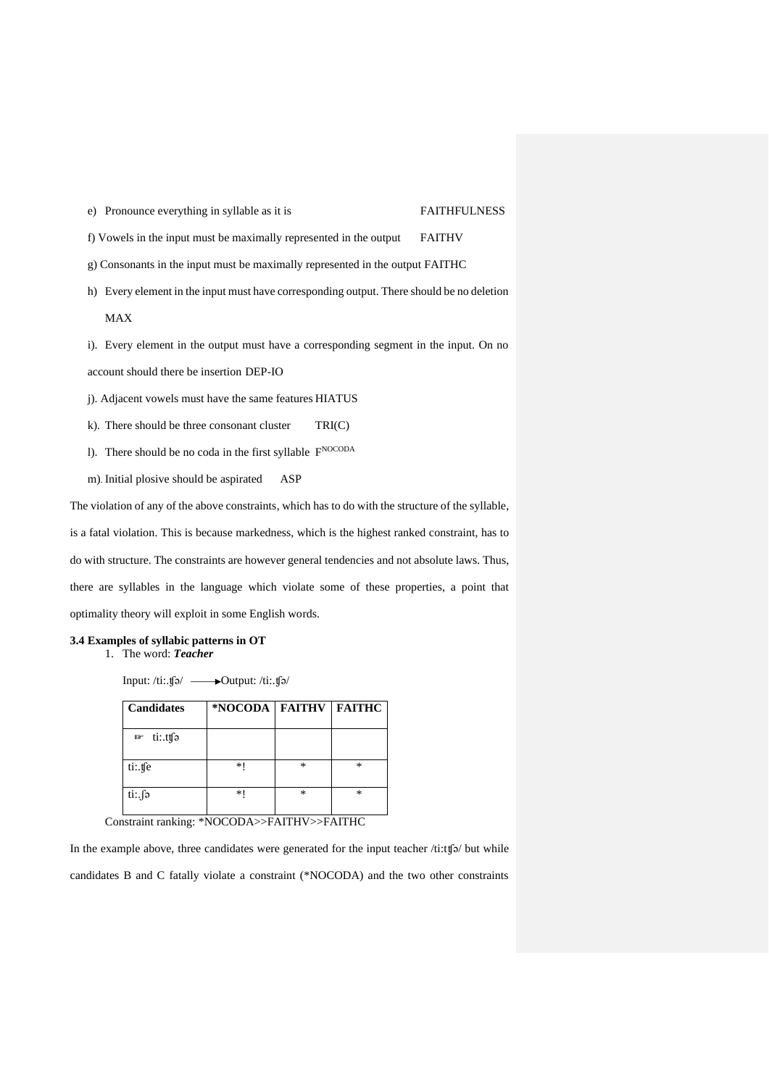e) Pronounce everything in syllable as it is FAITHFULNESS

f) Vowels in the input must be maximally represented in the output FAITHV

g) Consonants in the input must be maximally represented in the output FAITHC

h) Every element in the input must have corresponding output. There should be no deletion MAX

i). Every element in the output must have a corresponding segment in the input. On no account should there be insertion DEP-IO

j). Adjacent vowels must have the same features HIATUS

k). There should be three consonant cluster TRI(C)

l). There should be no coda in the first syllable F<sup>NOCODA</sup>

m). Initial plosive should be aspirated ASP

The violation of any of the above constraints, which has to do with the structure of the syllable, is a fatal violation. This is because markedness, which is the highest ranked constraint, has to do with structure. The constraints are however general tendencies and not absolute laws. Thus, there are syllables in the language which violate some of these properties, a point that optimality theory will exploit in some English words.

#### **3.4 Examples of syllabic patterns in OT**

1. The word: *Teacher*

Input: /ti:.ʧə/ Output: /ti:.ʧə/

| <b>Candidates</b>    | *NOCODA   FAITHV |   | <b>FAITHC</b> |
|----------------------|------------------|---|---------------|
| ti∷ttfə<br><b>KF</b> |                  |   |               |
| ti:.tfe              | $*1$             | * | *             |
| ti∴∫ə                | *1               | * | $\ast$        |

Constraint ranking: \*NOCODA>>FAITHV>>FAITHC

In the example above, three candidates were generated for the input teacher /ti:tfo/ but while candidates B and C fatally violate a constraint (\*NOCODA) and the two other constraints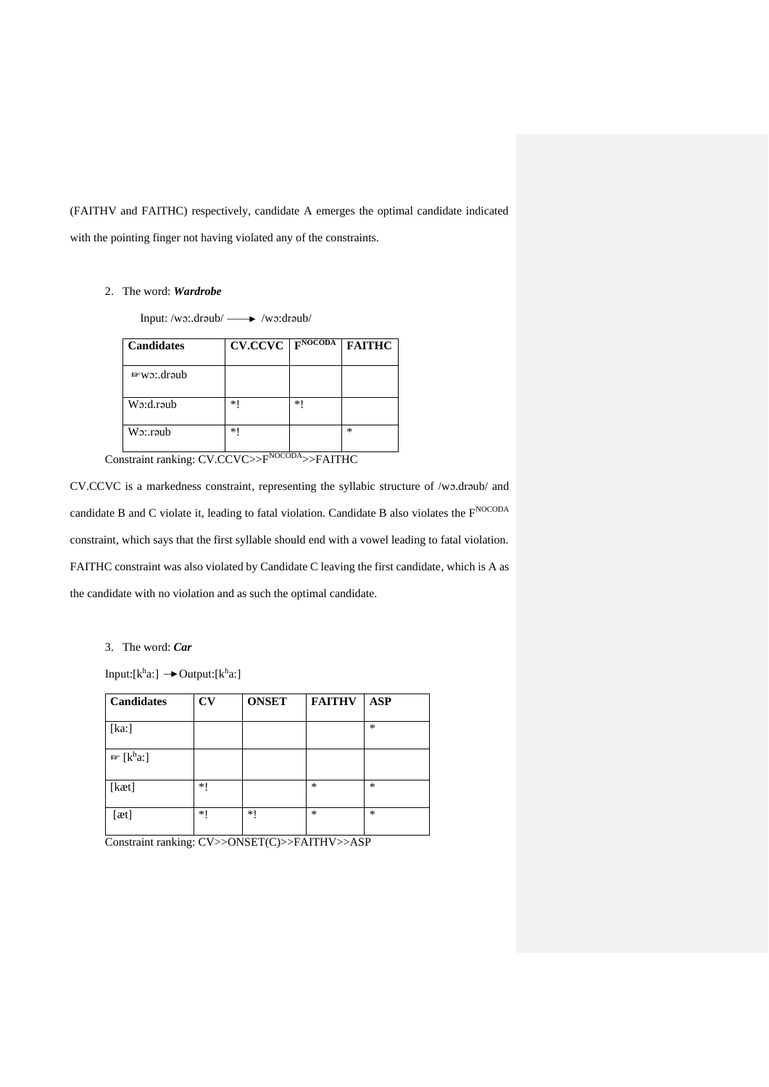(FAITHV and FAITHC) respectively, candidate A emerges the optimal candidate indicated with the pointing finger not having violated any of the constraints.

# 2. The word: *Wardrobe*

Input: /wɔ:.drəub/  $\longrightarrow$  /wɔ:drəub/

| <b>Candidates</b> | <b>CV.CCVC</b>           | FNOCODA | <b>FAITHC</b> |
|-------------------|--------------------------|---------|---------------|
| $w$ wo: draub     |                          |         |               |
| $W_2: d$ . raub   | $*1$                     | *1      |               |
| $W_2$ : raub      | *1<br>$-$ <i>NIOCODA</i> |         | *             |

Constraint ranking: CV.CCVC>>FNOCODA>>FAITHC

CV.CCVC is a markedness constraint, representing the syllabic structure of /wɔ.drəub/ and candidate B and C violate it, leading to fatal violation. Candidate B also violates the  $F^{NOCODA}$ constraint, which says that the first syllable should end with a vowel leading to fatal violation. FAITHC constraint was also violated by Candidate C leaving the first candidate, which is A as the candidate with no violation and as such the optimal candidate.

3. The word: *Car*

Input:  $[k^h a] \rightarrow$  Output:  $[k^h a]$ 

| <b>Candidates</b>                | $\mathbf{C}\mathbf{V}$ | <b>ONSET</b> | <b>FAITHV</b> | <b>ASP</b> |
|----------------------------------|------------------------|--------------|---------------|------------|
| [ka!]                            |                        |              |               | *          |
| $\mathbb{F}$ [k <sup>h</sup> a:] |                        |              |               |            |
| [kæt]                            | *1                     |              | $\ast$        | *          |
| [æt]                             | *1                     | $*!$         | $\ast$        | *          |

Constraint ranking: CV>>ONSET(C)>>FAITHV>>ASP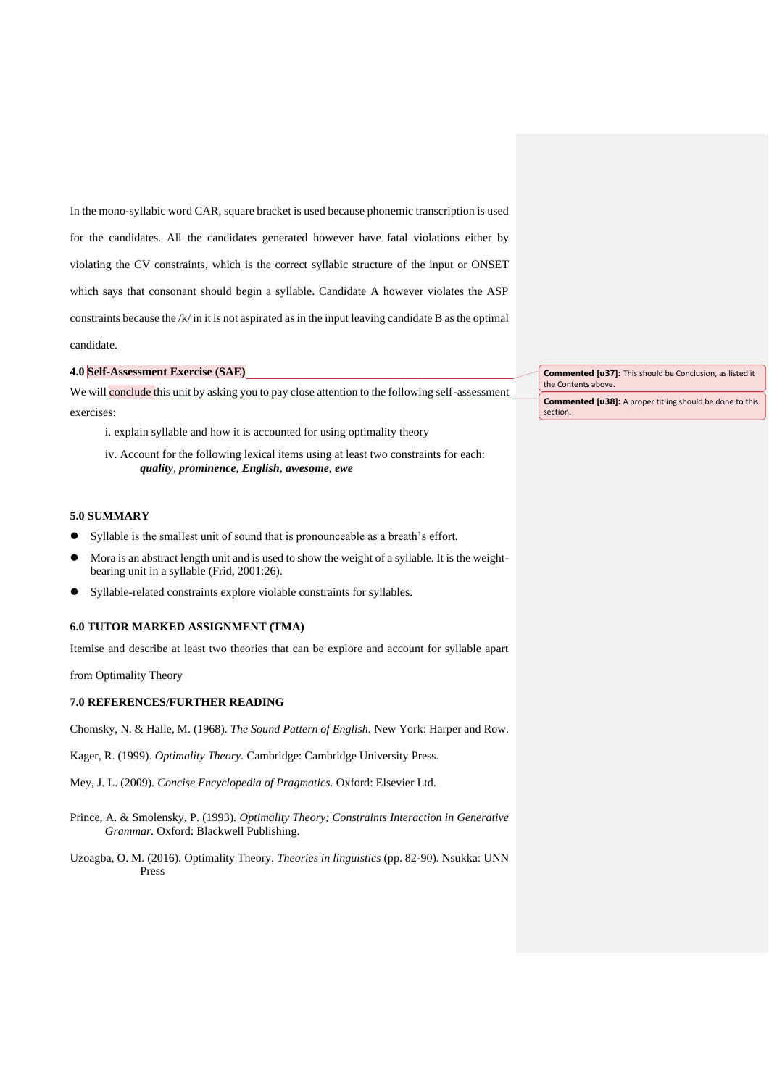In the mono-syllabic word CAR, square bracket is used because phonemic transcription is used for the candidates. All the candidates generated however have fatal violations either by violating the CV constraints, which is the correct syllabic structure of the input or ONSET which says that consonant should begin a syllable. Candidate A however violates the ASP constraints because the /k/ in it is not aspirated as in the input leaving candidate B as the optimal candidate.

## **4.0 Self-Assessment Exercise (SAE)**

We will conclude this unit by asking you to pay close attention to the following self-assessment exercises:

- i. explain syllable and how it is accounted for using optimality theory
- iv. Account for the following lexical items using at least two constraints for each: *quality*, *prominence*, *English*, *awesome*, *ewe*

## **5.0 SUMMARY**

- ⚫ Syllable is the smallest unit of sound that is pronounceable as a breath's effort.
- ⚫ Mora is an abstract length unit and is used to show the weight of a syllable. It is the weightbearing unit in a syllable (Frid, 2001:26).
- ⚫ Syllable-related constraints explore violable constraints for syllables.

#### **6.0 TUTOR MARKED ASSIGNMENT (TMA)**

Itemise and describe at least two theories that can be explore and account for syllable apart

from Optimality Theory

#### **7.0 REFERENCES/FURTHER READING**

Chomsky, N. & Halle, M. (1968). *The Sound Pattern of English.* New York: Harper and Row.

Kager, R. (1999). *Optimality Theory.* Cambridge: Cambridge University Press.

Mey, J. L. (2009). *Concise Encyclopedia of Pragmatics.* Oxford: Elsevier Ltd.

- Prince, A. & Smolensky, P. (1993). *Optimality Theory; Constraints Interaction in Generative Grammar.* Oxford: Blackwell Publishing.
- Uzoagba, O. M. (2016). Optimality Theory. *Theories in linguistics* (pp. 82-90)*.* Nsukka: UNN Press

**Commented [u37]:** This should be Conclusion, as listed it the Contents above.

**Commented [u38]:** A proper titling should be done to this section.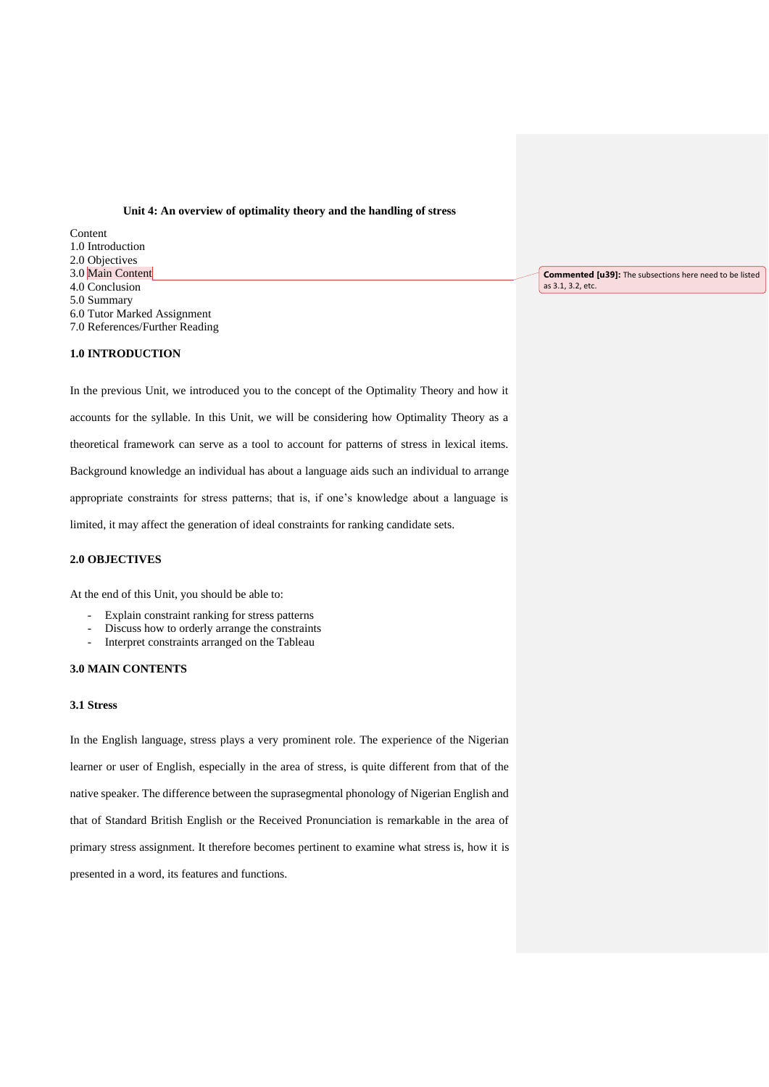#### **Unit 4: An overview of optimality theory and the handling of stress**

**Content** 1.0 Introduction 2.0 Objectives 3.0 Main Content 4.0 Conclusion 5.0 Summary 6.0 Tutor Marked Assignment 7.0 References/Further Reading

#### **Commented [u39]:** The subsections here need to be listed as 3.1, 3.2, etc.

#### **1.0 INTRODUCTION**

In the previous Unit, we introduced you to the concept of the Optimality Theory and how it accounts for the syllable. In this Unit, we will be considering how Optimality Theory as a theoretical framework can serve as a tool to account for patterns of stress in lexical items. Background knowledge an individual has about a language aids such an individual to arrange appropriate constraints for stress patterns; that is, if one's knowledge about a language is limited, it may affect the generation of ideal constraints for ranking candidate sets.

## **2.0 OBJECTIVES**

At the end of this Unit, you should be able to:

- Explain constraint ranking for stress patterns
- Discuss how to orderly arrange the constraints
- Interpret constraints arranged on the Tableau

#### **3.0 MAIN CONTENTS**

#### **3.1 Stress**

In the English language, stress plays a very prominent role. The experience of the Nigerian learner or user of English, especially in the area of stress, is quite different from that of the native speaker. The difference between the suprasegmental phonology of Nigerian English and that of Standard British English or the Received Pronunciation is remarkable in the area of primary stress assignment. It therefore becomes pertinent to examine what stress is, how it is presented in a word, its features and functions.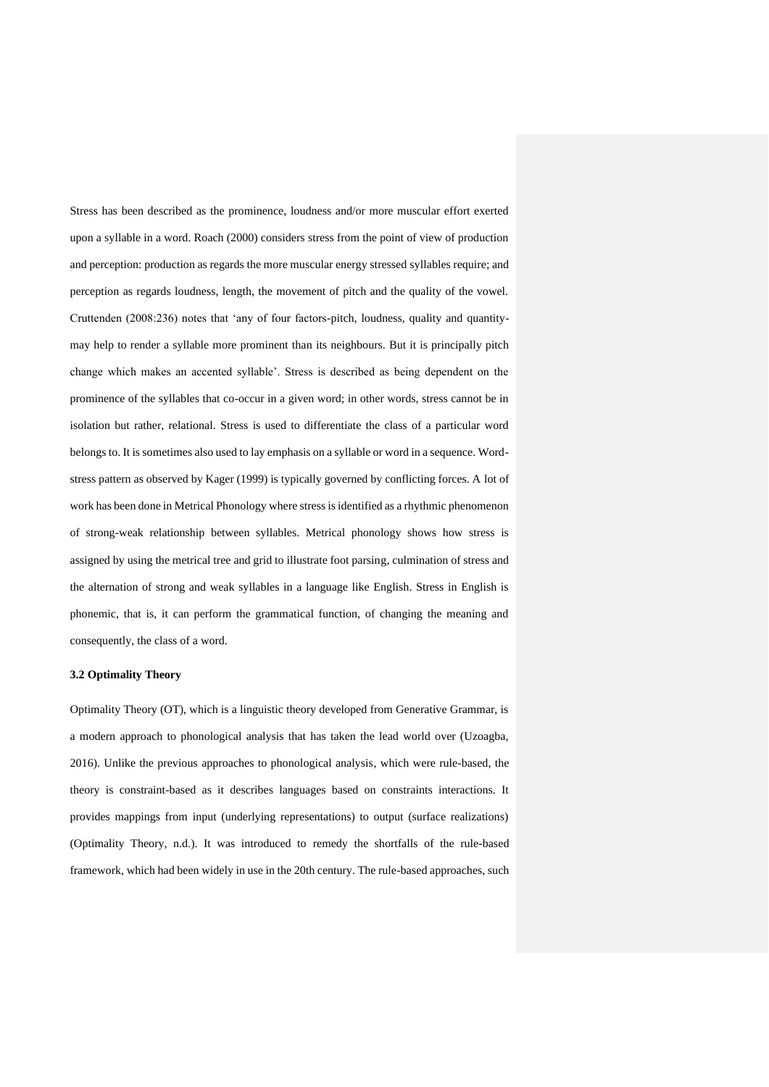Stress has been described as the prominence, loudness and/or more muscular effort exerted upon a syllable in a word. Roach (2000) considers stress from the point of view of production and perception: production as regards the more muscular energy stressed syllables require; and perception as regards loudness, length, the movement of pitch and the quality of the vowel. Cruttenden (2008:236) notes that 'any of four factors-pitch, loudness, quality and quantitymay help to render a syllable more prominent than its neighbours. But it is principally pitch change which makes an accented syllable'. Stress is described as being dependent on the prominence of the syllables that co-occur in a given word; in other words, stress cannot be in isolation but rather, relational. Stress is used to differentiate the class of a particular word belongs to. It is sometimes also used to lay emphasis on a syllable or word in a sequence. Wordstress pattern as observed by Kager (1999) is typically governed by conflicting forces. A lot of work has been done in Metrical Phonology where stress is identified as a rhythmic phenomenon of strong-weak relationship between syllables. Metrical phonology shows how stress is assigned by using the metrical tree and grid to illustrate foot parsing, culmination of stress and the alternation of strong and weak syllables in a language like English. Stress in English is phonemic, that is, it can perform the grammatical function, of changing the meaning and consequently, the class of a word.

## **3.2 Optimality Theory**

Optimality Theory (OT), which is a linguistic theory developed from Generative Grammar, is a modern approach to phonological analysis that has taken the lead world over (Uzoagba, 2016). Unlike the previous approaches to phonological analysis, which were rule-based, the theory is constraint-based as it describes languages based on constraints interactions. It provides mappings from input (underlying representations) to output (surface realizations) (Optimality Theory, n.d.). It was introduced to remedy the shortfalls of the rule-based framework, which had been widely in use in the 20th century. The rule-based approaches, such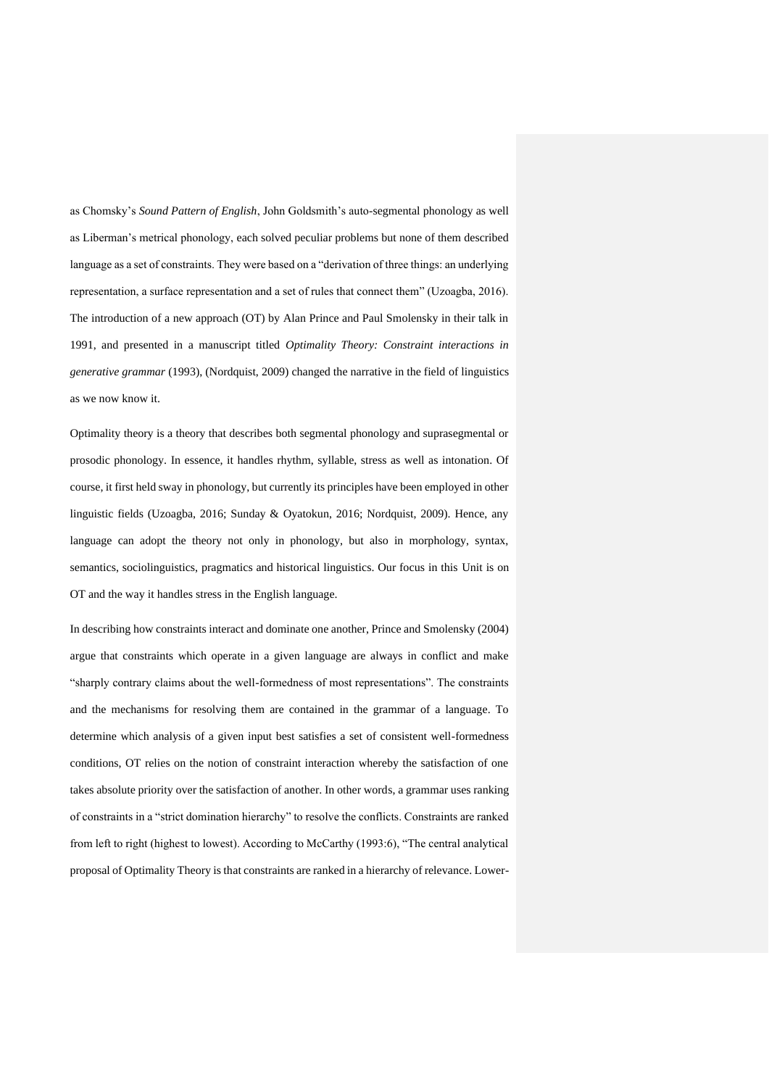as Chomsky's *Sound Pattern of English*, John Goldsmith's auto-segmental phonology as well as Liberman's metrical phonology, each solved peculiar problems but none of them described language as a set of constraints. They were based on a "derivation of three things: an underlying representation, a surface representation and a set of rules that connect them" (Uzoagba, 2016). The introduction of a new approach (OT) by Alan Prince and Paul Smolensky in their talk in 1991, and presented in a manuscript titled *Optimality Theory: Constraint interactions in generative grammar* (1993), (Nordquist, 2009) changed the narrative in the field of linguistics as we now know it.

Optimality theory is a theory that describes both segmental phonology and suprasegmental or prosodic phonology. In essence, it handles rhythm, syllable, stress as well as intonation. Of course, it first held sway in phonology, but currently its principles have been employed in other linguistic fields (Uzoagba, 2016; Sunday & Oyatokun, 2016; Nordquist, 2009). Hence, any language can adopt the theory not only in phonology, but also in morphology, syntax, semantics, sociolinguistics, pragmatics and historical linguistics. Our focus in this Unit is on OT and the way it handles stress in the English language.

In describing how constraints interact and dominate one another, Prince and Smolensky (2004) argue that constraints which operate in a given language are always in conflict and make "sharply contrary claims about the well-formedness of most representations". The constraints and the mechanisms for resolving them are contained in the grammar of a language. To determine which analysis of a given input best satisfies a set of consistent well-formedness conditions, OT relies on the notion of constraint interaction whereby the satisfaction of one takes absolute priority over the satisfaction of another. In other words, a grammar uses ranking of constraints in a "strict domination hierarchy" to resolve the conflicts. Constraints are ranked from left to right (highest to lowest). According to McCarthy (1993:6), "The central analytical proposal of Optimality Theory is that constraints are ranked in a hierarchy of relevance. Lower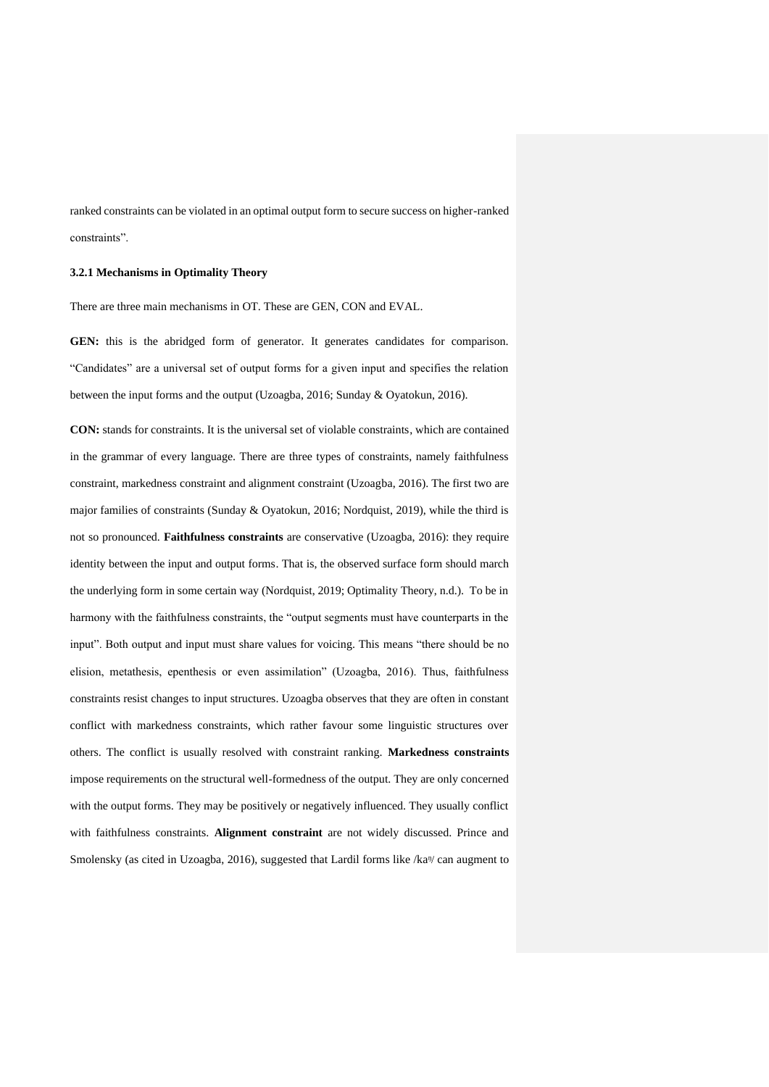ranked constraints can be violated in an optimal output form to secure success on higher-ranked constraints".

#### **3.2.1 Mechanisms in Optimality Theory**

There are three main mechanisms in OT. These are GEN, CON and EVAL.

GEN: this is the abridged form of generator. It generates candidates for comparison. "Candidates" are a universal set of output forms for a given input and specifies the relation between the input forms and the output (Uzoagba, 2016; Sunday & Oyatokun, 2016).

**CON:** stands for constraints. It is the universal set of violable constraints, which are contained in the grammar of every language. There are three types of constraints, namely faithfulness constraint, markedness constraint and alignment constraint (Uzoagba, 2016). The first two are major families of constraints (Sunday & Oyatokun, 2016; Nordquist, 2019), while the third is not so pronounced. **Faithfulness constraints** are conservative (Uzoagba, 2016): they require identity between the input and output forms. That is, the observed surface form should march the underlying form in some certain way (Nordquist, 2019; Optimality Theory, n.d.). To be in harmony with the faithfulness constraints, the "output segments must have counterparts in the input". Both output and input must share values for voicing. This means "there should be no elision, metathesis, epenthesis or even assimilation" (Uzoagba, 2016). Thus, faithfulness constraints resist changes to input structures. Uzoagba observes that they are often in constant conflict with markedness constraints, which rather favour some linguistic structures over others. The conflict is usually resolved with constraint ranking. **Markedness constraints** impose requirements on the structural well-formedness of the output. They are only concerned with the output forms. They may be positively or negatively influenced. They usually conflict with faithfulness constraints. **Alignment constraint** are not widely discussed. Prince and Smolensky (as cited in Uzoagba, 2016), suggested that Lardil forms like /ka<sup>n</sup>/ can augment to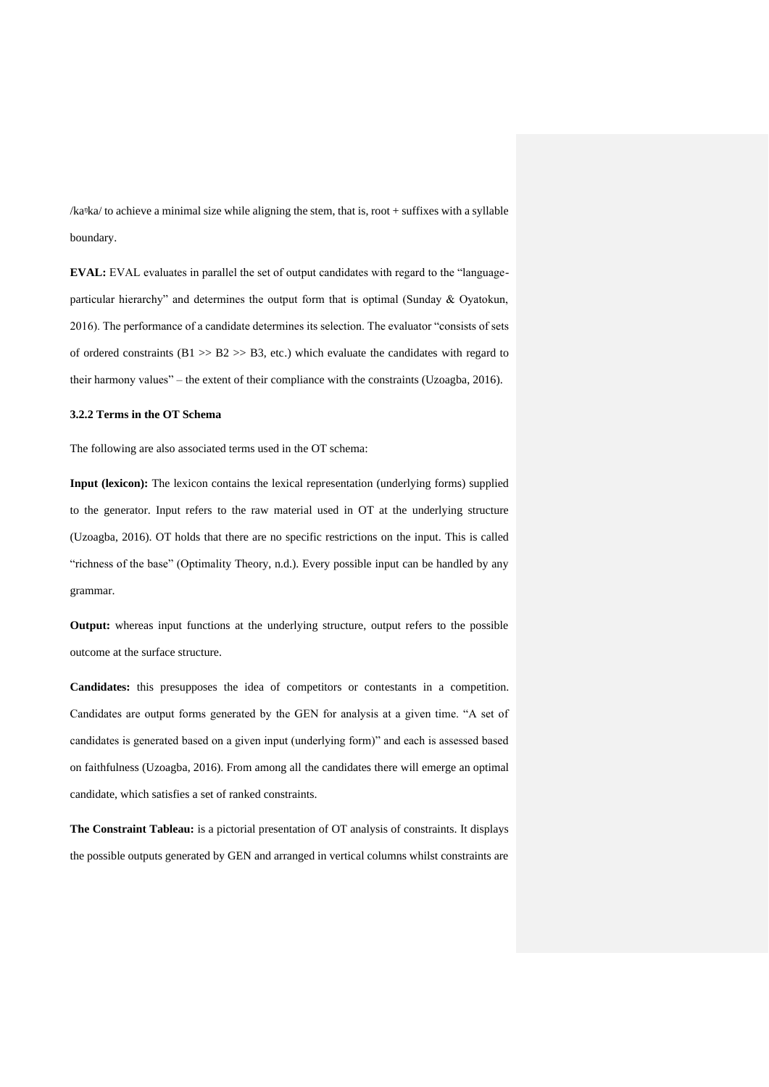/kaᵑka/ to achieve a minimal size while aligning the stem, that is, root + suffixes with a syllable boundary.

**EVAL:** EVAL evaluates in parallel the set of output candidates with regard to the "languageparticular hierarchy" and determines the output form that is optimal (Sunday & Oyatokun, 2016). The performance of a candidate determines its selection. The evaluator "consists of sets of ordered constraints ( $B1 \gg B2 \gg B3$ , etc.) which evaluate the candidates with regard to their harmony values" – the extent of their compliance with the constraints (Uzoagba, 2016).

## **3.2.2 Terms in the OT Schema**

The following are also associated terms used in the OT schema:

**Input (lexicon):** The lexicon contains the lexical representation (underlying forms) supplied to the generator. Input refers to the raw material used in OT at the underlying structure (Uzoagba, 2016). OT holds that there are no specific restrictions on the input. This is called "richness of the base" (Optimality Theory, n.d.). Every possible input can be handled by any grammar.

**Output:** whereas input functions at the underlying structure, output refers to the possible outcome at the surface structure.

**Candidates:** this presupposes the idea of competitors or contestants in a competition. Candidates are output forms generated by the GEN for analysis at a given time. "A set of candidates is generated based on a given input (underlying form)" and each is assessed based on faithfulness (Uzoagba, 2016). From among all the candidates there will emerge an optimal candidate, which satisfies a set of ranked constraints.

**The Constraint Tableau:** is a pictorial presentation of OT analysis of constraints. It displays the possible outputs generated by GEN and arranged in vertical columns whilst constraints are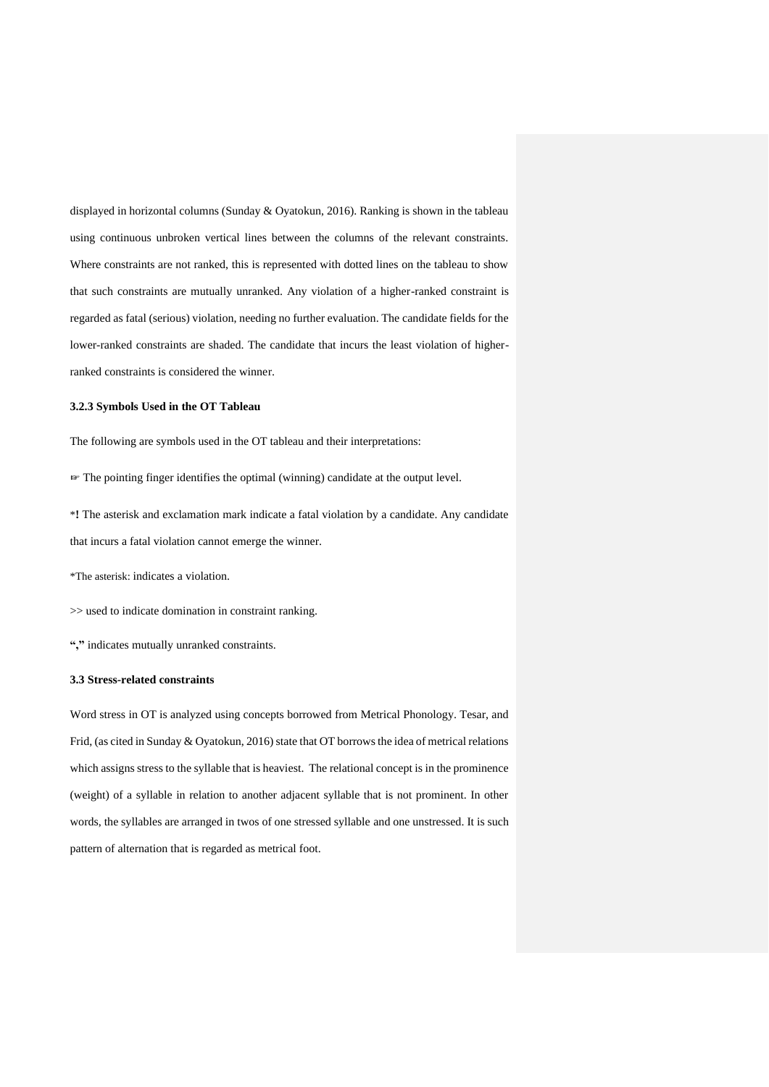displayed in horizontal columns (Sunday & Oyatokun, 2016). Ranking is shown in the tableau using continuous unbroken vertical lines between the columns of the relevant constraints. Where constraints are not ranked, this is represented with dotted lines on the tableau to show that such constraints are mutually unranked. Any violation of a higher-ranked constraint is regarded as fatal (serious) violation, needing no further evaluation. The candidate fields for the lower-ranked constraints are shaded. The candidate that incurs the least violation of higherranked constraints is considered the winner.

## **3.2.3 Symbols Used in the OT Tableau**

The following are symbols used in the OT tableau and their interpretations:

☞ The pointing finger identifies the optimal (winning) candidate at the output level.

\***!** The asterisk and exclamation mark indicate a fatal violation by a candidate. Any candidate that incurs a fatal violation cannot emerge the winner.

\*The asterisk: indicates a violation.

>> used to indicate domination in constraint ranking.

**","** indicates mutually unranked constraints.

#### **3.3 Stress-related constraints**

Word stress in OT is analyzed using concepts borrowed from Metrical Phonology. Tesar, and Frid, (as cited in Sunday & Oyatokun, 2016) state that OT borrows the idea of metrical relations which assigns stress to the syllable that is heaviest. The relational concept is in the prominence (weight) of a syllable in relation to another adjacent syllable that is not prominent. In other words, the syllables are arranged in twos of one stressed syllable and one unstressed. It is such pattern of alternation that is regarded as metrical foot.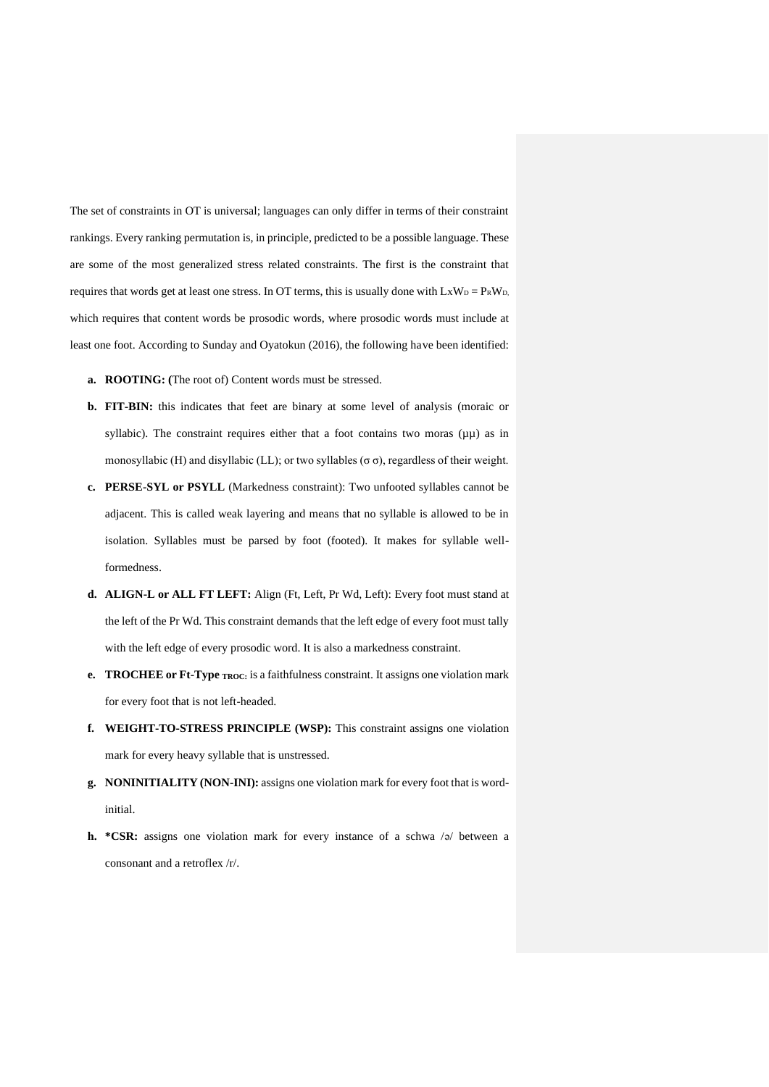The set of constraints in OT is universal; languages can only differ in terms of their constraint rankings. Every ranking permutation is, in principle, predicted to be a possible language. These are some of the most generalized stress related constraints. The first is the constraint that requires that words get at least one stress. In OT terms, this is usually done with  $LxW_D = P_RW_D$ , which requires that content words be prosodic words, where prosodic words must include at least one foot. According to Sunday and Oyatokun (2016), the following have been identified:

- **a. ROOTING: (**The root of) Content words must be stressed.
- **b. FIT-BIN:** this indicates that feet are binary at some level of analysis (moraic or syllabic). The constraint requires either that a foot contains two moras  $(\mu\mu)$  as in monosyllabic (H) and disyllabic (LL); or two syllables ( $\sigma \sigma$ ), regardless of their weight.
- **c. PERSE-SYL or PSYLL** (Markedness constraint): Two unfooted syllables cannot be adjacent. This is called weak layering and means that no syllable is allowed to be in isolation. Syllables must be parsed by foot (footed). It makes for syllable wellformedness.
- **d. ALIGN-L or ALL FT LEFT:** Align (Ft, Left, Pr Wd, Left): Every foot must stand at the left of the Pr Wd. This constraint demands that the left edge of every foot must tally with the left edge of every prosodic word. It is also a markedness constraint.
- **e. TROCHEE or Ft-Type TROC:** is a faithfulness constraint. It assigns one violation mark for every foot that is not left-headed.
- **f. WEIGHT-TO-STRESS PRINCIPLE (WSP):** This constraint assigns one violation mark for every heavy syllable that is unstressed.
- **g. NONINITIALITY (NON-INI):** assigns one violation mark for every foot that is wordinitial.
- **h.** \*CSR: assigns one violation mark for every instance of a schwa /ə/ between a consonant and a retroflex /r/.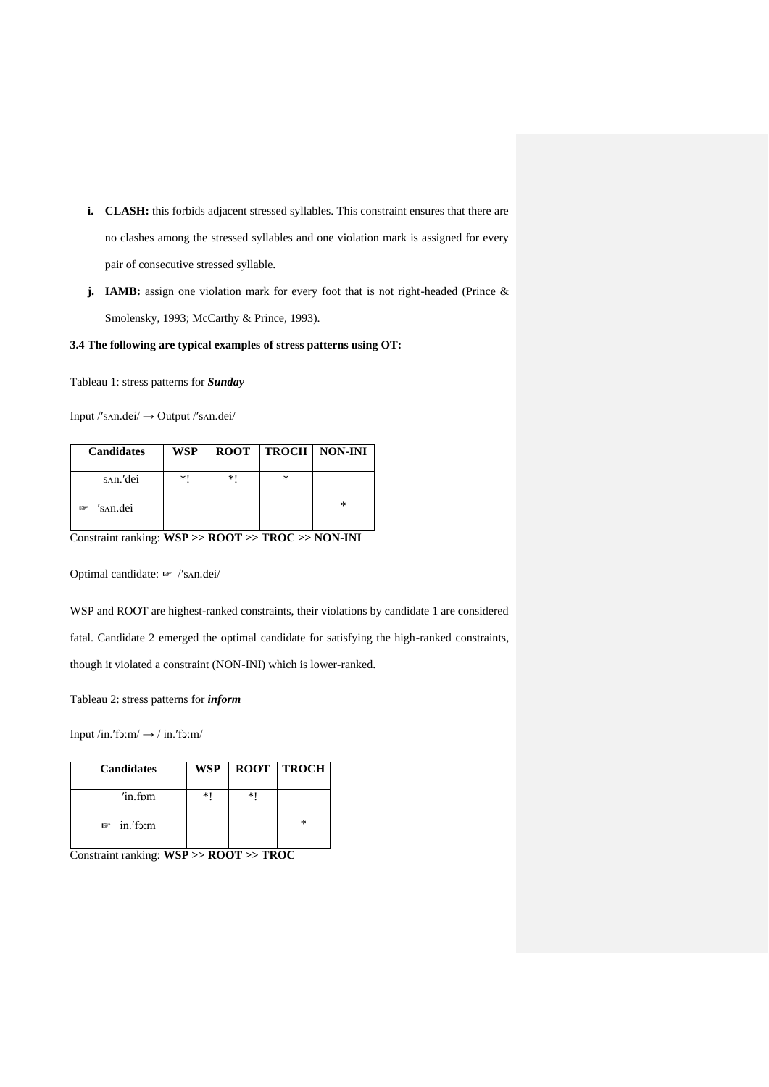- **i. CLASH:** this forbids adjacent stressed syllables. This constraint ensures that there are no clashes among the stressed syllables and one violation mark is assigned for every pair of consecutive stressed syllable.
- **j. IAMB:** assign one violation mark for every foot that is not right-headed (Prince & Smolensky, 1993; McCarthy & Prince, 1993).

# **3.4 The following are typical examples of stress patterns using OT:**

Tableau 1: stress patterns for *Sunday*

Input /ʹsʌn.ԁei/ → Output /ʹsʌn.ԁei/

| <b>Candidates</b> | <b>WSP</b> |    |   | <b>ROOT   TROCH   NON-INI</b> |
|-------------------|------------|----|---|-------------------------------|
| san.'dei          | *1         | *1 | * |                               |
| 's^n.dei<br>呼     |            |    |   | *                             |

Constraint ranking: **WSP >> ROOT >> TROC >> NON-INI**

Optimal candidate: ☞ /ʹsʌn.ԁei/

WSP and ROOT are highest-ranked constraints, their violations by candidate 1 are considered fatal. Candidate 2 emerged the optimal candidate for satisfying the high-ranked constraints, though it violated a constraint (NON-INI) which is lower-ranked.

Tableau 2: stress patterns for *inform*

Input /in.'fɔ:m/  $\rightarrow$  / in.'fɔ:m/

| <b>Candidates</b>  | <b>WSP</b> |    | <b>ROOT TROCH</b> |
|--------------------|------------|----|-------------------|
| $^{\prime}$ in fom | *1         | ∗∣ |                   |
| $in$ 'fo:m<br>呼    |            |    | *                 |

Constraint ranking: **WSP >> ROOT >> TROC**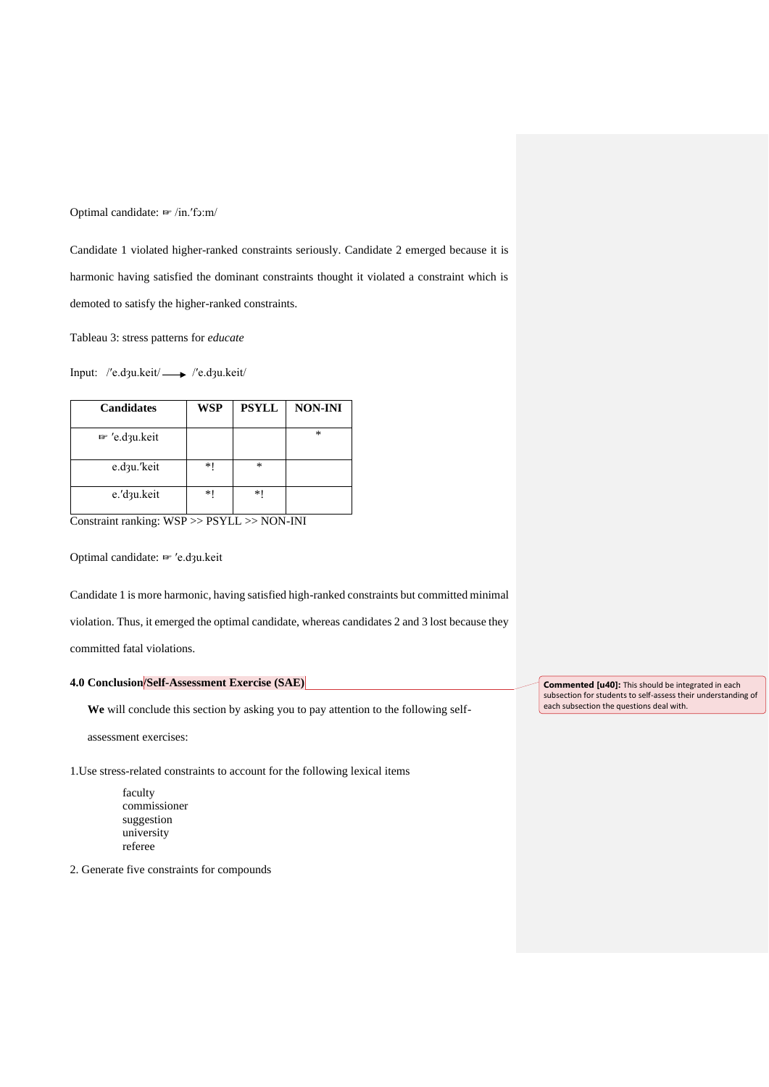Optimal candidate: ☞ /in.ʹfͻ:m/

Candidate 1 violated higher-ranked constraints seriously. Candidate 2 emerged because it is harmonic having satisfied the dominant constraints thought it violated a constraint which is demoted to satisfy the higher-ranked constraints.

Tableau 3: stress patterns for *educate*

Input: /'e.d3u.keit/ - /'e.d3u.keit/

| <b>Candidates</b>         | <b>WSP</b> | <b>PSYLL</b> | <b>NON-INI</b> |
|---------------------------|------------|--------------|----------------|
| <sup>to</sup> 'e.d3u.keit |            |              | $\ast$         |
| e.d <sub>3u.</sub> 'keit  | $*1$       | ∗            |                |
| e.'d3u.keit               | $*1$       | $*1$         |                |

Constraint ranking: WSP >> PSYLL >> NON-INI

Optimal candidate: ☞ ʹe.dȝu.keit

Candidate 1 is more harmonic, having satisfied high-ranked constraints but committed minimal

violation. Thus, it emerged the optimal candidate, whereas candidates 2 and 3 lost because they

committed fatal violations.

# **4.0 Conclusion/Self-Assessment Exercise (SAE)**

**We** will conclude this section by asking you to pay attention to the following self-

assessment exercises:

1.Use stress-related constraints to account for the following lexical items

faculty commissioner suggestion university referee

2. Generate five constraints for compounds

**Commented [u40]:** This should be integrated in each subsection for students to self-assess their understanding of each subsection the questions deal with.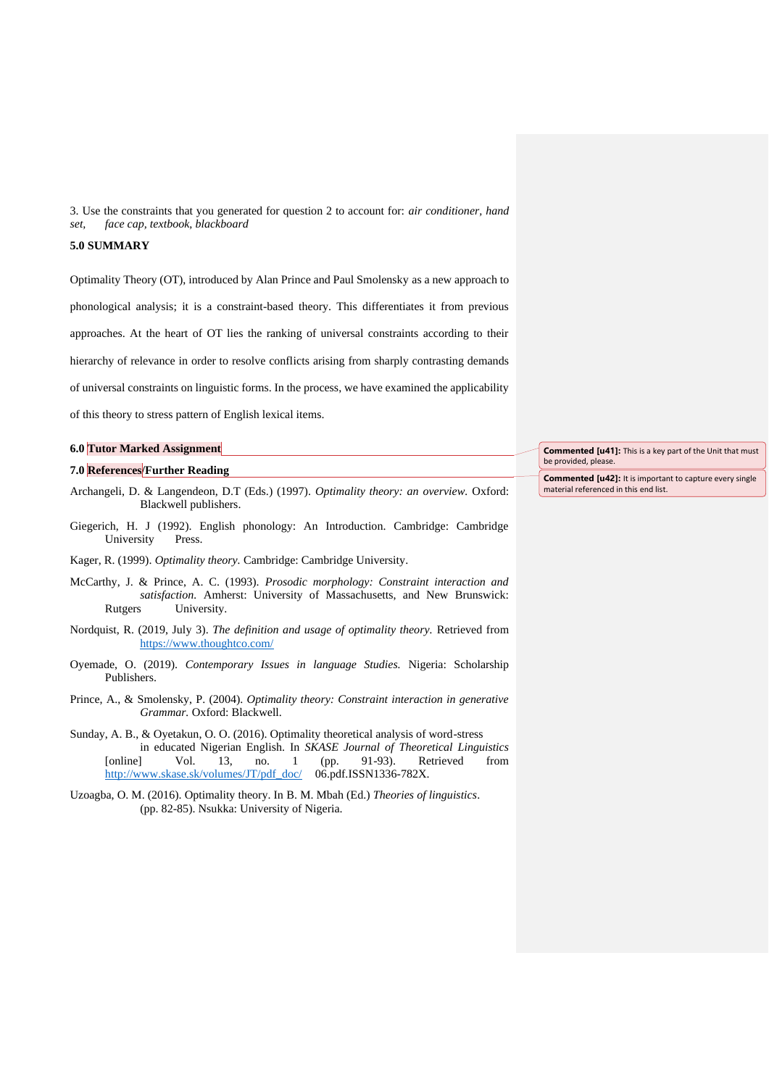3. Use the constraints that you generated for question 2 to account for: *air conditioner, hand set, face cap, textbook, blackboard* 

## **5.0 SUMMARY**

Optimality Theory (OT), introduced by Alan Prince and Paul Smolensky as a new approach to phonological analysis; it is a constraint-based theory. This differentiates it from previous approaches. At the heart of OT lies the ranking of universal constraints according to their hierarchy of relevance in order to resolve conflicts arising from sharply contrasting demands of universal constraints on linguistic forms. In the process, we have examined the applicability of this theory to stress pattern of English lexical items.

#### **6.0 Tutor Marked Assignment**

#### **7.0 References/Further Reading**

- Archangeli, D. & Langendeon, D.T (Eds.) (1997). *Optimality theory: an overview.* Oxford: Blackwell publishers.
- Giegerich, H. J (1992). English phonology: An Introduction. Cambridge: Cambridge University Press.
- Kager, R. (1999). *Optimality theory.* Cambridge: Cambridge University.
- McCarthy, J. & Prince, A. C. (1993). *Prosodic morphology: Constraint interaction and satisfaction.* Amherst: University of Massachusetts, and New Brunswick: Rutgers University.
- Nordquist, R. (2019, July 3). *The definition and usage of optimality theory.* Retrieved from <https://www.thoughtco.com/>
- Oyemade, O. (2019). *Contemporary Issues in language Studies.* Nigeria: Scholarship Publishers.
- Prince, A., & Smolensky, P. (2004). *Optimality theory: Constraint interaction in generative Grammar.* Oxford: Blackwell.
- Sunday, A. B., & Oyetakun, O. O. (2016). Optimality theoretical analysis of word-stress in educated Nigerian English. In *SKASE Journal of Theoretical Linguistics*  [online] Vol. 13, no. 1 (pp. 91-93). Retrieved from [http://www.skase.sk/volumes/JT/pdf\\_doc/](http://www.skase.sk/volumes/JT/pdf_doc/) 06.pdf.ISSN1336-782X.
- Uzoagba, O. M. (2016). Optimality theory. In B. M. Mbah (Ed.) *Theories of linguistics*. (pp. 82-85). Nsukka: University of Nigeria.

**Commented [u41]:** This is a key part of the Unit that must be provided, please.

**Commented [u42]:** It is important to capture every single material referenced in this end list.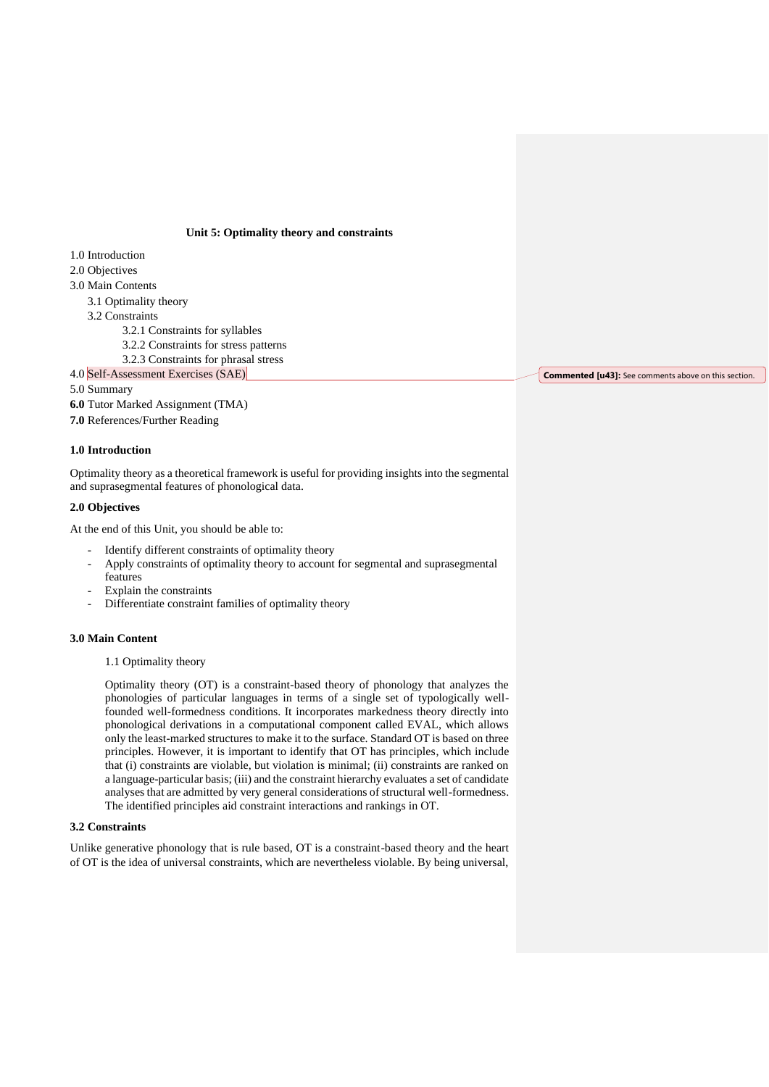## **Unit 5: Optimality theory and constraints**

#### 1.0 Introduction

- 2.0 Objectives
- 3.0 Main Contents
	- 3.1 Optimality theory
	- 3.2 Constraints
		- 3.2.1 Constraints for syllables
		- 3.2.2 Constraints for stress patterns
	- 3.2.3 Constraints for phrasal stress
- 4.0 Self-Assessment Exercises (SAE)

# 5.0 Summary

**6.0** Tutor Marked Assignment (TMA) **7.0** References/Further Reading

#### **1.0 Introduction**

Optimality theory as a theoretical framework is useful for providing insights into the segmental and suprasegmental features of phonological data.

## **2.0 Objectives**

At the end of this Unit, you should be able to:

- Identify different constraints of optimality theory
- Apply constraints of optimality theory to account for segmental and suprasegmental features
- Explain the constraints
- Differentiate constraint families of optimality theory

#### **3.0 Main Content**

## 1.1 Optimality theory

Optimality theory (OT) is a constraint-based theory of phonology that analyzes the phonologies of particular languages in terms of a single set of typologically wellfounded well-formedness conditions. It incorporates markedness theory directly into phonological derivations in a computational component called EVAL, which allows only the least-marked structures to make it to the surface. Standard OT is based on three principles. However, it is important to identify that OT has principles, which include that (i) constraints are violable, but violation is minimal; (ii) constraints are ranked on a language-particular basis; (iii) and the constraint hierarchy evaluates a set of candidate analyses that are admitted by very general considerations of structural well-formedness. The identified principles aid constraint interactions and rankings in OT.

#### **3.2 Constraints**

Unlike generative phonology that is rule based, OT is a constraint-based theory and the heart of OT is the idea of universal constraints, which are nevertheless violable. By being universal,

**Commented [u43]:** See comments above on this section.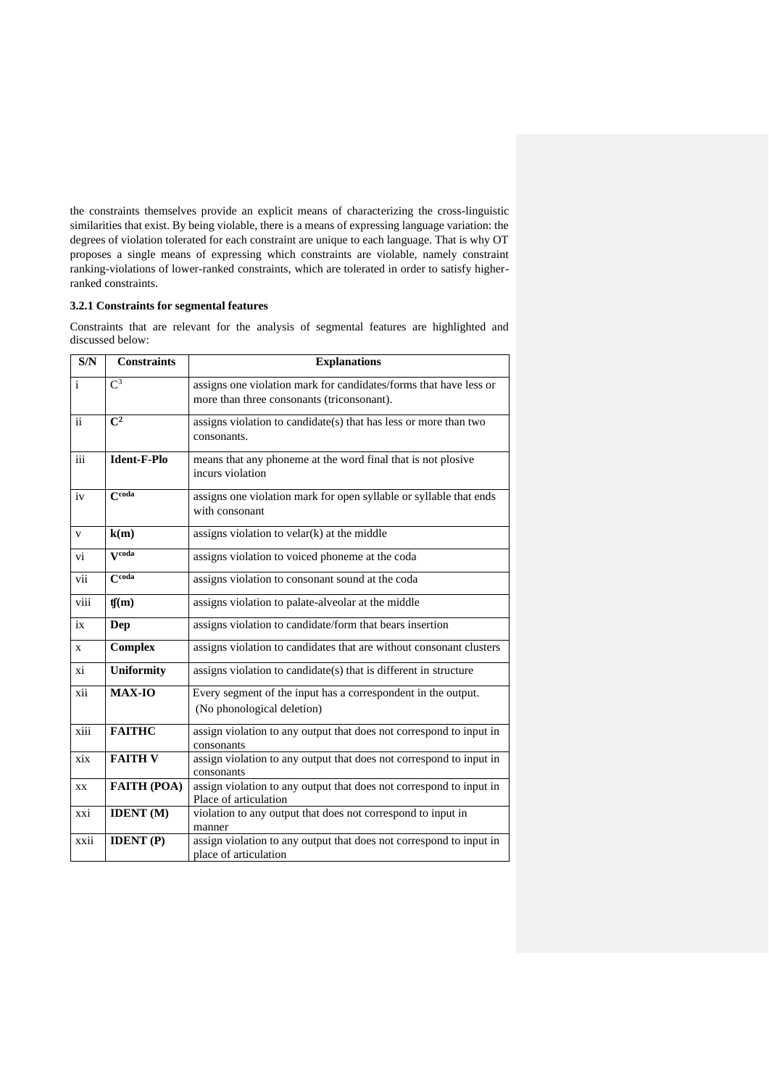the constraints themselves provide an explicit means of characterizing the cross-linguistic similarities that exist. By being violable, there is a means of expressing language variation: the degrees of violation tolerated for each constraint are unique to each language. That is why OT proposes a single means of expressing which constraints are violable, namely constraint ranking-violations of lower-ranked constraints, which are tolerated in order to satisfy higherranked constraints.

## **3.2.1 Constraints for segmental features**

Constraints that are relevant for the analysis of segmental features are highlighted and discussed below:

| S/N          | <b>Constraints</b>  | <b>Explanations</b>                                                                                             |
|--------------|---------------------|-----------------------------------------------------------------------------------------------------------------|
| $\mathbf{i}$ | $C^3$               | assigns one violation mark for candidates/forms that have less or<br>more than three consonants (triconsonant). |
| ii           | $\overline{C^2}$    | assigns violation to candidate(s) that has less or more than two<br>consonants.                                 |
| iii          | Ident-F-Plo         | means that any phoneme at the word final that is not plosive<br>incurs violation                                |
| iv           | C <sub>code</sub>   | assigns one violation mark for open syllable or syllable that ends<br>with consonant                            |
| V            | k(m)                | assigns violation to $v$ elar $(k)$ at the middle                                                               |
| vi           | Vcoda               | assigns violation to voiced phoneme at the coda                                                                 |
| vii          | $\overline{C}$ coda | assigns violation to consonant sound at the coda                                                                |
| viii         | f(m)                | assigns violation to palate-alveolar at the middle                                                              |
| ix           | Dep                 | assigns violation to candidate/form that bears insertion                                                        |
| X            | <b>Complex</b>      | assigns violation to candidates that are without consonant clusters                                             |
| xi           | <b>Uniformity</b>   | assigns violation to candidate(s) that is different in structure                                                |
| xii          | <b>MAX-IO</b>       | Every segment of the input has a correspondent in the output.<br>(No phonological deletion)                     |
| xiii         | <b>FAITHC</b>       | assign violation to any output that does not correspond to input in<br>consonants                               |
| xix          | <b>FAITH V</b>      | assign violation to any output that does not correspond to input in<br>consonants                               |
| XX           | <b>FAITH (POA)</b>  | assign violation to any output that does not correspond to input in<br>Place of articulation                    |
| xxi          | <b>IDENT</b> (M)    | violation to any output that does not correspond to input in<br>manner                                          |
| xxii         | <b>IDENT</b> (P)    | assign violation to any output that does not correspond to input in<br>place of articulation                    |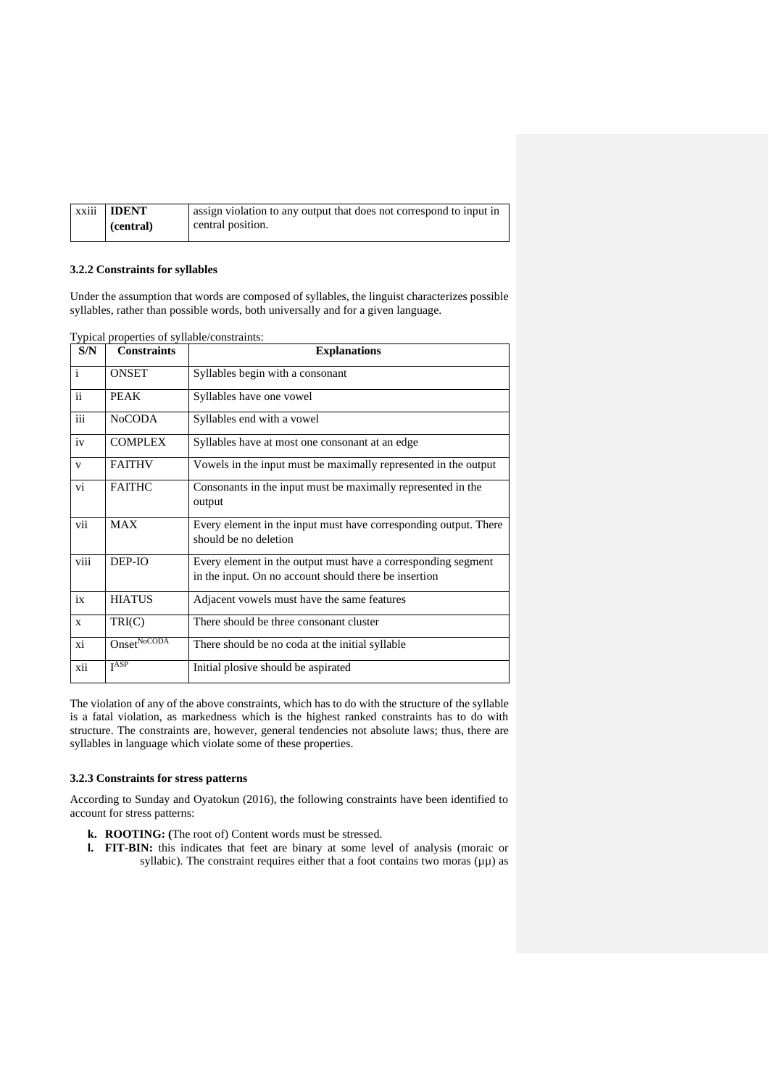| xxiii | <b>IDENT</b> | assign violation to any output that does not correspond to input in |
|-------|--------------|---------------------------------------------------------------------|
|       | (central)    | central position.                                                   |

## **3.2.2 Constraints for syllables**

Under the assumption that words are composed of syllables, the linguist characterizes possible syllables, rather than possible words, both universally and for a given language.

| S/N          | <b>Constraints</b>      | <b>Explanations</b>                                                                                                    |
|--------------|-------------------------|------------------------------------------------------------------------------------------------------------------------|
| $\mathbf{i}$ | <b>ONSET</b>            | Syllables begin with a consonant                                                                                       |
| ii           | <b>PEAK</b>             | Syllables have one vowel                                                                                               |
| iii          | <b>NoCODA</b>           | Syllables end with a vowel                                                                                             |
| iv           | <b>COMPLEX</b>          | Syllables have at most one consonant at an edge                                                                        |
| $\mathbf{V}$ | <b>FAITHV</b>           | Vowels in the input must be maximally represented in the output                                                        |
| vi           | <b>FAITHC</b>           | Consonants in the input must be maximally represented in the<br>output                                                 |
| vii          | <b>MAX</b>              | Every element in the input must have corresponding output. There<br>should be no deletion                              |
| viii         | DEP-IO                  | Every element in the output must have a corresponding segment<br>in the input. On no account should there be insertion |
| ix           | <b>HIATUS</b>           | Adjacent vowels must have the same features                                                                            |
| $\mathbf{x}$ | TRI(C)                  | There should be three consonant cluster                                                                                |
| xi           | Onset <sup>NoCODA</sup> | There should be no coda at the initial syllable                                                                        |
| xii          | I <sub>ASP</sub>        | Initial plosive should be aspirated                                                                                    |

The violation of any of the above constraints, which has to do with the structure of the syllable is a fatal violation, as markedness which is the highest ranked constraints has to do with structure. The constraints are, however, general tendencies not absolute laws; thus, there are syllables in language which violate some of these properties.

#### **3.2.3 Constraints for stress patterns**

According to Sunday and Oyatokun (2016), the following constraints have been identified to account for stress patterns:

- **k. ROOTING: (**The root of) Content words must be stressed.
- **l. FIT-BIN:** this indicates that feet are binary at some level of analysis (moraic or syllabic). The constraint requires either that a foot contains two moras  $(\mu\mu)$  as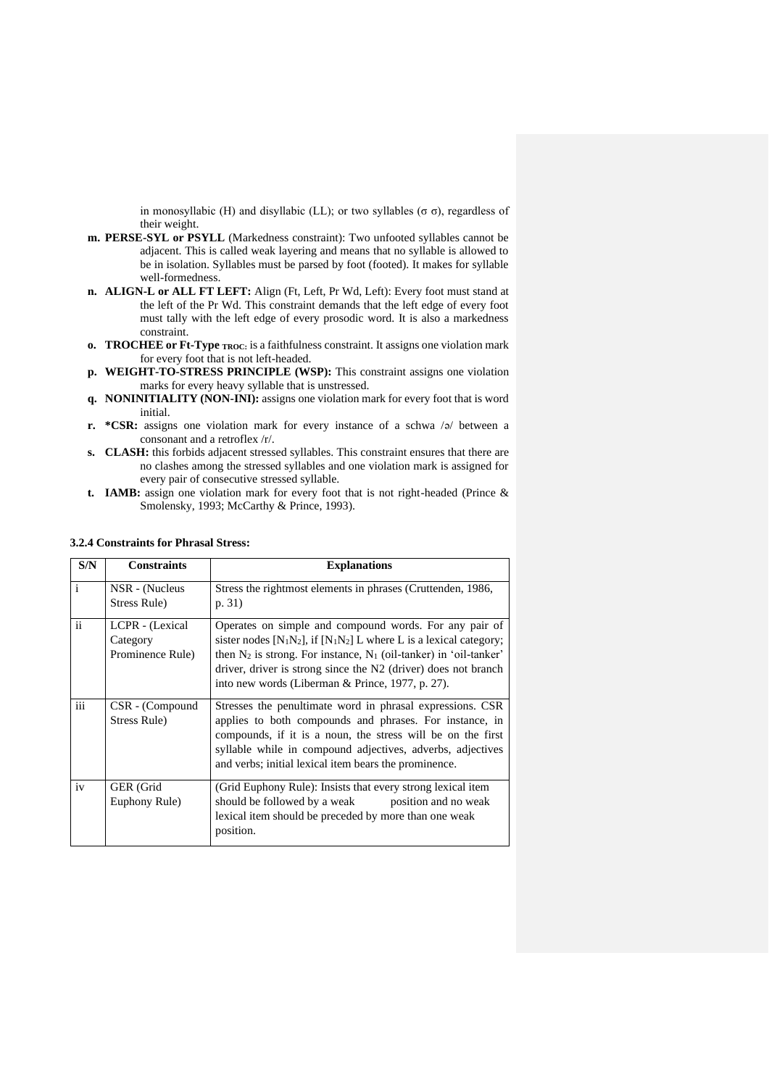in monosyllabic (H) and disyllabic (LL); or two syllables (σ σ), regardless of their weight.

- **m. PERSE-SYL or PSYLL** (Markedness constraint): Two unfooted syllables cannot be adjacent. This is called weak layering and means that no syllable is allowed to be in isolation. Syllables must be parsed by foot (footed). It makes for syllable well-formedness.
- **n. ALIGN-L or ALL FT LEFT:** Align (Ft, Left, Pr Wd, Left): Every foot must stand at the left of the Pr Wd. This constraint demands that the left edge of every foot must tally with the left edge of every prosodic word. It is also a markedness constraint.
- **o. TROCHEE or Ft-Type TROC:** is a faithfulness constraint. It assigns one violation mark for every foot that is not left-headed.
- **p. WEIGHT-TO-STRESS PRINCIPLE (WSP):** This constraint assigns one violation marks for every heavy syllable that is unstressed.
- **q. NONINITIALITY (NON-INI):** assigns one violation mark for every foot that is word initial.
- **r. \*CSR:** assigns one violation mark for every instance of a schwa /ə/ between a consonant and a retroflex /r/.
- **s. CLASH:** this forbids adjacent stressed syllables. This constraint ensures that there are no clashes among the stressed syllables and one violation mark is assigned for every pair of consecutive stressed syllable.
- **t. IAMB:** assign one violation mark for every foot that is not right-headed (Prince & Smolensky, 1993; McCarthy & Prince, 1993).

| S/N          | <b>Constraints</b>                              | <b>Explanations</b>                                                                                                                                                                                                                                                                                                                                                           |
|--------------|-------------------------------------------------|-------------------------------------------------------------------------------------------------------------------------------------------------------------------------------------------------------------------------------------------------------------------------------------------------------------------------------------------------------------------------------|
| $\mathbf{i}$ | NSR - (Nucleus<br>Stress Rule)                  | Stress the rightmost elements in phrases (Cruttenden, 1986,<br>p. 31)                                                                                                                                                                                                                                                                                                         |
| ii           | LCPR - (Lexical<br>Category<br>Prominence Rule) | Operates on simple and compound words. For any pair of<br>sister nodes [N <sub>1</sub> N <sub>2</sub> ], if [N <sub>1</sub> N <sub>2</sub> ] L where L is a lexical category;<br>then $N_2$ is strong. For instance, $N_1$ (oil-tanker) in 'oil-tanker'<br>driver, driver is strong since the N2 (driver) does not branch<br>into new words (Liberman & Prince, 1977, p. 27). |
| iii          | CSR - (Compound<br>Stress Rule)                 | Stresses the penultimate word in phrasal expressions. CSR<br>applies to both compounds and phrases. For instance, in<br>compounds, if it is a noun, the stress will be on the first<br>syllable while in compound adjectives, adverbs, adjectives<br>and verbs; initial lexical item bears the prominence.                                                                    |
| iv           | GER (Grid<br>Euphony Rule)                      | (Grid Euphony Rule): Insists that every strong lexical item<br>should be followed by a weak position and no weak<br>lexical item should be preceded by more than one weak<br>position.                                                                                                                                                                                        |

#### **3.2.4 Constraints for Phrasal Stress:**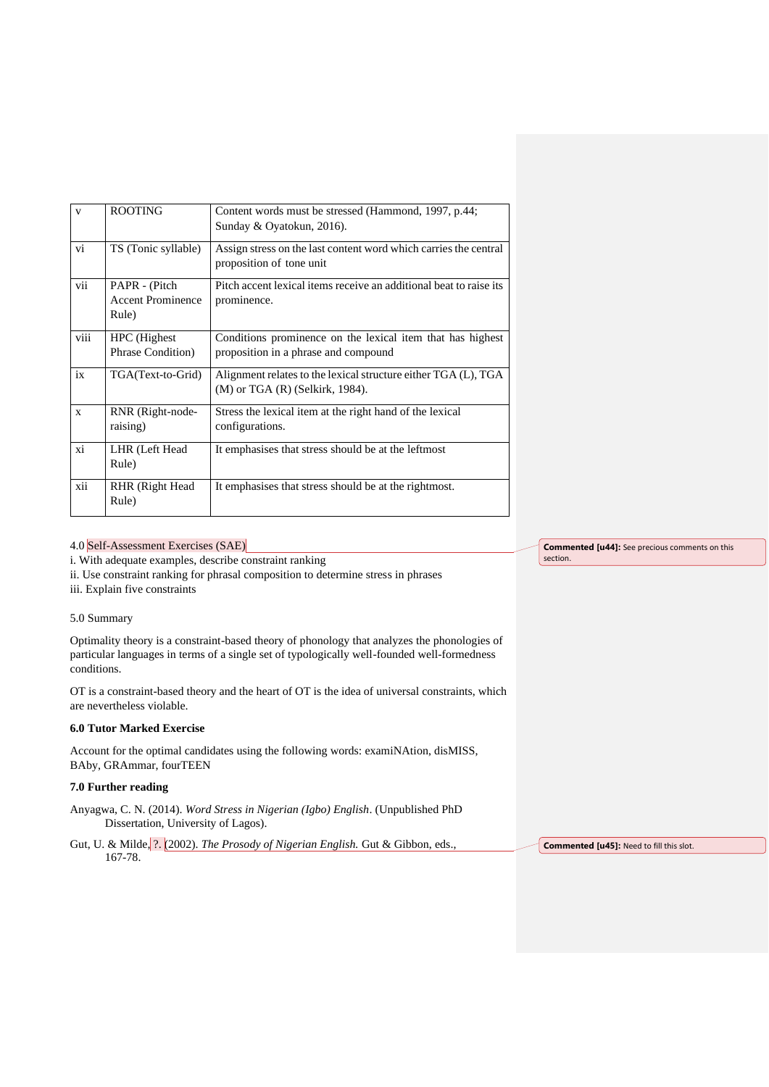| V            | <b>ROOTING</b>                                     | Content words must be stressed (Hammond, 1997, p.44;<br>Sunday & Oyatokun, 2016).                     |
|--------------|----------------------------------------------------|-------------------------------------------------------------------------------------------------------|
| vi           | TS (Tonic syllable)                                | Assign stress on the last content word which carries the central<br>proposition of tone unit          |
| vii          | PAPR - (Pitch<br><b>Accent Prominence</b><br>Rule) | Pitch accent lexical items receive an additional beat to raise its<br>prominence.                     |
| viii         | HPC (Highest)<br>Phrase Condition)                 | Conditions prominence on the lexical item that has highest<br>proposition in a phrase and compound    |
| ix           | TGA(Text-to-Grid)                                  | Alignment relates to the lexical structure either TGA (L), TGA<br>$(M)$ or TGA $(R)$ (Selkirk, 1984). |
| $\mathbf{x}$ | RNR (Right-node-<br>raising)                       | Stress the lexical item at the right hand of the lexical<br>configurations.                           |
| xi           | LHR (Left Head<br>Rule)                            | It emphasises that stress should be at the leftmost                                                   |
| xii          | RHR (Right Head<br>Rule)                           | It emphasises that stress should be at the rightmost.                                                 |

# 4.0 Self-Assessment Exercises (SAE)

i. With adequate examples, describe constraint ranking

ii. Use constraint ranking for phrasal composition to determine stress in phrases

iii. Explain five constraints

## 5.0 Summary

Optimality theory is a constraint-based theory of phonology that analyzes the phonologies of particular languages in terms of a single set of typologically well-founded well-formedness conditions.

OT is a constraint-based theory and the heart of OT is the idea of universal constraints, which are nevertheless violable.

## **6.0 Tutor Marked Exercise**

Account for the optimal candidates using the following words: examiNAtion, disMISS, BAby, GRAmmar, fourTEEN

## **7.0 Further reading**

Anyagwa, C. N. (2014). *Word Stress in Nigerian (Igbo) English*. (Unpublished PhD Dissertation, University of Lagos).

Gut, U. & Milde, ?. (2002). *The Prosody of Nigerian English.* Gut & Gibbon, eds., 167-78. **Commented [u45]:** Need to fill this slot.

**Commented [u44]:** See precious comments on this section.